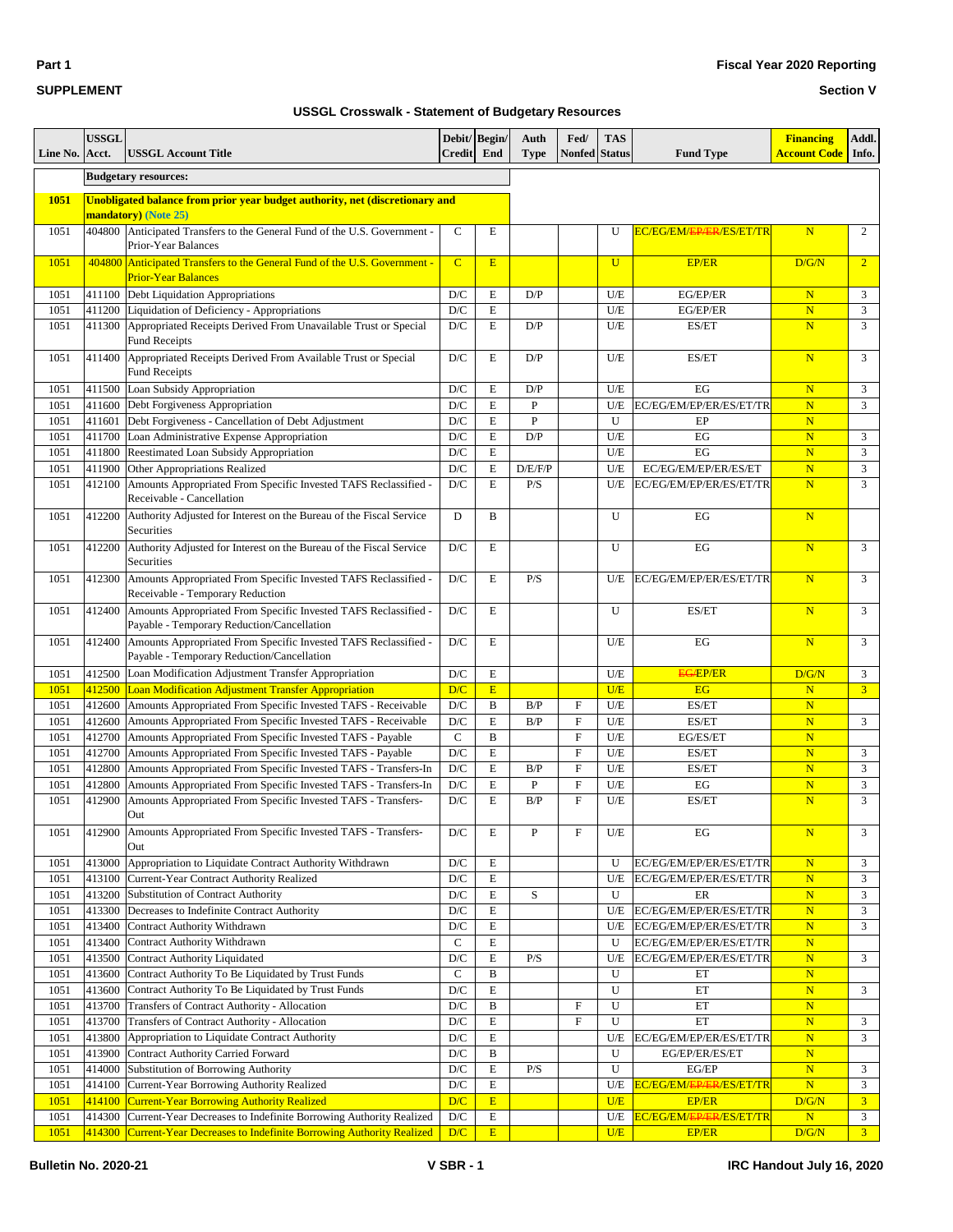|  | <b>Bulletin No. 2020-2</b> |  |
|--|----------------------------|--|

#### **Section V**

| Line No.     | <b>USSGL</b><br>Acct. | <b>USSGL Account Title</b>                                                                                                                    | Debit/ Begin/<br><b>Credit</b> | End              | Auth<br><b>Type</b> | Fed/<br><b>Nonfed</b> Status | <b>TAS</b>   | <b>Fund Type</b>                                    | <b>Financing</b><br><b>Account Code</b>            | Addl.<br>Info.      |
|--------------|-----------------------|-----------------------------------------------------------------------------------------------------------------------------------------------|--------------------------------|------------------|---------------------|------------------------------|--------------|-----------------------------------------------------|----------------------------------------------------|---------------------|
|              |                       | <b>Budgetary resources:</b>                                                                                                                   |                                |                  |                     |                              |              |                                                     |                                                    |                     |
| 1051         |                       | Unobligated balance from prior year budget authority, net (discretionary and                                                                  |                                |                  |                     |                              |              |                                                     |                                                    |                     |
|              |                       | mandatory) (Note 25)                                                                                                                          |                                |                  |                     |                              |              |                                                     |                                                    |                     |
| 1051         |                       | 404800 Anticipated Transfers to the General Fund of the U.S. Government -<br>Prior-Year Balances                                              | $\mathsf{C}$                   | E                |                     |                              | U            | EC/EG/EM/EP/ER/ES/ET/TR                             | N                                                  | 2                   |
| 1051         | 404800                | Anticipated Transfers to the General Fund of the U.S. Government -<br><b>Prior-Year Balances</b>                                              | $\overline{C}$                 | E                |                     |                              | $\mathbf{U}$ | <b>EP/ER</b>                                        | D/G/N                                              | $\overline{2}$      |
| 1051         | 411100                | Debt Liquidation Appropriations                                                                                                               | D/C                            | E                | D/P                 |                              | U/E          | EG/EP/ER                                            | $\mathbf N$                                        | 3                   |
| 1051         | 411200                | Liquidation of Deficiency - Appropriations                                                                                                    | D/C                            | ${\bf E}$        |                     |                              | $U/E$        | EG/EP/ER                                            | $\mathbf N$                                        | 3                   |
| 1051         | 411300                | Appropriated Receipts Derived From Unavailable Trust or Special<br><b>Fund Receipts</b>                                                       | D/C                            | E                | D/P                 |                              | U/E          | ES/ET                                               | N                                                  | 3                   |
| 1051         | 411400                | Appropriated Receipts Derived From Available Trust or Special<br><b>Fund Receipts</b>                                                         | $\mathbf{D}/\mathbf{C}$        | $\mathbf E$      | D/P                 |                              | U/E          | ES/ET                                               | $\overline{\mathbf{N}}$                            | 3                   |
| 1051         | 411500                | Loan Subsidy Appropriation                                                                                                                    | D/C                            | E                | D/P                 |                              | U/E          | EG                                                  | $\overline{\mathbf{N}}$                            | 3                   |
| 1051         | 411600                | Debt Forgiveness Appropriation                                                                                                                | D/C                            | $\mathbf E$      | P                   |                              | U/E          | EC/EG/EM/EP/ER/ES/ET/TR                             | $\overline{\mathbf{N}}$                            | 3                   |
| 1051         | 411601                | Debt Forgiveness - Cancellation of Debt Adjustment                                                                                            | $\mathbf{D}/\mathbf{C}$        | $\mathbf E$      | ${\bf P}$           |                              | U            | EP                                                  | $\overline{\mathbf{N}}$                            |                     |
| 1051         | 411700                | Loan Administrative Expense Appropriation                                                                                                     | D/C                            | E                | D/P                 |                              | U/E          | EG                                                  | $\overline{\mathbf{N}}$                            | 3                   |
| 1051         | 411800                | Reestimated Loan Subsidy Appropriation                                                                                                        | D/C                            | $\mathbf E$      |                     |                              | U/E          | EG                                                  | $\mathbf N$                                        | 3                   |
| 1051<br>1051 | 411900<br>412100      | Other Appropriations Realized<br>Amounts Appropriated From Specific Invested TAFS Reclassified<br>Receivable - Cancellation                   | $\mathbf{D}/\mathbf{C}$<br>D/C | E<br>E           | D/E/F/P<br>P/S      |                              | U/E<br>U/E   | EC/EG/EM/EP/ER/ES/ET<br>EC/EG/EM/EP/ER/ES/ET/TR     | $\overline{\mathbf{N}}$<br>$\overline{\mathbf{N}}$ | $\mathfrak{Z}$<br>3 |
| 1051         | 412200                | Authority Adjusted for Interest on the Bureau of the Fiscal Service<br>Securities                                                             | D                              | B                |                     |                              | U            | EG                                                  | $\overline{\mathbf{N}}$                            |                     |
| 1051         | 412200                | Authority Adjusted for Interest on the Bureau of the Fiscal Service<br>Securities                                                             | D/C                            | E                |                     |                              | U            | EG                                                  | N                                                  | 3                   |
| 1051         | 412300                | Amounts Appropriated From Specific Invested TAFS Reclassified -<br>Receivable - Temporary Reduction                                           | $\mathbf{D}/\mathbf{C}$        | $\mathbf E$      | P/S                 |                              | U/E          | EC/EG/EM/EP/ER/ES/ET/TR                             | $\overline{\mathbf{N}}$                            | 3                   |
| 1051         | 412400                | Amounts Appropriated From Specific Invested TAFS Reclassified -<br>Payable - Temporary Reduction/Cancellation                                 | D/C                            | E                |                     |                              | U            | ES/ET                                               | $\overline{\mathbf{N}}$                            | 3                   |
| 1051         | 412400                | Amounts Appropriated From Specific Invested TAFS Reclassified<br>Payable - Temporary Reduction/Cancellation                                   | D/C                            | $\mathbf E$      |                     |                              | U/E          | EG                                                  | N                                                  | 3                   |
| 1051         |                       | 412500 Loan Modification Adjustment Transfer Appropriation                                                                                    | $\mathbf{D}/\mathbf{C}$        | $\mathbf E$      |                     |                              | U/E          | <b>EG/EP/ER</b>                                     | D/G/N                                              | 3                   |
| 1051         | 412500                | <b>Loan Modification Adjustment Transfer Appropriation</b>                                                                                    | D/C                            | E                |                     |                              | U/E          | EG                                                  | $\mathbf N$                                        | 3 <sup>1</sup>      |
| 1051         | 412600                | Amounts Appropriated From Specific Invested TAFS - Receivable                                                                                 | D/C                            | B                | B/P                 | $\rm F$                      | U/E          | ES/ET                                               | $\overline{\mathbf{N}}$                            |                     |
| 1051         | 412600                | Amounts Appropriated From Specific Invested TAFS - Receivable                                                                                 | $\mathbf{D}/\mathbf{C}$        | E                | B/P                 | $\rm F$                      | U/E          | ES/ET                                               | $\overline{\mathbf{N}}$                            | $\mathfrak{Z}$      |
| 1051         | 412700                | Amounts Appropriated From Specific Invested TAFS - Payable                                                                                    | $\mathsf{C}$                   | B                |                     | $\mathbf F$                  | U/E          | EG/ES/ET                                            | $\mathbf N$                                        |                     |
| 1051         | 412700                | Amounts Appropriated From Specific Invested TAFS - Payable                                                                                    | D/C                            | E                |                     | $\mathbf F$                  | U/E          | ES/ET                                               | $\overline{\mathbf{N}}$                            | 3                   |
| 1051         | 412800                | Amounts Appropriated From Specific Invested TAFS - Transfers-In                                                                               | D/C                            | $\mathbf E$      | B/P                 | ${\bf F}$                    | U/E          | ES/ET                                               | $\overline{\mathbf{N}}$                            | $\overline{3}$      |
| 1051         | 412800                | Amounts Appropriated From Specific Invested TAFS - Transfers-In                                                                               | D/C                            | E                | P                   | $\rm F$                      | $U/E$        | EG                                                  | $\overline{\mathbf{N}}$                            | $\overline{3}$      |
| 1051         | 412900                | Amounts Appropriated From Specific Invested TAFS - Transfers-<br>Out                                                                          | D/C                            | E                | B/P                 | F                            | U/E          | ES/ET                                               | $\overline{\mathbf{N}}$                            | 3                   |
| 1051         | 412900                | Amounts Appropriated From Specific Invested TAFS - Transfers-<br>Out                                                                          | D/C                            | E                | P                   | F                            | U/E          | EG                                                  | $\mathbf N$                                        | 3                   |
| 1051         | 413000                | Appropriation to Liquidate Contract Authority Withdrawn                                                                                       | $\mathbf{D}/\mathbf{C}$        | E                |                     |                              | U            | EC/EG/EM/EP/ER/ES/ET/TR                             | $\mathbf N$                                        | 3                   |
| 1051         | 413100                | Current-Year Contract Authority Realized                                                                                                      | $\mathbf{D}/\mathbf{C}$        | E                |                     |                              | U/E          | EC/EG/EM/EP/ER/ES/ET/TR                             | $\mathbf N$                                        | 3                   |
| 1051         | 413200                | Substitution of Contract Authority                                                                                                            | $\mathbf{D}/\mathbf{C}$        | E                | S                   |                              | U            | ER                                                  | $\mathbf N$                                        | 3                   |
| 1051         | 413300                | Decreases to Indefinite Contract Authority                                                                                                    | D/C                            | $\mathbf E$      |                     |                              | U/E          | EC/EG/EM/EP/ER/ES/ET/TR                             | ${\bf N}$                                          | 3                   |
| 1051         | 413400                | Contract Authority Withdrawn                                                                                                                  | $\mathbf{D}/\mathbf{C}$        | $\mathbf E$      |                     |                              | U/E          | EC/EG/EM/EP/ER/ES/ET/TR                             | $\mathbf N$                                        | 3                   |
| 1051         | 413400                | Contract Authority Withdrawn                                                                                                                  | $\mathbf C$                    | $\mathbf E$      |                     |                              | U            | EC/EG/EM/EP/ER/ES/ET/TR                             | ${\bf N}$                                          |                     |
| 1051         | 413500                | <b>Contract Authority Liquidated</b>                                                                                                          | $\mathbf{D}/\mathbf{C}$        | E                | P/S                 |                              | U/E          | EC/EG/EM/EP/ER/ES/ET/TR                             | $\mathbf N$                                        | 3                   |
| 1051         | 413600                | Contract Authority To Be Liquidated by Trust Funds                                                                                            | $\mathbf C$                    | B                |                     |                              | U            | ET                                                  | ${\bf N}$                                          |                     |
| 1051         | 413600                | Contract Authority To Be Liquidated by Trust Funds                                                                                            | $\mathbf{D}/\mathbf{C}$        | $\mathbf E$      |                     |                              | U            | ET                                                  | $\mathbf N$                                        | 3                   |
| 1051         | 413700                | Transfers of Contract Authority - Allocation                                                                                                  | $\mathbf{D}/\mathbf{C}$        | B                |                     | $\rm F$                      | U            | ET                                                  | $\mathbf N$                                        |                     |
| 1051         | 413700                | Transfers of Contract Authority - Allocation                                                                                                  | $\mathbf{D}/\mathbf{C}$        | $\mathbf E$      |                     | $\boldsymbol{\mathrm{F}}$    | U            | ET                                                  | $\overline{\mathbf{N}}$                            | 3                   |
| 1051         | 413800                | Appropriation to Liquidate Contract Authority                                                                                                 | $\mathbf{D}/\mathbf{C}$        | E                |                     |                              | U/E          | EC/EG/EM/EP/ER/ES/ET/TR                             | $\mathbf N$                                        | 3                   |
| 1051         | 413900                | Contract Authority Carried Forward                                                                                                            | $\mathbf{D}/\mathbf{C}$        | B                |                     |                              | U            | EG/EP/ER/ES/ET                                      | $\mathbf N$                                        |                     |
| 1051         | 414000                | Substitution of Borrowing Authority                                                                                                           | D/C                            | $\mathbf E$      | P/S                 |                              | U            | EG/EP                                               | ${\bf N}$                                          | 3                   |
| 1051         | 414100                | Current-Year Borrowing Authority Realized                                                                                                     | $\mathbf{D}/\mathbf{C}$        | E                |                     |                              | U/E          | <mark>EC/EG/EM/<del>EP/ER</del>/ES/ET/TR</mark>     | $\mathbf N$                                        | 3                   |
| 1051<br>1051 | 414100<br>414300      | <b>Current-Year Borrowing Authority Realized</b>                                                                                              | D/C<br>D/C                     | E<br>$\mathbf E$ |                     |                              | U/E<br>U/E   | <b>EP/ER</b><br>EC/EG/EM/ <del>EP/ER/ES/ET/TR</del> | D/G/N<br>$\mathbf N$                               | 3 <sup>7</sup><br>3 |
|              |                       | Current-Year Decreases to Indefinite Borrowing Authority Realized<br><b>Current-Year Decreases to Indefinite Borrowing Authority Realized</b> |                                | E                |                     |                              |              | EP/ER                                               | D/G/N                                              | 3 <sup>1</sup>      |
| 1051         | 414300                |                                                                                                                                               | D/C                            |                  |                     |                              | U/E          |                                                     |                                                    |                     |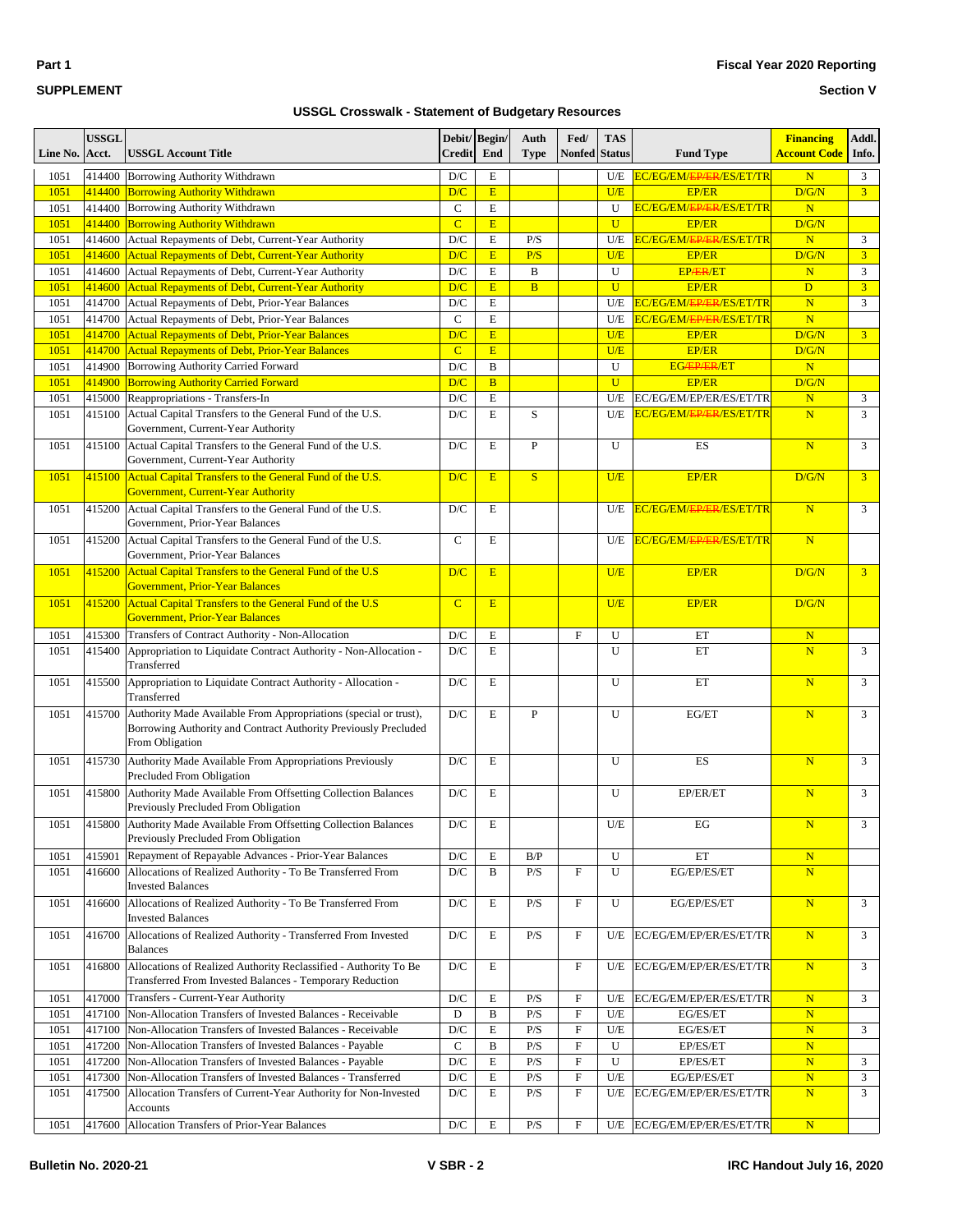**Part 1**

#### **Section V**

| Line No.     | <b>USSGL</b><br>Acct. | <b>USSGL Account Title</b>                                                                   | <b>Credit</b>           | Debit/ Begin/<br>End | Auth<br><b>Type</b>     | Fed/<br><b>Nonfed Status</b> | <b>TAS</b>     | <b>Fund Type</b>                     | <b>Financing</b><br><b>Account Code</b> | Addl.<br>Info. |
|--------------|-----------------------|----------------------------------------------------------------------------------------------|-------------------------|----------------------|-------------------------|------------------------------|----------------|--------------------------------------|-----------------------------------------|----------------|
| 1051         | 414400                | Borrowing Authority Withdrawn                                                                | D/C                     | E                    |                         |                              | U/E            | EC/EG/EM/EP/ER/ES/ET/TR              | $\overline{\mathbf{N}}$                 | 3              |
| 1051         | 414400                | <b>Borrowing Authority Withdrawn</b>                                                         | D/C                     | E                    |                         |                              | U/E            | <b>EP/ER</b>                         | D/G/N                                   | 3 <sup>1</sup> |
| 1051         | 414400                | Borrowing Authority Withdrawn                                                                | $\mathbf C$             | $\mathbf E$          |                         |                              | U              | EC/EG/EM/ <del>EP/ER</del> /ES/ET/TR | $\overline{\mathbf{N}}$                 |                |
| 1051         | 414400                | <b>Borrowing Authority Withdrawn</b>                                                         | $\overline{C}$          | E                    |                         |                              | $\mathbf{U}$   | <b>EP/ER</b>                         | D/G/N                                   |                |
| 1051         | 414600                | Actual Repayments of Debt, Current-Year Authority                                            | $\mathbf{D}/\mathbf{C}$ | $\mathbf E$          | P/S                     |                              | U/E            | EC/EG/EM/ <del>EP/ER</del> /ES/ET/TR | $\overline{\mathbf{N}}$                 | 3              |
| 1051         | 414600                | <b>Actual Repayments of Debt, Current-Year Authority</b>                                     | D/C                     | E                    | P/S                     |                              | U/E            | <b>EP/ER</b>                         | D/G/N                                   | 3 <sup>1</sup> |
| 1051         | 414600                | Actual Repayments of Debt, Current-Year Authority                                            | D/C                     | $\mathbf E$          | B                       |                              | U              | <b>EPÆR/ET</b>                       | $\overline{\mathbf{N}}$                 | 3              |
| 1051         | 414600                | <b>Actual Repayments of Debt, Current-Year Authority</b>                                     | D/C                     | E                    | $\overline{B}$          |                              | $\overline{U}$ | <b>EP/ER</b>                         | D                                       | 3 <sup>1</sup> |
| 1051         | 414700                | Actual Repayments of Debt, Prior-Year Balances                                               | $\mathbf{D}/\mathbf{C}$ | $\mathbf E$          |                         |                              | U/E            | EC/EG/EM/ <del>EP/ER</del> /ES/ET/TR | $\overline{\mathbf{N}}$                 | 3              |
| 1051         | 414700                | Actual Repayments of Debt, Prior-Year Balances                                               | $\mathbf C$             | $\mathbf E$          |                         |                              | U/E            | EC/EG/EM/ <del>EP/ER</del> /ES/ET/TR | $\mathbf N$                             |                |
| 1051         | 414700                | <b>Actual Repayments of Debt, Prior-Year Balances</b>                                        | D/C<br>$\overline{C}$   | $\mathbf E$<br>E     |                         |                              | U/E<br>U/E     | <b>EP/ER</b>                         | D/G/N                                   | 3 <sup>1</sup> |
| 1051<br>1051 | 414700<br>414900      | <b>Actual Repayments of Debt, Prior-Year Balances</b><br>Borrowing Authority Carried Forward | $\mathbf{D}/\mathbf{C}$ | B                    |                         |                              | U              | <b>EP/ER</b><br><b>EG/EP/ER/ET</b>   | D/G/N<br>$\overline{\mathbf{N}}$        |                |
| 1051         | 414900                | <b>Borrowing Authority Carried Forward</b>                                                   | D/C                     | B                    |                         |                              | $\overline{U}$ | <b>EP/ER</b>                         | D/G/N                                   |                |
| 1051         | 415000                | Reappropriations - Transfers-In                                                              | $\mathbf{D}/\mathbf{C}$ | $\mathbf E$          |                         |                              | U/E            | EC/EG/EM/EP/ER/ES/ET/TR              | $\overline{\mathbf{N}}$                 | 3              |
| 1051         | 415100                | Actual Capital Transfers to the General Fund of the U.S.                                     | D/C                     | E                    | S                       |                              | U/E            | EC/EG/EM/ <del>EP/ER</del> /ES/ET/TR | N                                       | $\overline{3}$ |
|              |                       | Government, Current-Year Authority                                                           |                         |                      |                         |                              |                |                                      |                                         |                |
| 1051         | 415100                | Actual Capital Transfers to the General Fund of the U.S.                                     | D/C                     | E                    | $\mathbf{P}$            |                              | U              | ES                                   | $\overline{\mathbf{N}}$                 | 3              |
|              |                       | Government, Current-Year Authority                                                           |                         |                      |                         |                              |                |                                      |                                         |                |
| 1051         | 415100                | Actual Capital Transfers to the General Fund of the U.S.                                     | D/C                     | E                    | S                       |                              | U/E            | <b>EP/ER</b>                         | D/G/N                                   | 3 <sup>7</sup> |
|              |                       | <b>Government, Current-Year Authority</b>                                                    |                         |                      |                         |                              |                |                                      |                                         |                |
| 1051         | 415200                | Actual Capital Transfers to the General Fund of the U.S.                                     | D/C                     | E                    |                         |                              | U/E            | EC/EG/EM/ <del>EP/ER</del> /ES/ET/TR | $\overline{\mathbf{N}}$                 | 3              |
|              |                       | Government, Prior-Year Balances                                                              |                         |                      |                         |                              |                |                                      |                                         |                |
| 1051         | 415200                | Actual Capital Transfers to the General Fund of the U.S.                                     | $\mathcal{C}$           | E                    |                         |                              | U/E            | EC/EG/EM/ <del>EP/ER</del> /ES/ET/TR | N                                       |                |
|              |                       | Government, Prior-Year Balances                                                              |                         |                      |                         |                              |                |                                      |                                         |                |
| 1051         | 415200                | Actual Capital Transfers to the General Fund of the U.S                                      | D/C                     | E                    |                         |                              | U/E            | <b>EP/ER</b>                         | D/G/N                                   | 3 <sup>1</sup> |
|              |                       | <b>Government, Prior-Year Balances</b>                                                       |                         |                      |                         |                              |                |                                      |                                         |                |
| 1051         | 415200                | Actual Capital Transfers to the General Fund of the U.S                                      | $\overline{C}$          | E                    |                         |                              | U/E            | <b>EP/ER</b>                         | D/G/N                                   |                |
|              |                       | <b>Government, Prior-Year Balances</b>                                                       |                         |                      |                         |                              |                |                                      |                                         |                |
| 1051         | 415300                | Transfers of Contract Authority - Non-Allocation                                             | $\mathbf{D}/\mathbf{C}$ | $\mathbf E$          |                         | $\mathbf F$                  | U              | ET                                   | $\overline{\mathbf{N}}$                 |                |
| 1051         | 415400                | Appropriation to Liquidate Contract Authority - Non-Allocation -<br>Transferred              | D/C                     | E                    |                         |                              | U              | ET                                   | N                                       | 3              |
| 1051         | 415500                | Appropriation to Liquidate Contract Authority - Allocation -                                 | D/C                     | Е                    |                         |                              | U              | ET                                   | N                                       | 3              |
|              |                       | Transferred                                                                                  |                         |                      |                         |                              |                |                                      |                                         |                |
| 1051         | 415700                | Authority Made Available From Appropriations (special or trust),                             | D/C                     | E                    | $\mathbf{P}$            |                              | U              | EG/ET                                | $\overline{\mathbf{N}}$                 | 3              |
|              |                       | Borrowing Authority and Contract Authority Previously Precluded                              |                         |                      |                         |                              |                |                                      |                                         |                |
|              |                       | From Obligation                                                                              |                         |                      |                         |                              |                |                                      |                                         |                |
| 1051         | 415730                | Authority Made Available From Appropriations Previously                                      | D/C                     | E                    |                         |                              | U              | ES                                   | $\overline{\mathbf{N}}$                 | 3              |
|              |                       | Precluded From Obligation                                                                    |                         |                      |                         |                              |                |                                      |                                         |                |
| 1051         | 415800                | Authority Made Available From Offsetting Collection Balances                                 | D/C                     | Е                    |                         |                              | U              | EP/ER/ET                             | N                                       | 3              |
|              |                       | Previously Precluded From Obligation                                                         |                         |                      |                         |                              |                |                                      |                                         |                |
| 1051         | 415800                | Authority Made Available From Offsetting Collection Balances                                 | D/C                     | Е                    |                         |                              | U/E            | EG                                   | $\overline{\text{N}}$                   | 3              |
|              |                       | Previously Precluded From Obligation                                                         |                         |                      |                         |                              |                |                                      |                                         |                |
| 1051         | 415901                | Repayment of Repayable Advances - Prior-Year Balances                                        | D/C                     | $\mathbf E$          | B/P                     |                              | U              | ET                                   | $\overline{\mathbf{N}}$                 |                |
| 1051         | 416600                | Allocations of Realized Authority - To Be Transferred From                                   | D/C                     | B                    | P/S                     | $\rm F$                      | U              | EG/EP/ES/ET                          | $\mathbf N$                             |                |
|              |                       | <b>Invested Balances</b>                                                                     |                         |                      |                         |                              |                |                                      |                                         |                |
| 1051         | 416600                | Allocations of Realized Authority - To Be Transferred From                                   | $\mathbf{D}/\mathbf{C}$ | E                    | P/S                     | $\rm F$                      | U              | EG/EP/ES/ET                          | ${\bf N}$                               | 3              |
|              |                       | <b>Invested Balances</b><br>Allocations of Realized Authority - Transferred From Invested    |                         |                      |                         |                              |                |                                      |                                         |                |
| 1051         | 416700                | <b>Balances</b>                                                                              | D/C                     | E                    | P/S                     | F                            | U/E            | EC/EG/EM/EP/ER/ES/ET/TR              | $\overline{\mathbf{N}}$                 | 3              |
| 1051         |                       | Allocations of Realized Authority Reclassified - Authority To Be                             |                         |                      |                         | $\mathbf F$                  |                | EC/EG/EM/EP/ER/ES/ET/TR              | $\mathbf N$                             | 3              |
|              | 416800                | Transferred From Invested Balances - Temporary Reduction                                     | D/C                     | E                    |                         |                              | U/E            |                                      |                                         |                |
| 1051         | 417000                | Transfers - Current-Year Authority                                                           | D/C                     | $\mathbf E$          | P/S                     | $\boldsymbol{\mathrm{F}}$    | U/E            | EC/EG/EM/EP/ER/ES/ET/TR              | ${\bf N}$                               | 3              |
| 1051         | 417100                | Non-Allocation Transfers of Invested Balances - Receivable                                   | D                       | B                    | P/S                     | $\boldsymbol{\mathrm{F}}$    | $U\!/\!E$      | EG/ES/ET                             | ${\bf N}$                               |                |
| 1051         | 417100                | Non-Allocation Transfers of Invested Balances - Receivable                                   | D/C                     | E                    | P/S                     | $\boldsymbol{\mathrm{F}}$    | U/E            | EG/ES/ET                             | $\mathbf N$                             | 3              |
| 1051         | 417200                | Non-Allocation Transfers of Invested Balances - Payable                                      | $\mathsf{C}$            | $\, {\bf B}$         | P/S                     | $\rm F$                      | U              | EP/ES/ET                             | $\mathbf N$                             |                |
| 1051         | 417200                | Non-Allocation Transfers of Invested Balances - Payable                                      | D/C                     | $\mathbf E$          | P/S                     | ${\rm F}$                    | U              | EP/ES/ET                             | $\mathbf N$                             | 3              |
| 1051         | 417300                | Non-Allocation Transfers of Invested Balances - Transferred                                  | $\mathbf{D}/\mathbf{C}$ | E                    | $\mathbf{P}/\mathbf{S}$ | F                            | $U\!/\!E$      | EG/EP/ES/ET                          | $\mathbf N$                             | $\mathfrak{Z}$ |
| 1051         | 417500                | Allocation Transfers of Current-Year Authority for Non-Invested                              | D/C                     | E                    | P/S                     | $\mathbf F$                  | U/E            | EC/EG/EM/EP/ER/ES/ET/TR              | $\overline{\mathbf{N}}$                 | 3              |
|              |                       | <b>Accounts</b>                                                                              |                         |                      |                         |                              |                |                                      |                                         |                |
| 1051         | 417600                | Allocation Transfers of Prior-Year Balances                                                  | $\mathbf{D}/\mathbf{C}$ | ${\bf E}$            | P/S                     | $\mathbf F$                  | U/E            | EC/EG/EM/EP/ER/ES/ET/TR              | $\mathbf N$                             |                |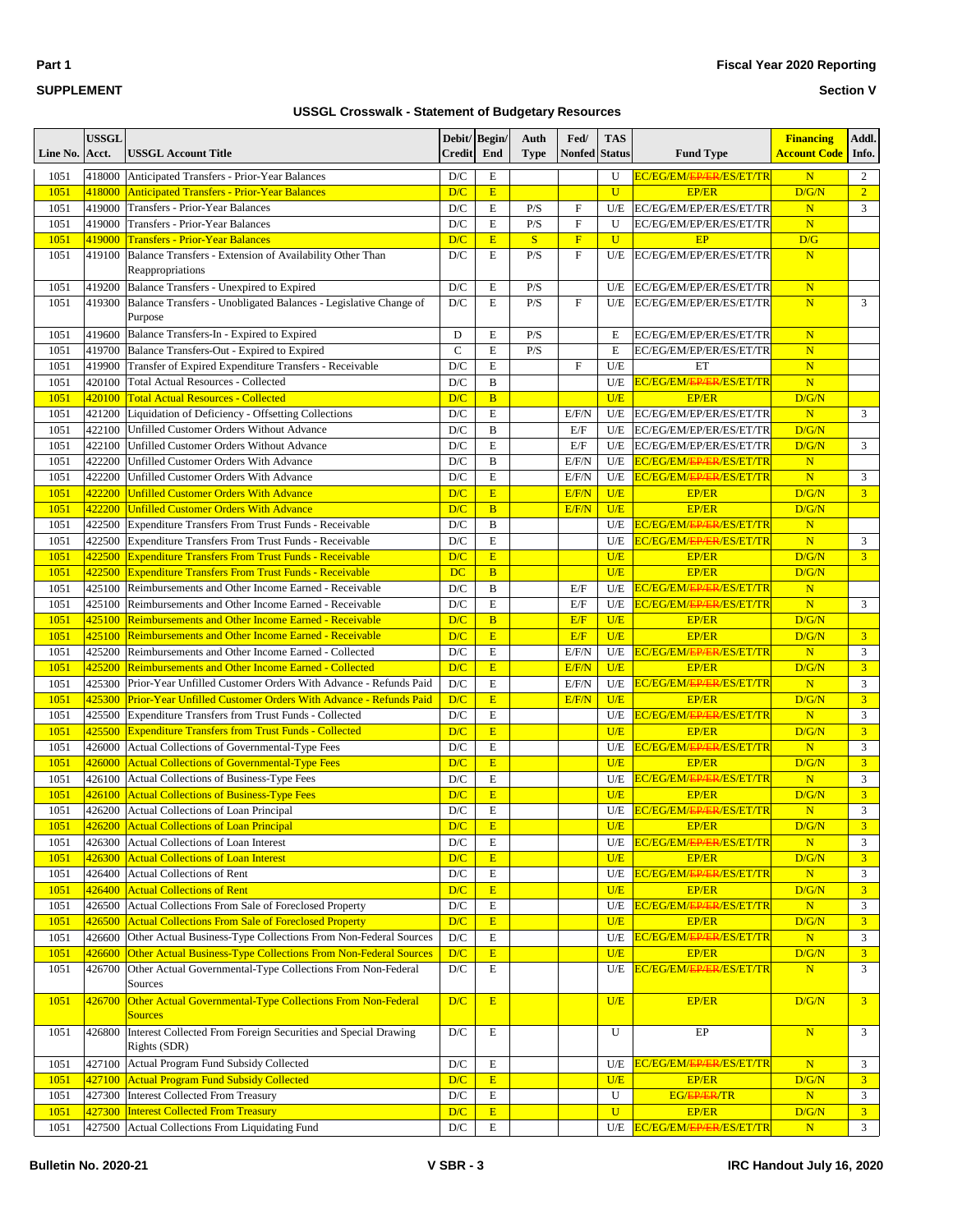#### **Section V**

| Line No. | <b>USSGL</b><br>Acct. | <b>USSGL Account Title</b>                                                     | Debit/<br><b>Credit</b> | Begin/<br>End         | Auth<br><b>Type</b> | Fed/<br><b>Nonfed</b> Status | <b>TAS</b>     | <b>Fund Type</b>                     | <b>Financing</b><br><b>Account Code</b> | Addl.<br>Info. |
|----------|-----------------------|--------------------------------------------------------------------------------|-------------------------|-----------------------|---------------------|------------------------------|----------------|--------------------------------------|-----------------------------------------|----------------|
| 1051     | 418000                | Anticipated Transfers - Prior-Year Balances                                    | D/C                     | E                     |                     |                              | U              | EC/EG/EM/ <del>EP/ER</del> /ES/ET/TR | $\mathbf N$                             | 2              |
| 1051     | 418000                | <b>Anticipated Transfers - Prior-Year Balances</b>                             | D/C                     | E                     |                     |                              | $\overline{U}$ | <b>EP/ER</b>                         | D/G/N                                   | $\overline{2}$ |
| 1051     | 419000                | <b>Transfers - Prior-Year Balances</b>                                         | $\mathbf{D}/\mathbf{C}$ | $\mathbf E$           | P/S                 | $\mathbf F$                  | U/E            | EC/EG/EM/EP/ER/ES/ET/TR              | $\overline{\mathbf{N}}$                 | 3              |
| 1051     | 419000                | <b>Transfers - Prior-Year Balances</b>                                         | D/C                     | $\mathbf E$           | P/S                 | $\mathbf F$                  | U              | EC/EG/EM/EP/ER/ES/ET/TR              | $\overline{\mathbf{N}}$                 |                |
| 1051     | 419000                | <b>Transfers - Prior-Year Balances</b>                                         | D/C                     | E                     | S                   | $\mathbf F$                  | $\overline{U}$ | EP                                   | D/G                                     |                |
| 1051     | 419100                | Balance Transfers - Extension of Availability Other Than<br>Reappropriations   | D/C                     | E                     | P/S                 | $\mathbf F$                  | U/E            | EC/EG/EM/EP/ER/ES/ET/TR              | $\overline{\mathbf{N}}$                 |                |
| 1051     | 419200                | Balance Transfers - Unexpired to Expired                                       | D/C                     | $\mathbf E$           | P/S                 |                              | U/E            | EC/EG/EM/EP/ER/ES/ET/TR              | $\overline{\mathbf{N}}$                 |                |
| 1051     | 419300                | Balance Transfers - Unobligated Balances - Legislative Change of<br>Purpose    | D/C                     | E                     | P/S                 | $\mathbf F$                  | U/E            | EC/EG/EM/EP/ER/ES/ET/TR              | $\overline{\mathbf{N}}$                 | 3              |
| 1051     | 419600                | Balance Transfers-In - Expired to Expired                                      | D                       | E                     | P/S                 |                              | E              | EC/EG/EM/EP/ER/ES/ET/TR              | $\overline{\mathbf{N}}$                 |                |
| 1051     | 419700                | Balance Transfers-Out - Expired to Expired                                     | $\mathcal{C}$           | E                     | P/S                 |                              | E              | EC/EG/EM/EP/ER/ES/ET/TR              | $\overline{\mathbf{N}}$                 |                |
| 1051     | 419900                | Transfer of Expired Expenditure Transfers - Receivable                         | D/C                     | E                     |                     | $\mathbf F$                  | U/E            | ET                                   | N                                       |                |
| 1051     | 420100                | <b>Total Actual Resources - Collected</b>                                      | D/C                     | B                     |                     |                              | U/E            | EC/EG/EM/ <del>EP/ER</del> /ES/ET/TR | N                                       |                |
| 1051     | 420100                | <b>Total Actual Resources - Collected</b>                                      | D/C                     | $\overline{B}$        |                     |                              | U/E            | <b>EP/ER</b>                         | D/G/N                                   |                |
| 1051     | 421200                | Liquidation of Deficiency - Offsetting Collections                             | D/C                     | E                     |                     | E/F/N                        | U/E            | EC/EG/EM/EP/ER/ES/ET/TR              | $\overline{\mathbf{N}}$                 | 3              |
| 1051     | 422100                | Unfilled Customer Orders Without Advance                                       | D/C                     | B                     |                     | E/F                          | U/E            | EC/EG/EM/EP/ER/ES/ET/TR              | D/G/N                                   |                |
| 1051     | 422100                | <b>Unfilled Customer Orders Without Advance</b>                                | D/C                     | $\mathbf E$           |                     | E/F                          | U/E            | EC/EG/EM/EP/ER/ES/ET/TR              | D/G/N                                   | 3              |
| 1051     | 422200                | Unfilled Customer Orders With Advance                                          | D/C                     | B                     |                     | E/F/N                        | U/E            | EC/EG/EM/ <del>EP/ER</del> /ES/ET/TR | $\mathbf N$                             |                |
| 1051     | 422200                | Unfilled Customer Orders With Advance                                          | D/C                     | $\mathbf E$           |                     | E/F/N                        | U/E            | EC/EG/EM/ <del>EP/ER</del> /ES/ET/TR | N                                       | 3              |
| 1051     | 422200                | <b>Unfilled Customer Orders With Advance</b>                                   | D/C                     | E                     |                     | E/F/N                        | U/E            | <b>EP/ER</b>                         | D/G/N                                   | $\overline{3}$ |
| 1051     | 422200                | <b>Unfilled Customer Orders With Advance</b>                                   | D/C                     | $\overline{B}$        |                     | E/F/N                        | U/E            | <b>EP/ER</b>                         | D/G/N                                   |                |
| 1051     | 422500                | Expenditure Transfers From Trust Funds - Receivable                            | $\mathbf{D}/\mathbf{C}$ | $\, {\bf B}$          |                     |                              | U/E            | EC/EG/EM/EP/ER/ES/ET/TR              | $\mathbf N$                             |                |
| 1051     | 422500                | <b>Expenditure Transfers From Trust Funds - Receivable</b>                     | D/C                     | E                     |                     |                              | U/E            | EC/EG/EM/ <del>EP/ER</del> /ES/ET/TR | N                                       | 3              |
| 1051     | 422500                | <b>Expenditure Transfers From Trust Funds - Receivable</b>                     | D/C                     | E                     |                     |                              | U/E            | <b>EP/ER</b>                         | D/G/N                                   | 3 <sup>1</sup> |
| 1051     | 422500                | <b>Expenditure Transfers From Trust Funds - Receivable</b>                     | <b>DC</b>               | $\overline{B}$        |                     |                              | U/E            | <b>EP/ER</b>                         | D/G/N                                   |                |
| 1051     | 425100                | Reimbursements and Other Income Earned - Receivable                            | D/C                     | $\, {\bf B}$          |                     | E/F                          | U/E            | EC/EG/EM/ <del>EP/ER</del> /ES/ET/TR | $\overline{\mathbf{N}}$                 |                |
| 1051     | 425100                | Reimbursements and Other Income Earned - Receivable                            | D/C                     | $\mathbf E$           |                     | E/F                          | U/E            | EC/EG/EM/ <del>EP/ER</del> /ES/ET/TR | $\overline{\mathbf{N}}$                 | 3              |
| 1051     | 425100                | <b>Reimbursements and Other Income Earned - Receivable</b>                     | D/C                     | $\overline{B}$        |                     | E/F                          | U/E            | <b>EP/ER</b>                         | D/G/N                                   |                |
| 1051     | 425100                | <b>Reimbursements and Other Income Earned - Receivable</b>                     | D/C                     | $\overline{E}$        |                     | E/F                          | U/E            | <b>EP/ER</b>                         | D/G/N                                   | 3 <sup>1</sup> |
| 1051     | 425200                | Reimbursements and Other Income Earned - Collected                             | D/C                     | E                     |                     | E/F/N                        | U/E            | EC/EG/EM/ <del>EP/ER</del> /ES/ET/TR | N                                       | 3              |
| 1051     | 425200                | <b>Reimbursements and Other Income Earned - Collected</b>                      | D/C                     | E                     |                     | E/F/N                        | U/E            | <b>EP/ER</b>                         | D/G/N                                   | $\overline{3}$ |
| 1051     | 425300                | Prior-Year Unfilled Customer Orders With Advance - Refunds Paid                | $\mathbf{D}/\mathbf{C}$ | $\mathbf E$           |                     | E/F/N                        | U/E            | EC/EG/EM/ <del>EP/ER</del> /ES/ET/TR | N                                       | 3              |
| 1051     | 425300                | <b>Prior-Year Unfilled Customer Orders With Advance - Refunds Paid</b>         | D/C                     | E                     |                     | E/F/N                        | U/E            | <b>EP/ER</b>                         | D/G/N                                   | $\overline{3}$ |
| 1051     | 425500                | Expenditure Transfers from Trust Funds - Collected                             | D/C                     | E                     |                     |                              | U/E            | EC/EG/EM/EP/ER/ES/ET/TR              | $\overline{\mathbf{N}}$                 | 3              |
| 1051     | 425500                | <b>Expenditure Transfers from Trust Funds - Collected</b>                      | D/C                     | E                     |                     |                              | U/E            | <b>EP/ER</b>                         | D/G/N                                   | $\overline{3}$ |
| 1051     | 426000                | Actual Collections of Governmental-Type Fees                                   | D/C                     | $\mathbf E$           |                     |                              | U/E            | EC/EG/EM/ <del>EP/ER</del> /ES/ET/TR | $\mathbf N$                             | 3              |
| 1051     | 426000                | <b>Actual Collections of Governmental-Type Fees</b>                            | D/C                     | E                     |                     |                              | U/E            | <b>EP/ER</b>                         | D/G/N                                   | $\overline{3}$ |
| 1051     | 426100                | Actual Collections of Business-Type Fees                                       | D/C                     | E                     |                     |                              | U/E            | EC/EG/EM/ <del>EP/ER</del> /ES/ET/TR | $\overline{\mathbf{N}}$                 | 3              |
| 1051     | 426100                | <b>Actual Collections of Business-Type Fees</b>                                | D/C                     | E                     |                     |                              | U/E            | <b>EP/ER</b>                         | D/G/N                                   | 3 <sup>1</sup> |
| 1051     | 426200                | Actual Collections of Loan Principal                                           | D/C                     | E                     |                     |                              | U/E            | EC/EG/EM/EP/ER/ES/ET/TR              | $\overline{\mathbf{N}}$                 | 3              |
| 1051     |                       | 426200 Actual Collections of Loan Principal                                    | D/C                     | $E_{\rm}$             |                     |                              | U/E            | EP/ER                                | D/G/N                                   | 3 <sup>2</sup> |
| 1051     |                       | 426300 Actual Collections of Loan Interest                                     | $\mathbf{D}/\mathbf{C}$ | $\mathbf E$           |                     |                              | U/E            | EC/EG/EM/ <del>EP/ER</del> /ES/ET/TR | ${\bf N}$                               | 3              |
| 1051     | 426300                | <b>Actual Collections of Loan Interest</b>                                     | D/C                     | E                     |                     |                              | U/E            | <b>EP/ER</b>                         | D/G/N                                   | 3 <sup>1</sup> |
| 1051     | 426400                | Actual Collections of Rent                                                     | $\mathbf{D}/\mathbf{C}$ | E                     |                     |                              | U/E            | EC/EG/EM/ <del>EP/ER/ES</del> /ET/TR | $\mathbf N$                             | 3              |
| 1051     |                       | 426400 Actual Collections of Rent                                              | D/C                     | E                     |                     |                              | U/E            | EP/ER                                | D/G/N                                   | 3 <sup>2</sup> |
| 1051     | 426500                | Actual Collections From Sale of Foreclosed Property                            | $\mathbf{D}/\mathbf{C}$ | $\mathbf E$           |                     |                              | U/E            | EC/EG/EM/ <del>EP/ER</del> /ES/ET/TR | ${\bf N}$                               | 3              |
| 1051     | 426500                | <b>Actual Collections From Sale of Foreclosed Property</b>                     | D/C                     | $\mathbf E$           |                     |                              | U/E            | <b>EP/ER</b>                         | D/G/N                                   | 3 <sup>1</sup> |
| 1051     | 426600                | Other Actual Business-Type Collections From Non-Federal Sources                | $\mathbf{D}/\mathbf{C}$ | $\mathbf E$           |                     |                              | U/E            | EC/EG/EM/ <del>EP/ER</del> /ES/ET/TR | $\mathbf N$                             | 3              |
| 1051     | 426600                | Other Actual Business-Type Collections From Non-Federal Sources                | D/C                     | $\overline{\text{E}}$ |                     |                              | U/E            | <b>EP/ER</b>                         | D/G/N                                   | 3 <sup>1</sup> |
| 1051     | 426700                | Other Actual Governmental-Type Collections From Non-Federal<br>Sources         | $\mathbf{D}/\mathbf{C}$ | E                     |                     |                              | U/E            | EC/EG/EM/ <del>EP/ER</del> /ES/ET/TR | N                                       | 3              |
| 1051     | 426700                | Other Actual Governmental-Type Collections From Non-Federal<br><b>Sources</b>  | D/C                     | E                     |                     |                              | U/E            | <b>EP/ER</b>                         | D/G/N                                   | 3 <sup>1</sup> |
| 1051     | 426800                | Interest Collected From Foreign Securities and Special Drawing<br>Rights (SDR) | $\mathbf{D}/\mathbf{C}$ | E                     |                     |                              | U              | EP                                   | $\mathbf N$                             | $\mathfrak{Z}$ |
| 1051     | 427100                | Actual Program Fund Subsidy Collected                                          | $\mathbf{D}/\mathbf{C}$ | E                     |                     |                              | U/E            | EC/EG/EM/ <del>EP/ER</del> /ES/ET/TR | $\mathbf N$                             | 3              |
| 1051     |                       | 427100 Actual Program Fund Subsidy Collected                                   | D/C                     | E                     |                     |                              | U/E            | <b>EP/ER</b>                         | D/G/N                                   | 3 <sup>1</sup> |
| 1051     | 427300                | Interest Collected From Treasury                                               | $\mathbf{D}/\mathbf{C}$ | E                     |                     |                              | U              | <b>EG/EP/ER/TR</b>                   | $\mathbf N$                             | 3              |
| 1051     |                       | 427300 Interest Collected From Treasury                                        | D/C                     | $\mathbf E$           |                     |                              | $\overline{U}$ | <b>EP/ER</b>                         | D/G/N                                   | 3 <sup>7</sup> |
| 1051     |                       | 427500 Actual Collections From Liquidating Fund                                | $\mathbf{D}/\mathbf{C}$ | $\mathbf E$           |                     |                              | U/E            | EC/EG/EM/EP/ER/ES/ET/TR              | N                                       | $\mathbf{3}$   |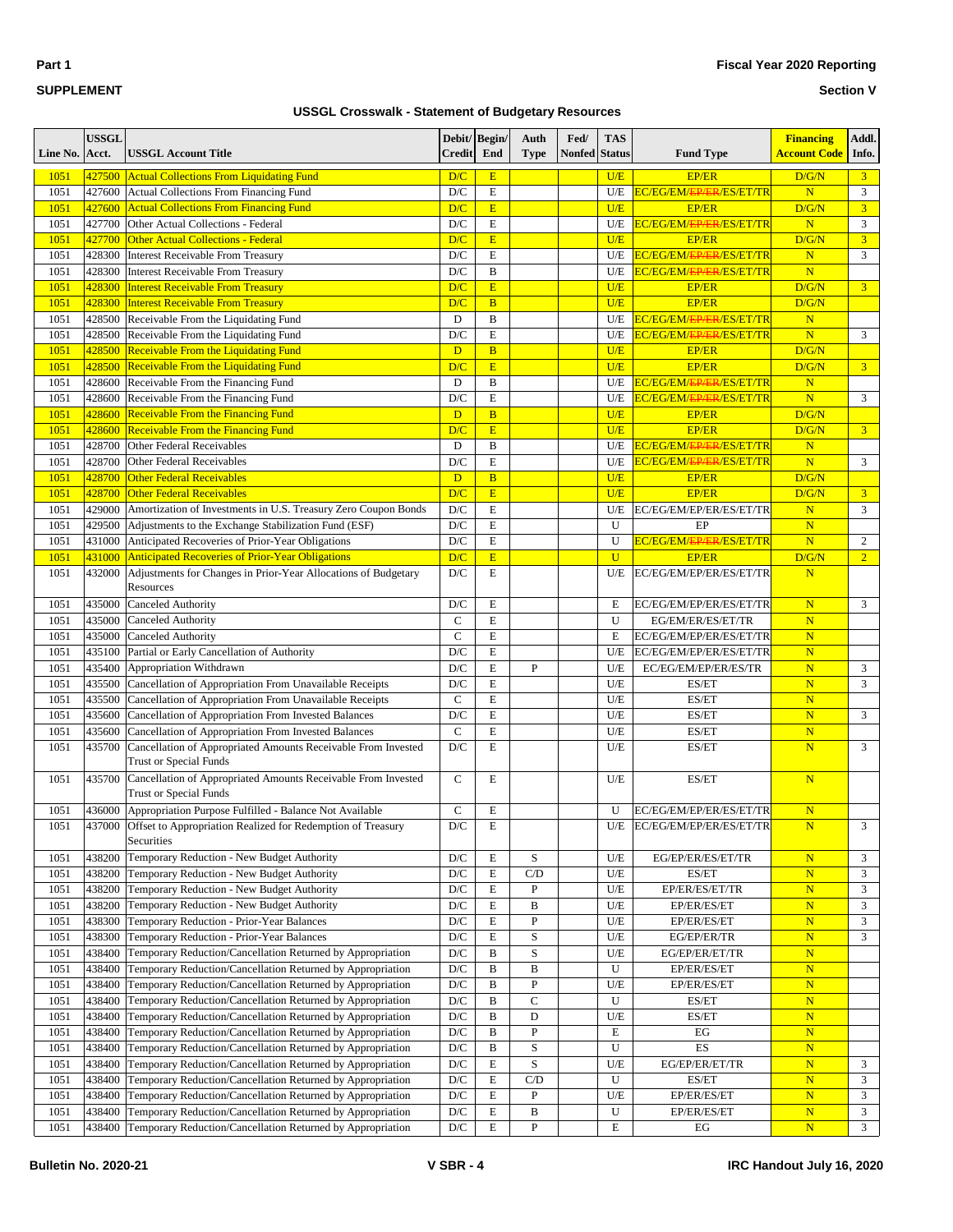| $\sim$<br>٠ |  |
|-------------|--|
|-------------|--|

#### **Section V**

| Line No.     | <b>USSGL</b><br>Acct. | <b>USSGL Account Title</b>                                                                                                           | Debit/ Begin/<br><b>Credit</b>          | End                         | Auth<br><b>Type</b> | Fed/<br><b>Nonfed</b> Status | <b>TAS</b>     | <b>Fund Type</b>                                                             | <b>Financing</b><br><b>Account Code</b> | Addl.<br>Info. |
|--------------|-----------------------|--------------------------------------------------------------------------------------------------------------------------------------|-----------------------------------------|-----------------------------|---------------------|------------------------------|----------------|------------------------------------------------------------------------------|-----------------------------------------|----------------|
| 1051         | 427500                | <b>Actual Collections From Liquidating Fund</b>                                                                                      | D/C                                     | E                           |                     |                              | U/E            | <b>EP/ER</b>                                                                 | D/G/N                                   | 3 <sup>1</sup> |
| 1051         | 427600                | Actual Collections From Financing Fund                                                                                               | $\mathbf{D}/\mathbf{C}$                 | $\mathbf E$                 |                     |                              | U/E            | EC/EG/EM/EP/ER/ES/ET/TR                                                      | $\overline{\mathbf{N}}$                 | 3              |
| 1051         | 427600                | <b>Actual Collections From Financing Fund</b>                                                                                        | D/C                                     | E                           |                     |                              | U/E            | <b>EP/ER</b>                                                                 | D/G/N                                   | 3 <sup>1</sup> |
| 1051         | 427700                | Other Actual Collections - Federal                                                                                                   | $\mathbf{D}/\mathbf{C}$                 | $\mathbf E$                 |                     |                              | U/E            | EC/EG/EM/EP/ER/ES/ET/TR                                                      | $\overline{\mathbf{N}}$                 | 3              |
| 1051         | 427700                | <b>Other Actual Collections - Federal</b>                                                                                            | D/C                                     | E                           |                     |                              | U/E            | <b>EP/ER</b>                                                                 | D/G/N                                   | 3 <sup>1</sup> |
| 1051         | 428300                | <b>Interest Receivable From Treasury</b>                                                                                             | $\mathbf{D}/\mathbf{C}$                 | $\mathbf E$                 |                     |                              | U/E            | EC/EG/EM/ <del>EP/ER</del> /ES/ET/TR                                         | $\mathbf N$                             | 3              |
| 1051         | 428300                | <b>Interest Receivable From Treasury</b>                                                                                             | $\mathbf{D}/\mathbf{C}$                 | $\, {\bf B}$                |                     |                              | U/E            | EC/EG/EM/EP/ER/ES/ET/TR                                                      | $\overline{\mathbf{N}}$                 |                |
| 1051         | 428300                | <b>Interest Receivable From Treasury</b>                                                                                             | D/C                                     | E                           |                     |                              | U/E            | <b>EP/ER</b>                                                                 | D/G/N                                   | 3 <sup>1</sup> |
| 1051         | 428300                | <b>Interest Receivable From Treasury</b>                                                                                             | D/C                                     | $\overline{B}$              |                     |                              | U/E            | <b>EP/ER</b>                                                                 | D/G/N                                   |                |
| 1051<br>1051 | 428500                | Receivable From the Liquidating Fund                                                                                                 | D<br>D/C                                | $\, {\bf B}$<br>$\mathbf E$ |                     |                              | U/E<br>U/E     | EC/EG/EM/ <del>EP/ER</del> /ES/ET/TR<br>EC/EG/EM/ <del>EP/ER</del> /ES/ET/TR | $\mathbf N$<br>N                        | 3              |
| 1051         | 428500<br>428500      | Receivable From the Liquidating Fund<br><b>Receivable From the Liquidating Fund</b>                                                  | D                                       | $\overline{B}$              |                     |                              | U/E            | <b>EP/ER</b>                                                                 | D/G/N                                   |                |
| 1051         | 428500                | Receivable From the Liquidating Fund                                                                                                 | D/C                                     | E                           |                     |                              | U/E            | <b>EP/ER</b>                                                                 | D/G/N                                   | 3 <sup>7</sup> |
| 1051         | 428600                | Receivable From the Financing Fund                                                                                                   | D                                       | $\, {\bf B}$                |                     |                              | U/E            | EC/EG/EM/EP/ER/ES/ET/TR                                                      | $\overline{\mathbf{N}}$                 |                |
| 1051         | 428600                | Receivable From the Financing Fund                                                                                                   | D/C                                     | E                           |                     |                              | U/E            | EC/EG/EM/ <del>EP/ER</del> /ES/ET/TR                                         | N                                       | 3              |
| 1051         | 428600                | <b>Receivable From the Financing Fund</b>                                                                                            | D                                       | $\overline{B}$              |                     |                              | U/E            | <b>EP/ER</b>                                                                 | D/G/N                                   |                |
| 1051         | 428600                | <b>Receivable From the Financing Fund</b>                                                                                            | D/C                                     | E                           |                     |                              | U/E            | <b>EP/ER</b>                                                                 | D/G/N                                   | 3 <sup>1</sup> |
| 1051         | 428700                | Other Federal Receivables                                                                                                            | D                                       | B                           |                     |                              | U/E            | EC/EG/EM/ <del>EP/ER/ES/ET/TR</del>                                          | N                                       |                |
| 1051         | 428700                | Other Federal Receivables                                                                                                            | D/C                                     | E                           |                     |                              | U/E            | EC/EG/EM/ <del>EP/ER</del> /ES/ET/TR                                         | N                                       | 3              |
| 1051         | 428700                | <b>Other Federal Receivables</b>                                                                                                     | D                                       | $\overline{B}$              |                     |                              | U/E            | <b>EP/ER</b>                                                                 | D/G/N                                   |                |
| 1051         | 428700                | <b>Other Federal Receivables</b>                                                                                                     | D/C                                     | E                           |                     |                              | U/E            | <b>EP/ER</b>                                                                 | D/G/N                                   | 3 <sup>1</sup> |
| 1051         | 429000                | Amortization of Investments in U.S. Treasury Zero Coupon Bonds                                                                       | $\mathbf{D}/\mathbf{C}$                 | $\mathbf E$                 |                     |                              | U/E            | EC/EG/EM/EP/ER/ES/ET/TR                                                      | $\overline{\mathbf{N}}$                 | 3              |
| 1051         | 429500                | Adjustments to the Exchange Stabilization Fund (ESF)                                                                                 | D/C                                     | E                           |                     |                              | U              | EP                                                                           | $\mathbf N$                             |                |
| 1051         | 431000                | Anticipated Recoveries of Prior-Year Obligations                                                                                     | $\mathbf{D}/\mathbf{C}$                 | $\mathbf E$                 |                     |                              | U              | EC/EG/EM/ <del>EP/ER</del> /ES/ET/TR                                         | $\overline{\mathbf{N}}$                 | $\overline{2}$ |
| 1051         | 431000                | <b>Anticipated Recoveries of Prior-Year Obligations</b>                                                                              | D/C                                     | E                           |                     |                              | $\overline{U}$ | <b>EP/ER</b>                                                                 | D/G/N                                   | $\overline{2}$ |
| 1051         | 432000                | Adjustments for Changes in Prior-Year Allocations of Budgetary<br>Resources                                                          | D/C                                     | E                           |                     |                              | U/E            | EC/EG/EM/EP/ER/ES/ET/TR                                                      | $\overline{\mathbf{N}}$                 |                |
| 1051         | 435000                | <b>Canceled Authority</b>                                                                                                            | D/C                                     | E                           |                     |                              | E              | EC/EG/EM/EP/ER/ES/ET/TR                                                      | $\overline{\mathbf{N}}$                 | 3              |
| 1051         | 435000                | <b>Canceled Authority</b>                                                                                                            | $\mathbf C$                             | E                           |                     |                              | U              | EG/EM/ER/ES/ET/TR                                                            | $\overline{\mathbf{N}}$                 |                |
| 1051         | 435000                | <b>Canceled Authority</b>                                                                                                            | $\mathbf C$                             | $\mathbf E$                 |                     |                              | E              | EC/EG/EM/EP/ER/ES/ET/TR                                                      | $\overline{\mathbf{N}}$                 |                |
| 1051         | 435100                | Partial or Early Cancellation of Authority                                                                                           | D/C                                     | $\mathbf E$                 |                     |                              | U/E            | EC/EG/EM/EP/ER/ES/ET/TR                                                      | N                                       |                |
| 1051         | 435400                | Appropriation Withdrawn                                                                                                              | D/C                                     | $\mathbf E$                 | $\overline{P}$      |                              | U/E            | EC/EG/EM/EP/ER/ES/TR                                                         | N                                       | 3              |
| 1051         | 435500                | Cancellation of Appropriation From Unavailable Receipts                                                                              | D/C                                     | E                           |                     |                              | U/E            | ES/ET                                                                        | N                                       | 3              |
| 1051         | 435500                | Cancellation of Appropriation From Unavailable Receipts                                                                              | $\mathbf C$                             | $\mathbf E$                 |                     |                              | U/E            | ES/ET                                                                        | $\overline{\mathbf{N}}$                 |                |
| 1051         | 435600                | Cancellation of Appropriation From Invested Balances                                                                                 | $\mathbf{D}/\mathbf{C}$                 | $\mathbf E$                 |                     |                              | $U\!/\!E$      | ES/ET                                                                        | N                                       | 3              |
| 1051         | 435600                | Cancellation of Appropriation From Invested Balances                                                                                 | $\mathbf C$                             | E                           |                     |                              | U/E            | ES/ET                                                                        | $\overline{\mathbf{N}}$                 |                |
| 1051         | 435700                | Cancellation of Appropriated Amounts Receivable From Invested<br><b>Trust or Special Funds</b>                                       | D/C                                     | E                           |                     |                              | U/E            | ES/ET                                                                        | N                                       | 3              |
| 1051         | 435700                | Cancellation of Appropriated Amounts Receivable From Invested<br><b>Trust or Special Funds</b>                                       | $\mathbf C$                             | Е                           |                     |                              | U/E            | ES/ET                                                                        | $\overline{\mathbf{N}}$                 |                |
| 1051<br>1051 | 436000<br>437000      | Appropriation Purpose Fulfilled - Balance Not Available<br>Offset to Appropriation Realized for Redemption of Treasury<br>Securities | $\mathsf{C}$<br>$\mathbf{D}/\mathbf{C}$ | E<br>Е                      |                     |                              | U<br>U/E       | EC/EG/EM/EP/ER/ES/ET/TR<br>EC/EG/EM/EP/ER/ES/ET/TR                           | $\overline{\mathbf{N}}$<br>N            | 3              |
| 1051         | 438200                | Temporary Reduction - New Budget Authority                                                                                           | $\mathbf{D}/\mathbf{C}$                 | E                           | $\mathbf S$         |                              | U/E            | EG/EP/ER/ES/ET/TR                                                            | $\mathbf N$                             | 3              |
| 1051         | 438200                | Temporary Reduction - New Budget Authority                                                                                           | $\mathbf{D}/\mathbf{C}$                 | E                           | C/D                 |                              | $U\!/\!E$      | ES/ET                                                                        | $\mathbf N$                             | 3              |
| 1051         | 438200                | Temporary Reduction - New Budget Authority                                                                                           | $\mathbf{D}/\mathbf{C}$                 | E                           | P                   |                              | U/E            | EP/ER/ES/ET/TR                                                               | N                                       | 3              |
| 1051         | 438200                | Temporary Reduction - New Budget Authority                                                                                           | $\mathbf{D}/\mathbf{C}$                 | $\mathbf E$                 | $\, {\bf B}$        |                              | U/E            | EP/ER/ES/ET                                                                  | $\mathbf N$                             | 3              |
| 1051         | 438300                | Temporary Reduction - Prior-Year Balances                                                                                            | $\mathbf{D}/\mathbf{C}$                 | E                           | ${\bf P}$           |                              | $U\!/\!E$      | EP/ER/ES/ET                                                                  | $\mathbf N$                             | 3              |
| 1051         | 438300                | Temporary Reduction - Prior-Year Balances                                                                                            | $\mathbf{D}/\mathbf{C}$                 | E                           | $\mathbf S$         |                              | U/E            | EG/EP/ER/TR                                                                  | $\mathbf N$                             | 3              |
| 1051         | 438400                | Temporary Reduction/Cancellation Returned by Appropriation                                                                           | $\mathbf{D}/\mathbf{C}$                 | B                           | $\mathbf S$         |                              | U/E            | EG/EP/ER/ET/TR                                                               | $\mathbf N$                             |                |
| 1051         | 438400                | Temporary Reduction/Cancellation Returned by Appropriation                                                                           | D/C                                     | B                           | $\, {\bf B}$        |                              | U              | EP/ER/ES/ET                                                                  | $\mathbf N$                             |                |
| 1051         | 438400                | Temporary Reduction/Cancellation Returned by Appropriation                                                                           | $\mathbf{D}/\mathbf{C}$                 | B                           | ${\bf P}$           |                              | U/E            | EP/ER/ES/ET                                                                  | ${\bf N}$                               |                |
| 1051         | 438400                | Temporary Reduction/Cancellation Returned by Appropriation                                                                           | $\mathbf{D}/\mathbf{C}$                 | B                           | $\mathbf C$         |                              | U              | ES/ET                                                                        | $\mathbf N$                             |                |
| 1051         | 438400                | Temporary Reduction/Cancellation Returned by Appropriation                                                                           | $\mathbf{D}/\mathbf{C}$                 | B                           | D                   |                              | U/E            | ES/ET                                                                        | $\mathbf N$                             |                |
| 1051         | 438400                | Temporary Reduction/Cancellation Returned by Appropriation                                                                           | $\mathbf{D}/\mathbf{C}$                 | B                           | $\, {\bf P}$        |                              | Ε              | EG                                                                           | $\mathbf N$                             |                |
| 1051         | 438400                | Temporary Reduction/Cancellation Returned by Appropriation                                                                           | $\mathbf{D}/\mathbf{C}$                 | B                           | S                   |                              | U              | ES                                                                           | N                                       |                |
| 1051         | 438400                | Temporary Reduction/Cancellation Returned by Appropriation                                                                           | $\mathbf{D}/\mathbf{C}$                 | $\mathbf E$                 | S                   |                              | U/E            | EG/EP/ER/ET/TR                                                               | $\mathbf N$                             | 3              |
| 1051         | 438400                | Temporary Reduction/Cancellation Returned by Appropriation                                                                           | $\mathbf{D}/\mathbf{C}$                 | E                           | C/D                 |                              | U              | ES/ET                                                                        | $\mathbf N$                             | 3              |
| 1051         | 438400                | Temporary Reduction/Cancellation Returned by Appropriation                                                                           | $\mathbf{D}/\mathbf{C}$                 | E                           | P                   |                              | U/E            | EP/ER/ES/ET                                                                  | N                                       | 3              |
| 1051         | 438400                | Temporary Reduction/Cancellation Returned by Appropriation                                                                           | $\mathbf{D}/\mathbf{C}$                 | $\mathbf E$                 | B                   |                              | U              | EP/ER/ES/ET                                                                  | N                                       | 3              |
| 1051         | 438400                | Temporary Reduction/Cancellation Returned by Appropriation                                                                           | $\mathbf{D}/\mathbf{C}$                 | Е                           | P                   |                              | E              | EG                                                                           | $\overline{\mathbf{N}}$                 | $\mathfrak{Z}$ |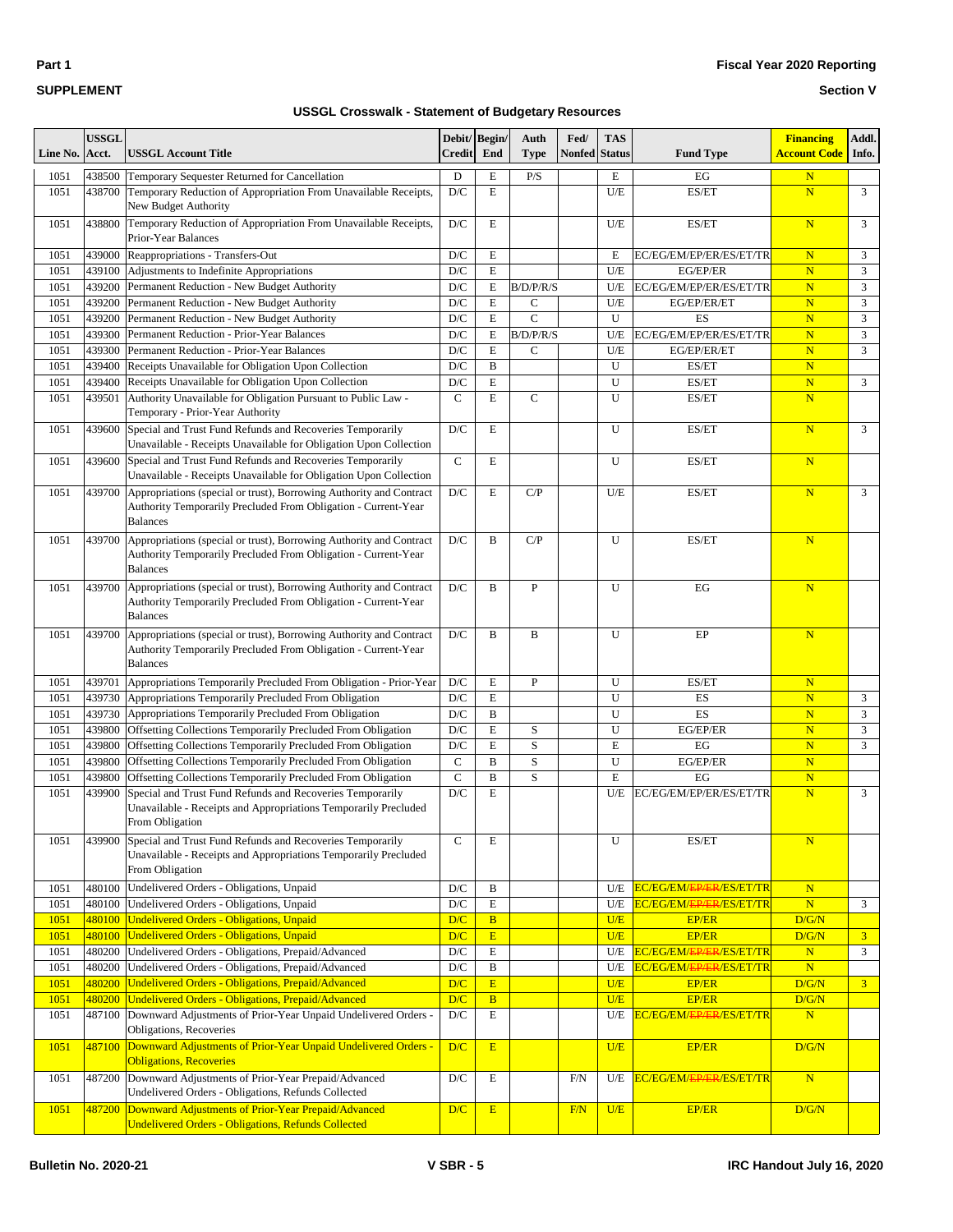| Line No.     | <b>USSGL</b><br>Acct. | <b>USSGL Account Title</b>                                                                                                                               | Debit/Begin/<br><b>Credit</b>  | End                        | Auth<br><b>Type</b>      | Fed/<br><b>Nonfed Status</b> | <b>TAS</b> | <b>Fund Type</b>                        | <b>Financing</b><br>Account Code       | Addl.<br>Info.      |
|--------------|-----------------------|----------------------------------------------------------------------------------------------------------------------------------------------------------|--------------------------------|----------------------------|--------------------------|------------------------------|------------|-----------------------------------------|----------------------------------------|---------------------|
|              |                       |                                                                                                                                                          |                                |                            |                          |                              |            |                                         |                                        |                     |
| 1051<br>1051 | 438500<br>438700      | Temporary Sequester Returned for Cancellation<br>Temporary Reduction of Appropriation From Unavailable Receipts,<br>New Budget Authority                 | D<br>D/C                       | E<br>E                     | P/S                      |                              | E<br>U/E   | EG<br>ES/ET                             | $\mathbf N$<br>$\overline{\mathbf{N}}$ | 3                   |
| 1051         | 438800                | Temporary Reduction of Appropriation From Unavailable Receipts,<br>Prior-Year Balances                                                                   | $\mathbf{D}/\mathbf{C}$        | E                          |                          |                              | U/E        | ES/ET                                   | $\overline{\mathbf{N}}$                | 3                   |
| 1051         | 439000                | Reappropriations - Transfers-Out                                                                                                                         | D/C                            | E                          |                          |                              | E          | EC/EG/EM/EP/ER/ES/ET/TR                 | $\overline{\mathbf{N}}$                | 3                   |
| 1051         | 439100                | Adjustments to Indefinite Appropriations                                                                                                                 | D/C                            | E                          |                          |                              | U/E        | EG/EP/ER                                | $\overline{\mathbf{N}}$                | 3                   |
| 1051         | 439200                | Permanent Reduction - New Budget Authority                                                                                                               | D/C                            | ${\bf E}$                  | B/D/P/R/S                |                              | U/E        | EC/EG/EM/EP/ER/ES/ET/TR                 | $\overline{\mathbf{N}}$                | 3                   |
| 1051         | 439200                | Permanent Reduction - New Budget Authority                                                                                                               | D/C                            | E                          | $\mathsf{C}$             |                              | U/E        | EG/EP/ER/ET                             | $\mathbf N$                            | 3                   |
| 1051<br>1051 | 439200<br>439300      | Permanent Reduction - New Budget Authority                                                                                                               | D/C<br>D/C                     | ${\bf E}$<br>E             | $\mathbf C$<br>B/D/P/R/S |                              | U<br>U/E   | ES<br>EC/EG/EM/EP/ER/ES/ET/TR           | $\mathbf N$<br>$\overline{\mathbf{N}}$ | $\mathfrak{Z}$<br>3 |
| 1051         | 439300                | Permanent Reduction - Prior-Year Balances<br>Permanent Reduction - Prior-Year Balances                                                                   | D/C                            | E                          | $\mathsf{C}$             |                              | U/E        | EG/EP/ER/ET                             | $\overline{\mathbf{N}}$                | 3                   |
| 1051         | 439400                | Receipts Unavailable for Obligation Upon Collection                                                                                                      | D/C                            | B                          |                          |                              | U          | ES/ET                                   | $\overline{\mathbf{N}}$                |                     |
| 1051         | 439400                | Receipts Unavailable for Obligation Upon Collection                                                                                                      | D/C                            | E                          |                          |                              | U          | ES/ET                                   | $\overline{\mathbf{N}}$                | 3                   |
| 1051         | 439501                | Authority Unavailable for Obligation Pursuant to Public Law -<br>Temporary - Prior-Year Authority                                                        | $\mathsf{C}$                   | E                          | $\mathbf C$              |                              | U          | ES/ET                                   | $\overline{\mathbf{N}}$                |                     |
| 1051         | 439600                | Special and Trust Fund Refunds and Recoveries Temporarily<br>Unavailable - Receipts Unavailable for Obligation Upon Collection                           | D/C                            | E                          |                          |                              | U          | ES/ET                                   | $\overline{\mathbf{N}}$                | 3                   |
| 1051         | 439600                | Special and Trust Fund Refunds and Recoveries Temporarily<br>Unavailable - Receipts Unavailable for Obligation Upon Collection                           | $\mathsf{C}$                   | E                          |                          |                              | U          | ES/ET                                   | $\overline{\mathbf{N}}$                |                     |
| 1051         | 439700                | Appropriations (special or trust), Borrowing Authority and Contract<br>Authority Temporarily Precluded From Obligation - Current-Year<br><b>Balances</b> | D/C                            | E                          | C/P                      |                              | U/E        | ES/ET                                   | $\overline{\mathbf{N}}$                | 3                   |
| 1051         | 439700                | Appropriations (special or trust), Borrowing Authority and Contract<br>Authority Temporarily Precluded From Obligation - Current-Year<br><b>Balances</b> | D/C                            | B                          | C/P                      |                              | U          | ES/ET                                   | $\overline{\mathbf{N}}$                |                     |
| 1051         | 439700                | Appropriations (special or trust), Borrowing Authority and Contract<br>Authority Temporarily Precluded From Obligation - Current-Year<br><b>Balances</b> | D/C                            | B                          | P                        |                              | U          | EG                                      | $\mathbf N$                            |                     |
| 1051         | 439700                | Appropriations (special or trust), Borrowing Authority and Contract<br>Authority Temporarily Precluded From Obligation - Current-Year<br><b>Balances</b> | D/C                            | B                          | B                        |                              | U          | EP                                      | $\overline{\mathbf{N}}$                |                     |
| 1051         | 439701                | Appropriations Temporarily Precluded From Obligation - Prior-Year                                                                                        | D/C                            | E                          | P                        |                              | U          | ES/ET                                   | $\mathbf N$                            |                     |
| 1051         | 439730                | Appropriations Temporarily Precluded From Obligation                                                                                                     | D/C                            | E                          |                          |                              | U          | ES                                      | $\overline{\mathbf{N}}$                | 3                   |
| 1051         | 439730                | Appropriations Temporarily Precluded From Obligation                                                                                                     | D/C                            | B                          |                          |                              | U          | ES                                      | $\overline{\mathbf{N}}$                | 3                   |
| 1051         | 439800                | Offsetting Collections Temporarily Precluded From Obligation                                                                                             | D/C                            | E                          | $\mathbf S$              |                              | U          | EG/EP/ER                                | $\mathbf N$                            | 3                   |
| 1051         | 439800                | Offsetting Collections Temporarily Precluded From Obligation                                                                                             | D/C                            | E                          | $\mathbf S$              |                              | Е          | EG                                      | $\overline{\mathbf{N}}$                | 3                   |
| 1051         | 439800                | Offsetting Collections Temporarily Precluded From Obligation                                                                                             | $\mathbf C$                    | B                          | $\mathbf S$              |                              | U          | EG/EP/ER                                | $\overline{\mathbf{N}}$                |                     |
| 1051<br>1051 | 439800<br>439900      | Offsetting Collections Temporarily Precluded From Obligation<br>Special and Trust Fund Refunds and Recoveries Temporarily                                | $\mathbf C$<br>D/C             | B<br>E                     | S                        |                              | E<br>U/E   | EG<br>EC/EG/EM/EP/ER/ES/ET/TR           | $\overline{\mathbf{N}}$<br>N           | 3                   |
|              |                       | Unavailable - Receipts and Appropriations Temporarily Precluded<br>From Obligation                                                                       |                                |                            |                          |                              |            |                                         |                                        |                     |
| 1051         | 439900                | Special and Trust Fund Refunds and Recoveries Temporarily<br>Unavailable - Receipts and Appropriations Temporarily Precluded<br>From Obligation          | $\mathsf{C}$                   | E                          |                          |                              | U          | ES/ET                                   | $\overline{\mathbf{N}}$                |                     |
| 1051         | 480100                | Undelivered Orders - Obligations, Unpaid                                                                                                                 | $\mathbf{D}/\mathbf{C}$        | B                          |                          |                              | U/E        | EC/EG/EM/ <del>EP/ER</del> /ES/ET/TR    | ${\bf N}$                              |                     |
| 1051         | 480100                | Undelivered Orders - Obligations, Unpaid                                                                                                                 | $\mathbf{D}/\mathbf{C}$        | $\mathbf E$                |                          |                              | U/E        | EC/EG/EM/ <del>EP/ER</del> /ES/ET/TR    | $\overline{\mathbf{N}}$                | 3                   |
| 1051         | 480100                | Undelivered Orders - Obligations, Unpaid                                                                                                                 | D/C                            | B                          |                          |                              | U/E        | <b>EP/ER</b>                            | D/G/N                                  |                     |
| 1051         |                       | 480100 Undelivered Orders - Obligations, Unpaid                                                                                                          | D/C                            | $\mathbf E$                |                          |                              | U/E        | EP/ER                                   | D/G/N                                  | 3 <sup>1</sup>      |
| 1051         | 480200                | Undelivered Orders - Obligations, Prepaid/Advanced<br>Undelivered Orders - Obligations, Prepaid/Advanced                                                 | $\mathbf{D}/\mathbf{C}$        | $\mathbf E$                |                          |                              | U/E        | EC/EG/EM/ <del>EP/ER</del> /ES/ET/TR    | $\mathbf N$                            | 3                   |
| 1051<br>1051 | 480200<br>480200      | Undelivered Orders - Obligations, Prepaid/Advanced                                                                                                       | $\mathbf{D}/\mathbf{C}$<br>D/C | B<br>$\overline{\text{E}}$ |                          |                              | U/E        | EC/EG/EM/EP/ER/ES/ET/TR<br><b>EP/ER</b> | $\mathbf N$<br>D/G/N                   | 3 <sup>1</sup>      |
| 1051         | 480200                | Undelivered Orders - Obligations, Prepaid/Advanced                                                                                                       | D/C                            | $\bf{B}$                   |                          |                              | U/E<br>U/E | <b>EP/ER</b>                            | D/G/N                                  |                     |
| 1051         | 487100                | Downward Adjustments of Prior-Year Unpaid Undelivered Orders -<br>Obligations, Recoveries                                                                | $\mathbf{D}/\mathbf{C}$        | E                          |                          |                              | U/E        | EC/EG/EM/ <del>EP/ER</del> /ES/ET/TR    | $\overline{\mathbf{N}}$                |                     |
| 1051         | 487100                | Downward Adjustments of Prior-Year Unpaid Undelivered Orders -<br><b>Obligations, Recoveries</b>                                                         | D/C                            | E                          |                          |                              | U/E        | <b>EP/ER</b>                            | D/G/N                                  |                     |
| 1051         | 487200                | Downward Adjustments of Prior-Year Prepaid/Advanced<br>Undelivered Orders - Obligations, Refunds Collected                                               | D/C                            | E                          |                          | F/N                          | U/E        | EC/EG/EM/ <del>EP/ER</del> /ES/ET/TR    | $\overline{\mathbf{N}}$                |                     |
| 1051         | 487200                | Downward Adjustments of Prior-Year Prepaid/Advanced<br><b>Undelivered Orders - Obligations, Refunds Collected</b>                                        | D/C                            | E                          |                          | F/N                          | U/E        | EP/ER                                   | D/G/N                                  |                     |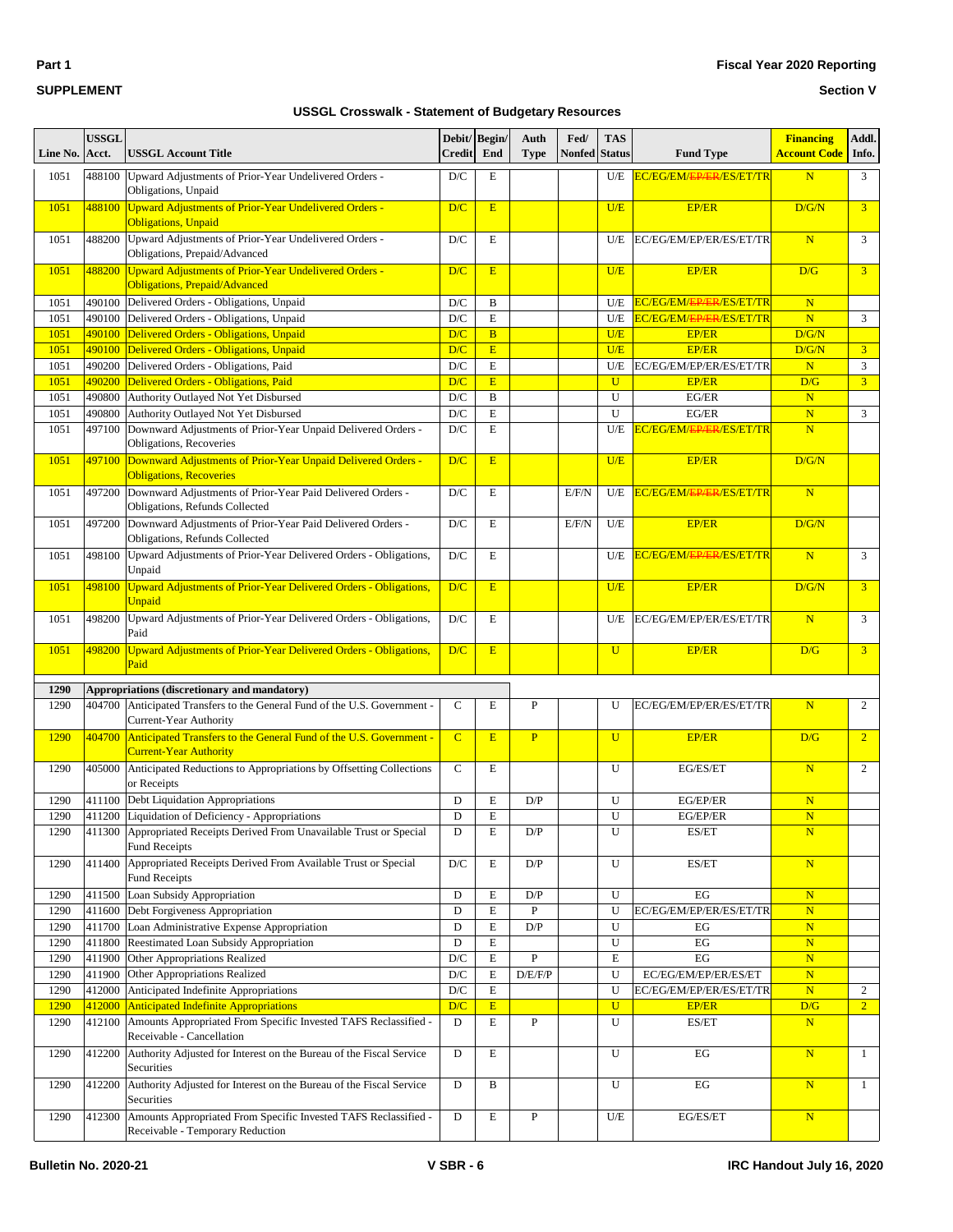**Part 1**

#### **SUPPLEMENT**

#### **Fiscal Year 2020 Reporting**

**Section V**

| Line No.     | <b>USSGL</b><br>Acct. | <b>USSGL Account Title</b>                                                                           | Debit/ Begin/<br><b>Credit</b> | End                 | Auth<br><b>Type</b> | Fed/<br>Nonfed | <b>TAS</b><br><b>Status</b> | <b>Fund Type</b>                     | <b>Financing</b><br>Account Code | Addl.<br>Info. |
|--------------|-----------------------|------------------------------------------------------------------------------------------------------|--------------------------------|---------------------|---------------------|----------------|-----------------------------|--------------------------------------|----------------------------------|----------------|
| 1051         | 488100                | Upward Adjustments of Prior-Year Undelivered Orders -<br>Obligations, Unpaid                         | $\mathbf{D}/\mathbf{C}$        | E                   |                     |                | U/E                         | EC/EG/EM/EP/ER/ES/ET/TR              | N                                | $\mathfrak{Z}$ |
| 1051         | 488100                | <b>Upward Adjustments of Prior-Year Undelivered Orders -</b><br><b>Obligations</b> , Unpaid          | D/C                            | E                   |                     |                | U/E                         | <b>EP/ER</b>                         | D/G/N                            | 3 <sup>1</sup> |
| 1051         | 488200                | Upward Adjustments of Prior-Year Undelivered Orders -<br>Obligations, Prepaid/Advanced               | D/C                            | E                   |                     |                | U/E                         | EC/EG/EM/EP/ER/ES/ET/TR              | N                                | 3              |
| 1051         | 488200                | <b>Upward Adjustments of Prior-Year Undelivered Orders -</b><br><b>Obligations, Prepaid/Advanced</b> | D/C                            | E                   |                     |                | U/E                         | <b>EP/ER</b>                         | D/G                              | $\overline{3}$ |
| 1051         | 490100                | Delivered Orders - Obligations, Unpaid                                                               | D/C                            | B                   |                     |                | U/E                         | EC/EG/EM/ <del>EP/ER</del> /ES/ET/TR | $\mathbf N$                      |                |
| 1051         | 490100                | Delivered Orders - Obligations, Unpaid                                                               | D/C                            | E                   |                     |                | U/E                         | EC/EG/EM/ <del>EP/ER</del> /ES/ET/TR | ${\bf N}$                        | 3              |
| 1051         | 490100<br>490100      | Delivered Orders - Obligations, Unpaid<br>Delivered Orders - Obligations, Unpaid                     | D/C<br>D/C                     | $\overline{B}$<br>E |                     |                | U/E<br>U/E                  | <b>EP/ER</b><br><b>EP/ER</b>         | D/G/N                            | 3 <sup>1</sup> |
| 1051<br>1051 | 490200                | Delivered Orders - Obligations, Paid                                                                 | D/C                            | $\mathbf E$         |                     |                | U/E                         | EC/EG/EM/EP/ER/ES/ET/TR              | D/G/N<br>N                       | 3              |
| 1051         | 490200                | Delivered Orders - Obligations, Paid                                                                 | D/C                            | E                   |                     |                | $\mathbf{U}$                | <b>EP/ER</b>                         | D/G                              | 3 <sup>1</sup> |
| 1051         | 490800                | Authority Outlayed Not Yet Disbursed                                                                 | D/C                            | B                   |                     |                | U                           | EG/ER                                | $\mathbf N$                      |                |
| 1051         | 490800                | Authority Outlayed Not Yet Disbursed                                                                 | $\mathbf{D}/\mathbf{C}$        | E                   |                     |                | U                           | EG/ER                                | N                                | 3              |
| 1051         | 497100                | Downward Adjustments of Prior-Year Unpaid Delivered Orders -<br>Obligations, Recoveries              | $\mathbf{D}/\mathbf{C}$        | E                   |                     |                | U/E                         | EC/EG/EM/ <del>EP/ER</del> /ES/ET/TR | N                                |                |
| 1051         | 497100                | Downward Adjustments of Prior-Year Unpaid Delivered Orders -<br><b>Obligations, Recoveries</b>       | D/C                            | E                   |                     |                | U/E                         | <b>EP/ER</b>                         | D/G/N                            |                |
| 1051         | 497200                | Downward Adjustments of Prior-Year Paid Delivered Orders -<br>Obligations, Refunds Collected         | D/C                            | E                   |                     | E/F/N          | U/E                         | EC/EG/EM/ <del>EP/ER</del> /ES/ET/TR | N                                |                |
| 1051         | 497200                | Downward Adjustments of Prior-Year Paid Delivered Orders -<br>Obligations, Refunds Collected         | D/C                            | E                   |                     | E/F/N          | U/E                         | <b>EP/ER</b>                         | D/G/N                            |                |
| 1051         | 498100                | Upward Adjustments of Prior-Year Delivered Orders - Obligations,<br>Unpaid                           | D/C                            | E                   |                     |                | U/E                         | EC/EG/EM/ <del>EP/ER</del> /ES/ET/TR | N                                | 3              |
| 1051         | 498100                | Upward Adjustments of Prior-Year Delivered Orders - Obligations,<br>Unpaid                           | D/C                            | E                   |                     |                | U/E                         | <b>EP/ER</b>                         | D/G/N                            | $\overline{3}$ |
| 1051         | 498200                | Upward Adjustments of Prior-Year Delivered Orders - Obligations,<br>Paid                             | $\mathbf{D}/\mathbf{C}$        | E                   |                     |                | U/E                         | EC/EG/EM/EP/ER/ES/ET/TR              | $\mathbf N$                      | 3              |
| 1051         | 498200                | Upward Adjustments of Prior-Year Delivered Orders - Obligations,<br>Paid                             | D/C                            | E                   |                     |                | $\mathbf U$                 | <b>EP/ER</b>                         | D/G                              | 3 <sup>1</sup> |
| 1290         |                       | Appropriations (discretionary and mandatory)                                                         |                                |                     |                     |                |                             |                                      |                                  |                |
| 1290         | 404700                | Anticipated Transfers to the General Fund of the U.S. Government -<br>Current-Year Authority         | $\mathsf{C}$                   | E                   | $\mathbf{P}$        |                | U                           | EC/EG/EM/EP/ER/ES/ET/TR              | $\mathbf N$                      | $\overline{c}$ |
| 1290         | 404700                | Anticipated Transfers to the General Fund of the U.S. Government -<br><b>Current-Year Authority</b>  | $\mathbf C$                    | E                   | $\mathbf{P}$        |                | $\mathbf{U}$                | <b>EP/ER</b>                         | D/G                              | $\overline{2}$ |
| 1290         | 405000                | Anticipated Reductions to Appropriations by Offsetting Collections<br>or Receipts                    | $\mathbf C$                    | E                   |                     |                | U                           | EG/ES/ET                             | $\overline{\mathbf{N}}$          | $\overline{c}$ |
| 1290         |                       | 411100 Debt Liquidation Appropriations                                                               | D                              | Е                   | D/P                 |                | U                           | EG/EP/ER                             | $\mathbf N$                      |                |
| 1290         |                       | 411200 Liquidation of Deficiency - Appropriations                                                    | D                              | E                   |                     |                | U                           | EG/EP/ER                             | N                                |                |
| 1290         | 411300                | Appropriated Receipts Derived From Unavailable Trust or Special<br><b>Fund Receipts</b>              | D                              | Е                   | D/P                 |                | U                           | ES/ET                                | N                                |                |
| 1290         | 411400                | Appropriated Receipts Derived From Available Trust or Special<br><b>Fund Receipts</b>                | D/C                            | Е                   | D/P                 |                | U                           | ES/ET                                | ${\bf N}$                        |                |
| 1290         | 411500                | Loan Subsidy Appropriation                                                                           | D                              | E                   | D/P                 |                | U                           | EG                                   | $\mathbf N$                      |                |
| 1290         | 411600                | Debt Forgiveness Appropriation                                                                       | D                              | E                   | $\, {\bf P}$        |                | U                           | EC/EG/EM/EP/ER/ES/ET/TR              | ${\bf N}$                        |                |
| 1290         | 411700                | Loan Administrative Expense Appropriation                                                            | D                              | $\mathbf E$         | D/P                 |                | U                           | EG                                   | ${\bf N}$                        |                |
| 1290<br>1290 | 411800<br>411900      | Reestimated Loan Subsidy Appropriation<br>Other Appropriations Realized                              | D<br>$\mathbf{D}/\mathbf{C}$   | E<br>${\bf E}$      | ${\bf P}$           |                | U<br>E                      | EG<br>EG                             | ${\bf N}$<br>N                   |                |
| 1290         | 411900                | Other Appropriations Realized                                                                        | $\mathbf{D}/\mathbf{C}$        | E                   | D/E/F/P             |                | U                           | EC/EG/EM/EP/ER/ES/ET                 | $\mathbf N$                      |                |
| 1290         | 412000                | Anticipated Indefinite Appropriations                                                                | $\mathbf{D}/\mathbf{C}$        | $\mathbf E$         |                     |                | U                           | EC/EG/EM/EP/ER/ES/ET/TR              | ${\bf N}$                        | $\overline{c}$ |
| 1290         | 412000                | Anticipated Indefinite Appropriations                                                                | D/C                            | E                   |                     |                | $\mathbf{U}$                | <b>EP/ER</b>                         | D/G                              | 2 <sup>7</sup> |
| 1290         | 412100                | Amounts Appropriated From Specific Invested TAFS Reclassified -<br>Receivable - Cancellation         | D                              | E                   | P                   |                | U                           | ES/ET                                | ${\bf N}$                        |                |
| 1290         | 412200                | Authority Adjusted for Interest on the Bureau of the Fiscal Service<br>Securities                    | D                              | E                   |                     |                | U                           | EG                                   | N                                | $\mathbf{1}$   |
| 1290         | 412200                | Authority Adjusted for Interest on the Bureau of the Fiscal Service<br>Securities                    | D                              | B                   |                     |                | U                           | EG                                   | N                                | $\mathbf{1}$   |
| 1290         | 412300                | Amounts Appropriated From Specific Invested TAFS Reclassified -<br>Receivable - Temporary Reduction  | D                              | Е                   | ${\bf P}$           |                | U/E                         | EG/ES/ET                             | ${\bf N}$                        |                |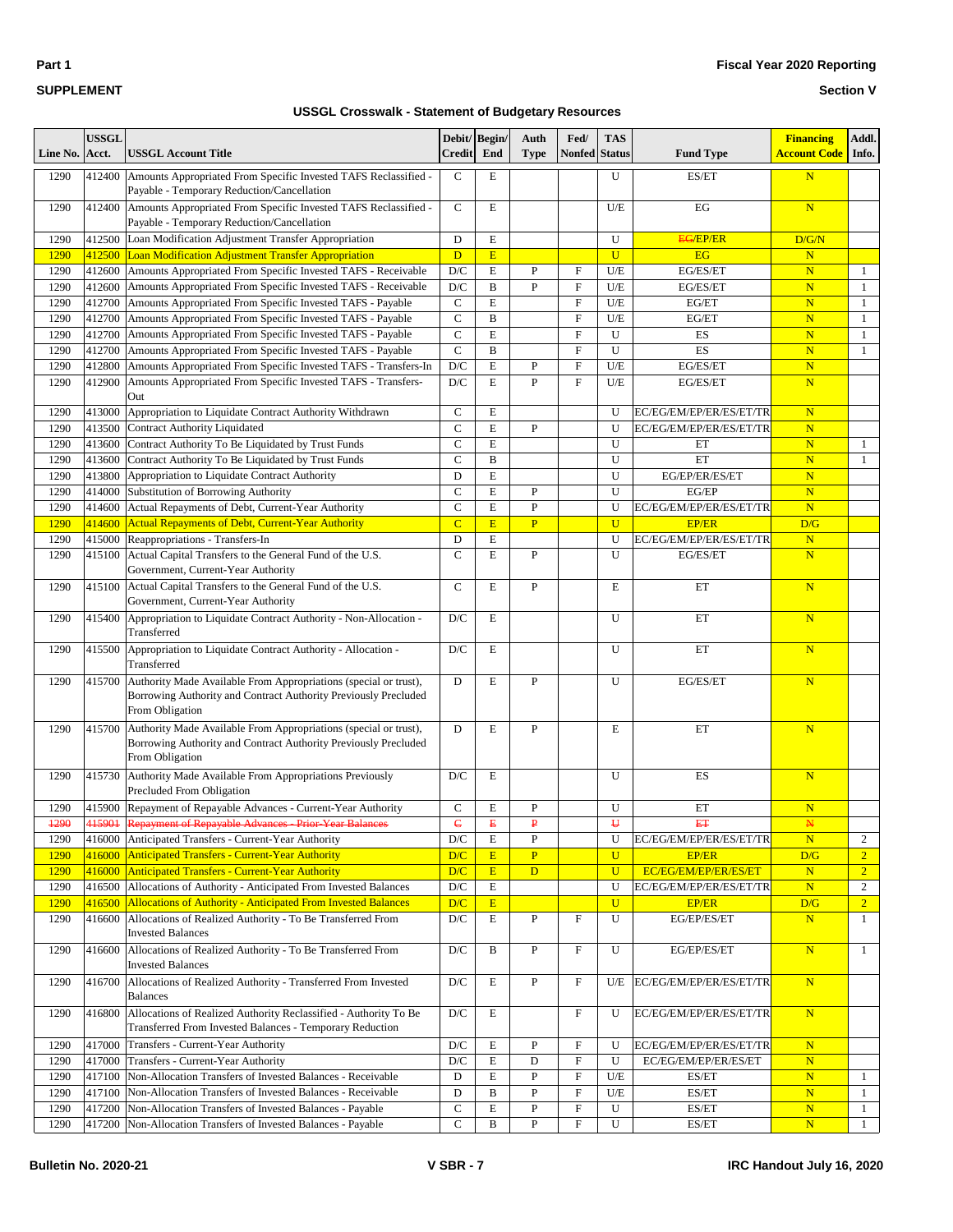| $\sim$<br>٠ |  |
|-------------|--|
|-------------|--|

#### **Section V**

| Line No. | <b>USSGL</b><br>Acct. | <b>USSGL Account Title</b>                                                                                                                             | Debit/ Begin/<br><b>Credit</b> | End          | Auth<br><b>Type</b> | Fed/<br><b>Nonfed</b> Status | <b>TAS</b>     | <b>Fund Type</b>        | <b>Financing</b><br><b>Account Code</b> | Addl.<br>Info.   |
|----------|-----------------------|--------------------------------------------------------------------------------------------------------------------------------------------------------|--------------------------------|--------------|---------------------|------------------------------|----------------|-------------------------|-----------------------------------------|------------------|
| 1290     | 412400                | Amounts Appropriated From Specific Invested TAFS Reclassified -<br>Payable - Temporary Reduction/Cancellation                                          | $\mathsf{C}$                   | E            |                     |                              | U              | ES/ET                   | $\overline{\mathbf{N}}$                 |                  |
| 1290     | 412400                | Amounts Appropriated From Specific Invested TAFS Reclassified -<br>Payable - Temporary Reduction/Cancellation                                          | $\mathsf{C}$                   | Е            |                     |                              | U/E            | EG                      | $\overline{\mathbf{N}}$                 |                  |
| 1290     | 412500                | Loan Modification Adjustment Transfer Appropriation                                                                                                    | D                              | E            |                     |                              | U              | <b>EG/EP/ER</b>         | D/G/N                                   |                  |
| 1290     | 412500                | Loan Modification Adjustment Transfer Appropriation                                                                                                    | D                              | E            |                     |                              | $\overline{U}$ | EG                      | $\mathbf N$                             |                  |
| 1290     | 412600                | Amounts Appropriated From Specific Invested TAFS - Receivable                                                                                          | $\mathbf{D}/\mathbf{C}$        | $\mathbf E$  | $\mathbf{P}$        | F                            | U/E            | EG/ES/ET                | ${\bf N}$                               | $\mathbf{1}$     |
| 1290     | 412600                | Amounts Appropriated From Specific Invested TAFS - Receivable                                                                                          | D/C                            | B            | P                   | F                            | U/E            | EG/ES/ET                | $\overline{\mathbf{N}}$                 | $\mathbf{1}$     |
| 1290     | 412700                | Amounts Appropriated From Specific Invested TAFS - Payable                                                                                             | $\mathbf C$                    | E            |                     | F                            | U/E            | EG/ET                   | $\overline{\mathbf{N}}$                 | $\mathbf{1}$     |
| 1290     | 412700                | Amounts Appropriated From Specific Invested TAFS - Payable                                                                                             | $\mathbf C$                    | $\, {\bf B}$ |                     | F                            | U/E            | EG/ET                   | $\overline{\mathbf{N}}$                 | $\mathbf{1}$     |
| 1290     | 412700                | Amounts Appropriated From Specific Invested TAFS - Payable                                                                                             | $\mathbf C$                    | E            |                     | F                            | U              | ES                      | $\overline{\mathbf{N}}$                 | $\mathbf{1}$     |
| 1290     | 412700                | Amounts Appropriated From Specific Invested TAFS - Payable                                                                                             | $\mathbf C$                    | B            |                     | F                            | U              | ES                      | $\overline{\mathbf{N}}$                 | $\mathbf{1}$     |
| 1290     | 412800                | Amounts Appropriated From Specific Invested TAFS - Transfers-In                                                                                        | D/C                            | E            | P                   | F                            | $U\!/\!E$      | EG/ES/ET                | $\overline{\mathbf{N}}$                 |                  |
| 1290     | 412900                | Amounts Appropriated From Specific Invested TAFS - Transfers-<br>Out                                                                                   | D/C                            | E            | $\mathbf{P}$        | F                            | U/E            | EG/ES/ET                | $\overline{\mathbf{N}}$                 |                  |
| 1290     | 413000                | Appropriation to Liquidate Contract Authority Withdrawn                                                                                                | $\mathbf C$                    | $\mathbf E$  |                     |                              | U              | EC/EG/EM/EP/ER/ES/ET/TR | $\overline{\mathbf{N}}$                 |                  |
| 1290     | 413500                | <b>Contract Authority Liquidated</b>                                                                                                                   | $\mathcal{C}$                  | $\mathbf E$  | $\mathbf{P}$        |                              | U              | EC/EG/EM/EP/ER/ES/ET/TR | $\overline{\mathbf{N}}$                 |                  |
| 1290     | 413600                | Contract Authority To Be Liquidated by Trust Funds                                                                                                     | $\overline{C}$                 | E            |                     |                              | U              | ET                      | $\overline{\mathbf{N}}$                 | $\mathbf{1}$     |
| 1290     | 413600                | Contract Authority To Be Liquidated by Trust Funds                                                                                                     | $\mathbf C$                    | B            |                     |                              | U              | ET                      | $\overline{\mathbf{N}}$                 | $\mathbf{1}$     |
| 1290     | 413800                | Appropriation to Liquidate Contract Authority                                                                                                          | D                              | E            |                     |                              | U              | EG/EP/ER/ES/ET          | $\mathbf N$                             |                  |
| 1290     | 414000                | Substitution of Borrowing Authority                                                                                                                    | $\mathbf C$                    | $\mathbf E$  | P                   |                              | U              | EG/EP                   | $\overline{\mathbf{N}}$                 |                  |
| 1290     | 414600                | Actual Repayments of Debt, Current-Year Authority                                                                                                      | $\mathcal{C}$                  | E            | P                   |                              | U              | EC/EG/EM/EP/ER/ES/ET/TR | $\overline{\mathbf{N}}$                 |                  |
| 1290     | 414600                | <b>Actual Repayments of Debt, Current-Year Authority</b>                                                                                               | $\overline{C}$                 | E            | $\overline{P}$      |                              | $\overline{U}$ | <b>EP/ER</b>            | D/G                                     |                  |
| 1290     | 415000                | Reappropriations - Transfers-In                                                                                                                        | D                              | $\mathbf E$  |                     |                              | U              | EC/EG/EM/EP/ER/ES/ET/TR | $\overline{\mathbf{N}}$                 |                  |
| 1290     | 415100                | Actual Capital Transfers to the General Fund of the U.S.<br>Government, Current-Year Authority                                                         | $\mathcal{C}$                  | E            | $\mathbf{P}$        |                              | U              | EG/ES/ET                | $\overline{\mathbf{N}}$                 |                  |
| 1290     | 415100                | Actual Capital Transfers to the General Fund of the U.S.<br>Government, Current-Year Authority                                                         | $\mathsf{C}$                   | Е            | P                   |                              | E              | ET                      | N                                       |                  |
| 1290     | 415400                | Appropriation to Liquidate Contract Authority - Non-Allocation -<br>Transferred                                                                        | D/C                            | Е            |                     |                              | U              | ET                      | N                                       |                  |
| 1290     | 415500                | Appropriation to Liquidate Contract Authority - Allocation -<br>Transferred                                                                            | D/C                            | E            |                     |                              | U              | ET                      | $\overline{\mathbf{N}}$                 |                  |
| 1290     | 415700                | Authority Made Available From Appropriations (special or trust),<br>Borrowing Authority and Contract Authority Previously Precluded<br>From Obligation | D                              | E            | P                   |                              | U              | EG/ES/ET                | $\overline{\mathbf{N}}$                 |                  |
| 1290     | 415700                | Authority Made Available From Appropriations (special or trust),<br>Borrowing Authority and Contract Authority Previously Precluded<br>From Obligation | D                              | E            | P                   |                              | E              | ET                      | $\overline{\mathbf{N}}$                 |                  |
| 1290     | 415730                | Authority Made Available From Appropriations Previously<br>Precluded From Obligation                                                                   | D/C                            | Е            |                     |                              | U              | ES                      | $\overline{\mathbf{N}}$                 |                  |
| 1290     | 415900                | Repayment of Repayable Advances - Current-Year Authority                                                                                               | $\mathbf C$                    | Е            | P                   |                              | U              | ET                      | $\mathbf N$                             |                  |
| $+290$   |                       | 415901 Repayment of Repayable Advances - Prior-Year Balances                                                                                           | $\epsilon$                     | B            | ₽                   |                              | ₩              | EŦ                      | N                                       |                  |
| 1290     |                       | 416000 Anticipated Transfers - Current-Year Authority                                                                                                  | D/C                            | E            | $\mathbf{P}$        |                              | U              | EC/EG/EM/EP/ER/ES/ET/TR | N                                       | $\boldsymbol{2}$ |
| 1290     | 416000                | <b>Anticipated Transfers - Current-Year Authority</b>                                                                                                  | D/C                            | E            | $\mathbf{P}$        |                              | $\mathbf{U}$   | <b>EP/ER</b>            | D/G                                     | 2 <sup>1</sup>   |
| 1290     | 416000                | <b>Anticipated Transfers - Current-Year Authority</b>                                                                                                  | D/C                            | E            | $\mathbf{D}$        |                              | $\overline{U}$ | EC/EG/EM/EP/ER/ES/ET    | $\mathbf N$                             | $\overline{2}$   |
| 1290     | 416500                | Allocations of Authority - Anticipated From Invested Balances                                                                                          | $\mathbf{D}/\mathbf{C}$        | ${\bf E}$    |                     |                              | U              | EC/EG/EM/EP/ER/ES/ET/TR | N                                       | $\overline{2}$   |
| 1290     | 416500                | <b>Allocations of Authority - Anticipated From Invested Balances</b>                                                                                   | D/C                            | E            |                     |                              | $\mathbf U$    | <b>EP/ER</b>            | D/G                                     | $\overline{2}$   |
| 1290     | 416600                | Allocations of Realized Authority - To Be Transferred From<br><b>Invested Balances</b>                                                                 | D/C                            | E            | P                   | F                            | U              | EG/EP/ES/ET             | N                                       | $\mathbf{1}$     |
| 1290     | 416600                | Allocations of Realized Authority - To Be Transferred From<br><b>Invested Balances</b>                                                                 | D/C                            | B            | P                   | F                            | U              | EG/EP/ES/ET             | $\overline{\mathbf{N}}$                 | $\mathbf{1}$     |
| 1290     | 416700                | Allocations of Realized Authority - Transferred From Invested<br><b>Balances</b>                                                                       | D/C                            | E            | $\, {\bf P}$        | F                            | U/E            | EC/EG/EM/EP/ER/ES/ET/TR | N                                       |                  |
| 1290     | 416800                | Allocations of Realized Authority Reclassified - Authority To Be<br>Transferred From Invested Balances - Temporary Reduction                           | $\mathbf{D}/\mathbf{C}$        | E            |                     | $_{\rm F}$                   | U              | EC/EG/EM/EP/ER/ES/ET/TR | N                                       |                  |
| 1290     | 417000                | Transfers - Current-Year Authority                                                                                                                     | D/C                            | E            | P                   | F                            | U              | EC/EG/EM/EP/ER/ES/ET/TR | $\mathbf N$                             |                  |
| 1290     | 417000                | Transfers - Current-Year Authority                                                                                                                     | D/C                            | E            | D                   | F                            | U              | EC/EG/EM/EP/ER/ES/ET    | ${\bf N}$                               |                  |
| 1290     | 417100                | Non-Allocation Transfers of Invested Balances - Receivable                                                                                             | D                              | E            | P                   | F                            | U/E            | ES/ET                   | $\mathbf N$                             | $\mathbf{1}$     |
| 1290     | 417100                | Non-Allocation Transfers of Invested Balances - Receivable                                                                                             | D                              | B            | P                   | F                            | U/E            | ES/ET                   | $\overline{\mathbf{N}}$                 | $\mathbf{1}$     |
| 1290     | 417200                | Non-Allocation Transfers of Invested Balances - Payable                                                                                                | $\mathbf C$                    | E            | P                   | $\mathbf F$                  | U              | ES/ET                   | $\mathbf N$                             | $\mathbf{1}$     |
| 1290     | 417200                | Non-Allocation Transfers of Invested Balances - Payable                                                                                                | $\mathbf C$                    | $\, {\bf B}$ | $\, {\bf P}$        | $\mathbf F$                  | U              | ES/ET                   | $\mathbf N$                             | $\mathbf{1}$     |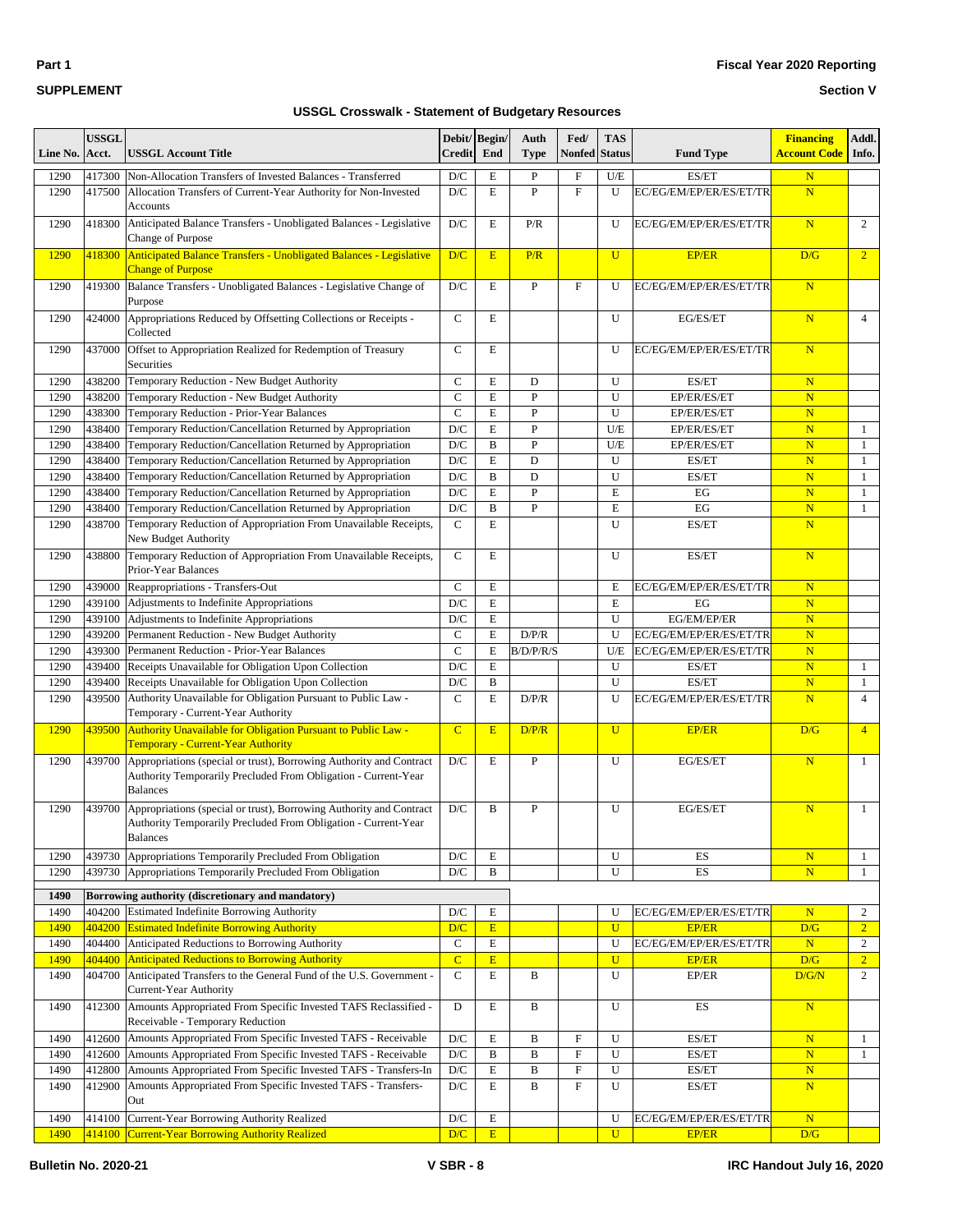| $\sim$<br>٠ |  |
|-------------|--|
|-------------|--|

#### **Fiscal Year 2020 Reporting**

#### **Section V**

| Line No.     | <b>USSGL</b><br>Acct. | <b>USSGL Account Title</b>                                                                                                                                 | Debit/ Begin/<br><b>Credit</b> | End                       | Auth<br><b>Type</b> | Fed/<br><b>Nonfed</b> | <b>TAS</b><br><b>Status</b> | <b>Fund Type</b>                 | <b>Financing</b><br><b>Account Code</b> | Addl.<br>Info.                 |
|--------------|-----------------------|------------------------------------------------------------------------------------------------------------------------------------------------------------|--------------------------------|---------------------------|---------------------|-----------------------|-----------------------------|----------------------------------|-----------------------------------------|--------------------------------|
| 1290         | 417300                | Non-Allocation Transfers of Invested Balances - Transferred                                                                                                | D/C                            | E                         | P                   | F                     | U/E                         | ES/ET                            | $\mathbf N$                             |                                |
| 1290         | 417500                | Allocation Transfers of Current-Year Authority for Non-Invested<br><b>Accounts</b>                                                                         | D/C                            | $\mathbf E$               | $\overline{P}$      | $\mathbf F$           | U                           | EC/EG/EM/EP/ER/ES/ET/TR          | $\overline{\mathbf{N}}$                 |                                |
| 1290         | 418300                | Anticipated Balance Transfers - Unobligated Balances - Legislative<br>Change of Purpose                                                                    | D/C                            | $\mathbf E$               | P/R                 |                       | U                           | EC/EG/EM/EP/ER/ES/ET/TR          | $\overline{\mathbf{N}}$                 | 2                              |
| 1290         | 418300                | Anticipated Balance Transfers - Unobligated Balances - Legislative<br><b>Change of Purpose</b>                                                             | D/C                            | E                         | P/R                 |                       | U                           | <b>EP/ER</b>                     | D/G                                     | $\overline{2}$                 |
| 1290         | 419300                | Balance Transfers - Unobligated Balances - Legislative Change of<br>Purpose                                                                                | D/C                            | E                         | $\mathbf{P}$        | $_{\rm F}$            | U                           | EC/EG/EM/EP/ER/ES/ET/TR          | $\overline{\mathbf{N}}$                 |                                |
| 1290         | 424000                | Appropriations Reduced by Offsetting Collections or Receipts -<br>Collected                                                                                | $\mathbf C$                    | $\mathbf E$               |                     |                       | U                           | EG/ES/ET                         | $\overline{\mathbf{N}}$                 | $\overline{4}$                 |
| 1290         | 437000                | Offset to Appropriation Realized for Redemption of Treasury<br>Securities                                                                                  | $\mathsf{C}$                   | E                         |                     |                       | U                           | EC/EG/EM/EP/ER/ES/ET/TR          | $\overline{\mathbf{N}}$                 |                                |
| 1290         | 438200                | Temporary Reduction - New Budget Authority                                                                                                                 | $\mathsf{C}$                   | E                         | D                   |                       | U                           | ES/ET                            | $\overline{\mathbf{N}}$                 |                                |
| 1290         | 438200                | Temporary Reduction - New Budget Authority                                                                                                                 | $\mathbf C$                    | $\mathbf E$               | $\overline{P}$      |                       | U                           | EP/ER/ES/ET                      | $\overline{\mathbf{N}}$                 |                                |
| 1290         | 438300                | Temporary Reduction - Prior-Year Balances                                                                                                                  | $\mathbf C$                    | $\mathbf E$               | $\, {\bf P}$        |                       | U                           | EP/ER/ES/ET                      | $\mathbf N$                             |                                |
| 1290         | 438400                | Temporary Reduction/Cancellation Returned by Appropriation                                                                                                 | D/C                            | $\mathbf E$               | $\overline{P}$      |                       | U/E                         | EP/ER/ES/ET                      | $\mathbf N$                             | $\mathbf{1}$                   |
| 1290         | 438400                | Temporary Reduction/Cancellation Returned by Appropriation                                                                                                 | D/C                            | B                         | $\mathbf{P}$        |                       | U/E                         | EP/ER/ES/ET                      | $\overline{\mathbf{N}}$                 | $\mathbf{1}$                   |
| 1290         | 438400                | Temporary Reduction/Cancellation Returned by Appropriation                                                                                                 | D/C                            | E                         | D                   |                       | U                           | ES/ET                            | $\overline{\mathbf{N}}$                 | $\mathbf{1}$                   |
| 1290         | 438400                | Temporary Reduction/Cancellation Returned by Appropriation                                                                                                 | D/C                            | $\, {\bf B}$              | D                   |                       | U                           | ES/ET                            | $\overline{\mathbf{N}}$                 | $\mathbf{1}$                   |
| 1290         | 438400                | Temporary Reduction/Cancellation Returned by Appropriation                                                                                                 | D/C                            | $\mathbf E$               | ${\bf P}$           |                       | E                           | EG                               | $\overline{\mathbf{N}}$                 | $\mathbf{1}$                   |
| 1290         | 438400                | Temporary Reduction/Cancellation Returned by Appropriation                                                                                                 | D/C                            | B                         | ${\bf P}$           |                       | E                           | EG                               | $\mathbf N$                             | $\mathbf{1}$                   |
| 1290         | 438700                | Temporary Reduction of Appropriation From Unavailable Receipts,<br>New Budget Authority                                                                    | $\mathsf{C}$                   | $\mathbf E$               |                     |                       | U                           | ES/ET                            | N                                       |                                |
| 1290         | 438800                | Temporary Reduction of Appropriation From Unavailable Receipts,<br>Prior-Year Balances                                                                     | $\mathbf C$                    | E                         |                     |                       | U                           | ES/ET                            | $\overline{\mathbf{N}}$                 |                                |
| 1290         | 439000                | Reappropriations - Transfers-Out                                                                                                                           | $\mathsf{C}$                   | E                         |                     |                       | E                           | EC/EG/EM/EP/ER/ES/ET/TR          | $\mathbf N$                             |                                |
| 1290         | 439100                | Adjustments to Indefinite Appropriations                                                                                                                   | D/C                            | ${\bf E}$                 |                     |                       | E                           | EG                               | $\overline{\mathbf{N}}$                 |                                |
| 1290         | 439100                | Adjustments to Indefinite Appropriations                                                                                                                   | D/C                            | ${\bf E}$                 |                     |                       | U                           | EG/EM/EP/ER                      | $\overline{\mathbf{N}}$                 |                                |
| 1290         | 439200                | Permanent Reduction - New Budget Authority                                                                                                                 | $\mathbf C$                    | ${\bf E}$                 | D/P/R               |                       | U                           | EC/EG/EM/EP/ER/ES/ET/TR          | $\mathbf N$                             |                                |
| 1290         | 439300                | Permanent Reduction - Prior-Year Balances                                                                                                                  | $\mathbf C$                    | ${\bf E}$                 | B/D/P/R/S           |                       | U/E                         | EC/EG/EM/EP/ER/ES/ET/TR          | $\overline{\mathbf{N}}$                 |                                |
| 1290         | 439400                | Receipts Unavailable for Obligation Upon Collection                                                                                                        | D/C                            | ${\bf E}$                 |                     |                       | U                           | ES/ET                            | $\mathbf N$                             | $\mathbf{1}$                   |
| 1290<br>1290 | 439400<br>439500      | Receipts Unavailable for Obligation Upon Collection<br>Authority Unavailable for Obligation Pursuant to Public Law -<br>Temporary - Current-Year Authority | D/C<br>$\mathsf{C}$            | $\, {\bf B}$<br>${\bf E}$ | D/P/R               |                       | U<br>U                      | ES/ET<br>EC/EG/EM/EP/ER/ES/ET/TR | $\overline{\mathbf{N}}$<br>N            | $\mathbf{1}$<br>$\overline{4}$ |
| 1290         | 439500                | Authority Unavailable for Obligation Pursuant to Public Law -<br><b>Temporary - Current-Year Authority</b>                                                 | $\mathbf C$                    | E                         | D/P/R               |                       | U                           | <b>EP/ER</b>                     | D/G                                     | $\overline{4}$                 |
| 1290         | 439700                | Appropriations (special or trust), Borrowing Authority and Contract<br>Authority Temporarily Precluded From Obligation - Current-Year<br><b>Balances</b>   | D/C                            | E                         | ${\bf P}$           |                       | U                           | EG/ES/ET                         | N                                       | $\mathbf{1}$                   |
| 1290         | 439700                | Appropriations (special or trust), Borrowing Authority and Contract<br>Authority Temporarily Precluded From Obligation - Current-Year<br><b>Balances</b>   | D/C                            | B                         | P                   |                       | U                           | EG/ES/ET                         | $\overline{\mathbf{N}}$                 | $\mathbf{1}$                   |
| 1290         | 439730                | Appropriations Temporarily Precluded From Obligation                                                                                                       | $\mathbf{D}/\mathbf{C}$        | ${\bf E}$                 |                     |                       | U                           | ES                               | $\mathbf N$                             | $\mathbf{1}$                   |
| 1290         |                       | 439730 Appropriations Temporarily Precluded From Obligation                                                                                                | $\mathbf{D}/\mathbf{C}$        | $\, {\bf B}$              |                     |                       | U                           | ES                               | $\mathbf N$                             | $\mathbf{1}$                   |
| 1490         |                       | Borrowing authority (discretionary and mandatory)                                                                                                          |                                |                           |                     |                       |                             |                                  |                                         |                                |
| 1490         | 404200                | Estimated Indefinite Borrowing Authority                                                                                                                   | $\mathbf{D}/\mathbf{C}$        | E                         |                     |                       | U                           | EC/EG/EM/EP/ER/ES/ET/TR          | $\overline{\mathbf{N}}$                 | $\overline{2}$                 |
| 1490         | 404200                | <b>Estimated Indefinite Borrowing Authority</b>                                                                                                            | D/C                            | E                         |                     |                       | $\mathbf U$                 | <b>EP/ER</b>                     | D/G                                     | 2 <sup>1</sup>                 |
| 1490         | 404400                | Anticipated Reductions to Borrowing Authority                                                                                                              | $\mathbf C$                    | $\overline{E}$            |                     |                       | U                           | EC/EG/EM/EP/ER/ES/ET/TR          | N                                       | $\overline{2}$                 |
| 1490         | 404400                | Anticipated Reductions to Borrowing Authority                                                                                                              | $\overline{C}$                 | E                         |                     |                       | $\mathbf{U}$                | <b>EP/ER</b>                     | D/G                                     | $\overline{2}$                 |
| 1490         | 404700                | Anticipated Transfers to the General Fund of the U.S. Government -<br>Current-Year Authority                                                               | $\mathbf C$                    | E                         | B                   |                       | U                           | EP/ER                            | D/G/N                                   | $\overline{2}$                 |
| 1490         | 412300                | Amounts Appropriated From Specific Invested TAFS Reclassified -<br>Receivable - Temporary Reduction                                                        | D                              | E                         | B                   |                       | U                           | ES                               | $\overline{\mathbf{N}}$                 |                                |
| 1490         | 412600                | Amounts Appropriated From Specific Invested TAFS - Receivable                                                                                              | $\mathbf{D}/\mathbf{C}$        | E                         | B                   | ${\rm F}$             | U                           | ES/ET                            | $\mathbf N$                             | $\mathbf{1}$                   |
| 1490         | 412600                | Amounts Appropriated From Specific Invested TAFS - Receivable                                                                                              | $\mathbf{D}/\mathbf{C}$        | $\, {\bf B}$              | B                   | ${\rm F}$             | U                           | ES/ET                            | ${\bf N}$                               | $\mathbf{1}$                   |
| 1490         | 412800                | Amounts Appropriated From Specific Invested TAFS - Transfers-In                                                                                            | $\mathbf{D}/\mathbf{C}$        | ${\bf E}$                 | B                   | ${\rm F}$             | U                           | ES/ET                            | $\mathbf N$                             |                                |
| 1490         | 412900                | Amounts Appropriated From Specific Invested TAFS - Transfers-<br>Out                                                                                       | $\mathbf{D}/\mathbf{C}$        | E                         | B                   | $\rm F$               | U                           | ES/ET                            | ${\bf N}$                               |                                |
| 1490         | 414100                | Current-Year Borrowing Authority Realized                                                                                                                  | D/C                            | E                         |                     |                       | U                           | EC/EG/EM/EP/ER/ES/ET/TR          | ${\bf N}$                               |                                |
| 1490         |                       | 414100 Current-Year Borrowing Authority Realized                                                                                                           | D/C                            | E                         |                     |                       | $\mathbf U$                 | <b>EP/ER</b>                     | D/G                                     |                                |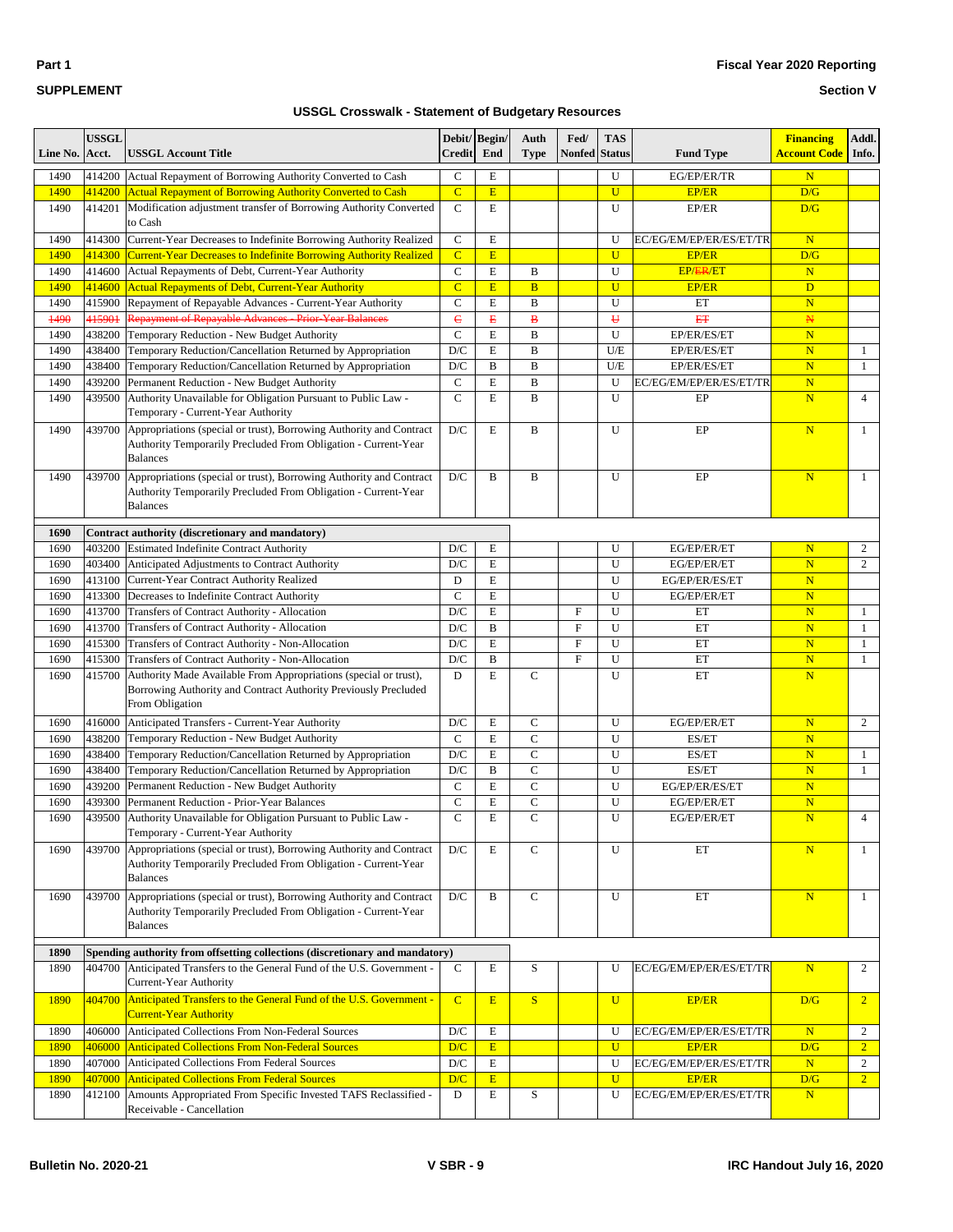| -- | $-$ | -- | . .<br>the contract of the con- |
|----|-----|----|---------------------------------|
|    |     |    |                                 |
|    |     |    |                                 |
|    |     |    |                                 |
|    |     |    |                                 |
|    |     |    |                                 |
|    |     |    |                                 |

| <b>Bulletin No. 2020-21</b> | $V$ SBR - 9 | IRC Handout July 16, 2020 |
|-----------------------------|-------------|---------------------------|
|                             |             |                           |

**Section V**

### **SUPPLEMENT**

| Line No.    | <b>USSGL</b><br>Acct. | USSGL Account Title                                                                                 | <b>Credit</b>           | Debit/ Begin/<br>End | Auth<br><b>Type</b> | Fed/<br><b>Nonfed</b> | <b>TAS</b><br><b>Status</b> | <b>Fund Type</b>        | <b>Financing</b><br><b>Account Code</b> | Addl.<br>Info. |
|-------------|-----------------------|-----------------------------------------------------------------------------------------------------|-------------------------|----------------------|---------------------|-----------------------|-----------------------------|-------------------------|-----------------------------------------|----------------|
| 1490        | 414200                | Actual Repayment of Borrowing Authority Converted to Cash                                           | $\mathsf{C}$            | E                    |                     |                       | U                           | EG/EP/ER/TR             | $\mathbf N$                             |                |
| 1490        | 414200                | <b>Actual Repayment of Borrowing Authority Converted to Cash</b>                                    | $\overline{C}$          | E                    |                     |                       | U                           | <b>EP/ER</b>            | D/G                                     |                |
| 1490        | 414201                | Modification adjustment transfer of Borrowing Authority Converted                                   | $\mathbf C$             | E                    |                     |                       | U                           | EP/ER                   | D/G                                     |                |
|             |                       | to Cash                                                                                             |                         |                      |                     |                       |                             |                         |                                         |                |
| 1490        | 414300                | Current-Year Decreases to Indefinite Borrowing Authority Realized                                   | $\mathbf C$             | E                    |                     |                       | U                           | EC/EG/EM/EP/ER/ES/ET/TR | $\mathbf N$                             |                |
| 1490        | 414300                | Current-Year Decreases to Indefinite Borrowing Authority Realized                                   | $\overline{C}$          | E                    |                     |                       | U                           | <b>EP/ER</b>            | D/G                                     |                |
| 1490        | 414600                | Actual Repayments of Debt, Current-Year Authority                                                   | $\mathbf C$             | E                    | B                   |                       | U                           | <b>EP/ER/ET</b>         | $\mathbf N$                             |                |
| 1490        | 414600                | <b>Actual Repayments of Debt, Current-Year Authority</b>                                            | $\overline{C}$          | E                    | $\overline{B}$      |                       | U                           | <b>EP/ER</b>            | D                                       |                |
| 1490        | 415900                | Repayment of Repayable Advances - Current-Year Authority                                            | $\mathbf C$             | E                    | B                   |                       | U                           | ET                      | $\mathbf N$                             |                |
| 1490        | 415901                | Repayment of Repayable Advances - Prior-Year Balances                                               | $\epsilon$              | B                    | $\bf{B}$            |                       | Ĥ                           | <b>ET</b>               | $\mathbb N$                             |                |
| 1490        | 438200                | Temporary Reduction - New Budget Authority                                                          | $\mathcal{C}$           | E                    | $\bf{B}$            |                       | U                           | EP/ER/ES/ET             | $\mathbf N$                             |                |
| 1490        | 438400                | Temporary Reduction/Cancellation Returned by Appropriation                                          | D/C                     | E                    | B                   |                       | U/E                         | EP/ER/ES/ET             | $\mathbf N$                             | $\mathbf{1}$   |
| 1490        | 438400                | Temporary Reduction/Cancellation Returned by Appropriation                                          | D/C                     | B                    | B                   |                       | U/E                         | EP/ER/ES/ET             | $\mathbf N$                             | $\mathbf{1}$   |
| 1490        | 439200                | Permanent Reduction - New Budget Authority                                                          | $\mathbf C$             | E                    | $\bf{B}$            |                       | U                           | EC/EG/EM/EP/ER/ES/ET/TR | $\mathbf N$                             |                |
| 1490        | 439500                | Authority Unavailable for Obligation Pursuant to Public Law -                                       | $\mathcal{C}$           | E                    | $\bf{B}$            |                       | U                           | EP                      | $\mathbf N$                             | $\overline{4}$ |
|             |                       | Temporary - Current-Year Authority                                                                  |                         |                      |                     |                       |                             |                         |                                         |                |
| 1490        | 439700                | Appropriations (special or trust), Borrowing Authority and Contract                                 | D/C                     | E                    | B                   |                       | U                           | EP                      | $\mathbf N$                             | $\mathbf{1}$   |
|             |                       | Authority Temporarily Precluded From Obligation - Current-Year                                      |                         |                      |                     |                       |                             |                         |                                         |                |
|             |                       | <b>Balances</b>                                                                                     |                         |                      |                     |                       |                             |                         |                                         |                |
| 1490        | 439700                | Appropriations (special or trust), Borrowing Authority and Contract                                 | D/C                     | B                    | B                   |                       | U                           | EP                      | $\mathbf N$                             | $\mathbf{1}$   |
|             |                       | Authority Temporarily Precluded From Obligation - Current-Year                                      |                         |                      |                     |                       |                             |                         |                                         |                |
|             |                       | <b>Balances</b>                                                                                     |                         |                      |                     |                       |                             |                         |                                         |                |
| 1690        |                       | Contract authority (discretionary and mandatory)                                                    |                         |                      |                     |                       |                             |                         |                                         |                |
| 1690        |                       | 403200 Estimated Indefinite Contract Authority                                                      | D/C                     | Е                    |                     |                       | U                           | EG/EP/ER/ET             | $\mathbf N$                             | 2              |
| 1690        | 403400                | Anticipated Adjustments to Contract Authority                                                       | D/C                     | E                    |                     |                       | U                           | EG/EP/ER/ET             | $\mathbf N$                             | $\overline{c}$ |
| 1690        | 413100                | Current-Year Contract Authority Realized                                                            | D                       | E                    |                     |                       | U                           | EG/EP/ER/ES/ET          | $\mathbf N$                             |                |
| 1690        | 413300                | Decreases to Indefinite Contract Authority                                                          | $\mathcal{C}$           | E                    |                     |                       | U                           | EG/EP/ER/ET             | $\mathbf N$                             |                |
| 1690        | 413700                | Transfers of Contract Authority - Allocation                                                        | D/C                     | E                    |                     | F                     | U                           | ET                      | $\mathbf N$                             | $\mathbf{1}$   |
| 1690        | 413700                | Transfers of Contract Authority - Allocation                                                        | D/C                     | B                    |                     | F                     | U                           | ET                      | $\mathbf N$                             | $\mathbf{1}$   |
| 1690        | 415300                | Transfers of Contract Authority - Non-Allocation                                                    | D/C                     | E                    |                     | $\rm F$               | U                           | ET                      | $\mathbf N$                             | 1              |
| 1690        | 415300                | Transfers of Contract Authority - Non-Allocation                                                    | D/C                     | B                    |                     | $\mathbf F$           | U                           | ET                      | $\mathbf N$                             | $\mathbf{1}$   |
| 1690        | 415700                | Authority Made Available From Appropriations (special or trust),                                    | D                       | E                    | $\mathbf C$         |                       | U                           | ET                      | $\mathbf N$                             |                |
|             |                       | Borrowing Authority and Contract Authority Previously Precluded<br>From Obligation                  |                         |                      |                     |                       |                             |                         |                                         |                |
| 1690        | 416000                | Anticipated Transfers - Current-Year Authority                                                      | D/C                     | E                    | $\mathbf C$         |                       | U                           | EG/EP/ER/ET             | $\mathbf N$                             | 2              |
| 1690        | 438200                | Temporary Reduction - New Budget Authority                                                          | $\mathsf{C}$            | E                    | $\mathbf C$         |                       | U                           | ES/ET                   | $\mathbf N$                             |                |
| 1690        | 438400                | Temporary Reduction/Cancellation Returned by Appropriation                                          | D/C                     | E                    | $\mathbf C$         |                       | U                           | ES/ET                   | $\mathbf N$                             | $\mathbf{1}$   |
| 1690        | 438400                | Temporary Reduction/Cancellation Returned by Appropriation                                          | D/C                     | B                    | $\mathsf{C}$        |                       | U                           | ES/ET                   | $\mathbf N$                             | $\mathbf{1}$   |
| 1690        | 439200                | Permanent Reduction - New Budget Authority                                                          | $\mathbf C$             | E                    | $\mathbf C$         |                       | U                           | EG/EP/ER/ES/ET          | $\mathbf N$                             |                |
| 1690        | 439300                | Permanent Reduction - Prior-Year Balances                                                           | $\mathcal{C}$           | E                    | $\mathbf C$         |                       | U                           | EG/EP/ER/ET             | $\mathbf N$                             |                |
| 1690        | 439500                | Authority Unavailable for Obligation Pursuant to Public Law -                                       | C                       | E                    | $\mathbf C$         |                       | U                           | EG/EP/ER/ET             | N                                       |                |
|             |                       | Temporary - Current-Year Authority                                                                  |                         |                      |                     |                       |                             |                         |                                         |                |
| 1690        | 439700                | Appropriations (special or trust), Borrowing Authority and Contract                                 | $\mathbf{D}/\mathbf{C}$ | Е                    | $\mathbf C$         |                       | U                           | ET                      | $\mathbf N$                             | $\mathbf{1}$   |
|             |                       | Authority Temporarily Precluded From Obligation - Current-Year                                      |                         |                      |                     |                       |                             |                         |                                         |                |
|             |                       | <b>Balances</b>                                                                                     |                         |                      |                     |                       |                             |                         |                                         |                |
| 1690        | 439700                | Appropriations (special or trust), Borrowing Authority and Contract                                 | D/C                     | B                    | $\mathbf C$         |                       | U                           | ET                      | $\mathbf N$                             | $\mathbf{1}$   |
|             |                       | Authority Temporarily Precluded From Obligation - Current-Year                                      |                         |                      |                     |                       |                             |                         |                                         |                |
|             |                       | <b>Balances</b>                                                                                     |                         |                      |                     |                       |                             |                         |                                         |                |
|             |                       |                                                                                                     |                         |                      |                     |                       |                             |                         |                                         |                |
| 1890        |                       | Spending authority from offsetting collections (discretionary and mandatory)                        |                         |                      |                     |                       |                             |                         |                                         |                |
| 1890        | 404700                | Anticipated Transfers to the General Fund of the U.S. Government -<br>Current-Year Authority        | $\mathbf C$             | E                    | S                   |                       | U                           | EC/EG/EM/EP/ER/ES/ET/TR | $\mathbf N$                             | $\overline{c}$ |
| 1890        | 404700                | Anticipated Transfers to the General Fund of the U.S. Government -<br><b>Current-Year Authority</b> | $\overline{C}$          | E                    | S                   |                       | $\mathbf U$                 | <b>EP/ER</b>            | D/G                                     | $\overline{2}$ |
| 1890        | 406000                | Anticipated Collections From Non-Federal Sources                                                    | D/C                     | E                    |                     |                       | U                           | EC/EG/EM/EP/ER/ES/ET/TR | $\mathbf N$                             | 2              |
| 1890        | 406000                | <b>Anticipated Collections From Non-Federal Sources</b>                                             | D/C                     | E                    |                     |                       | $\overline{U}$              | EP/ER                   | D/G                                     | $\overline{2}$ |
| 1890        | 407000                | Anticipated Collections From Federal Sources                                                        | $\mathbf{D}/\mathbf{C}$ | E                    |                     |                       | U                           | EC/EG/EM/EP/ER/ES/ET/TR | $\mathbf N$                             | $\overline{c}$ |
| <b>1890</b> | 407000                | <b>Anticipated Collections From Federal Sources</b>                                                 | D/C                     | E                    |                     |                       | U                           | <b>EP/ER</b>            | D/G                                     | $\overline{2}$ |
| 1890        | 412100                | Amounts Appropriated From Specific Invested TAFS Reclassified -<br>Receivable - Cancellation        | D                       | Е                    | $\mathbf S$         |                       | U                           | EC/EG/EM/EP/ER/ES/ET/TR | N                                       |                |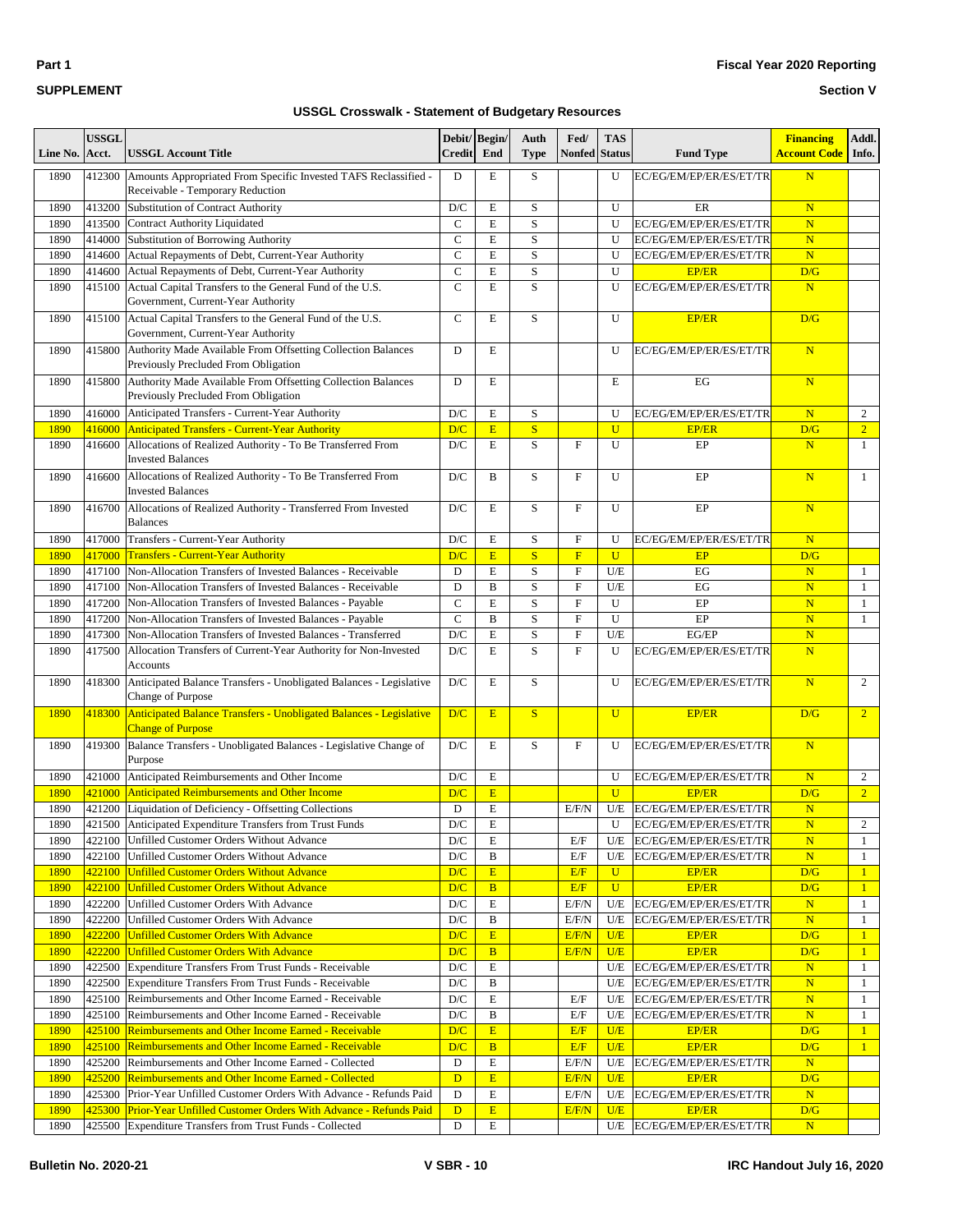#### **Fiscal Year 2020 Reporting**

#### **Section V**

| Line No.     | <b>USSGL</b><br>Acct. | <b>USSGL Account Title</b>                                                                           | Debit/Begin/<br><b>Credit</b> | End                     | Auth<br>Type            | Fed/<br><b>Nonfed</b> Status | <b>TAS</b>     | <b>Fund Type</b>            | <b>Financing</b><br><b>Account Code</b> | Addl.<br>Info. |
|--------------|-----------------------|------------------------------------------------------------------------------------------------------|-------------------------------|-------------------------|-------------------------|------------------------------|----------------|-----------------------------|-----------------------------------------|----------------|
| 1890         | 412300                | Amounts Appropriated From Specific Invested TAFS Reclassified -<br>Receivable - Temporary Reduction  | D                             | E                       | $\mathbf S$             |                              | U              | EC/EG/EM/EP/ER/ES/ET/TR     | N                                       |                |
| 1890         | 413200                | Substitution of Contract Authority                                                                   | D/C                           | E                       | S                       |                              | U              | ER                          | $\overline{\mathbf{N}}$                 |                |
| 1890         | 413500                | <b>Contract Authority Liquidated</b>                                                                 | $\mathbf C$                   | $\mathbf E$             | S                       |                              | U              | EC/EG/EM/EP/ER/ES/ET/TR     | $\overline{\mathbf{N}}$                 |                |
| 1890         | 414000                | Substitution of Borrowing Authority                                                                  | $\overline{C}$                | $\mathbf E$             | $\mathbf S$             |                              | U              | EC/EG/EM/EP/ER/ES/ET/TR     | ${\bf N}$                               |                |
| 1890         | 414600                | Actual Repayments of Debt, Current-Year Authority                                                    | $\mathbf C$                   | $\mathbf E$             | S                       |                              | U              | EC/EG/EM/EP/ER/ES/ET/TR     | $\overline{\mathbf{N}}$                 |                |
| 1890         | 414600                | Actual Repayments of Debt, Current-Year Authority                                                    | $\overline{C}$                | E                       | S                       |                              | U              | <b>EP/ER</b>                | D/G                                     |                |
| 1890         | 415100                | Actual Capital Transfers to the General Fund of the U.S.<br>Government, Current-Year Authority       | $\mathbf C$                   | $\mathbf E$             | S                       |                              | U              | EC/EG/EM/EP/ER/ES/ET/TR     | $\overline{\mathbf{N}}$                 |                |
| 1890         | 415100                | Actual Capital Transfers to the General Fund of the U.S.<br>Government, Current-Year Authority       | $\mathsf{C}$                  | E                       | S                       |                              | U              | <b>EP/ER</b>                | D/G                                     |                |
| 1890         | 415800                | Authority Made Available From Offsetting Collection Balances<br>Previously Precluded From Obligation | D                             | E                       |                         |                              | U              | EC/EG/EM/EP/ER/ES/ET/TR     | $\overline{\mathbf{N}}$                 |                |
| 1890         | 415800                | Authority Made Available From Offsetting Collection Balances<br>Previously Precluded From Obligation | D                             | E                       |                         |                              | E              | EG                          | $\overline{\mathbf{N}}$                 |                |
| 1890         | 416000                | Anticipated Transfers - Current-Year Authority                                                       | D/C                           | $\mathbf E$             | S                       |                              | U              | EC/EG/EM/EP/ER/ES/ET/TR     | $\overline{\mathbf{N}}$                 | 2              |
| 1890         | 416000                | <b>Anticipated Transfers - Current-Year Authority</b>                                                | D/C                           | E                       | S                       |                              | $\overline{U}$ | <b>EP/ER</b>                | D/G                                     | $\overline{2}$ |
| 1890         | 416600                | Allocations of Realized Authority - To Be Transferred From<br><b>Invested Balances</b>               | D/C                           | E                       | S                       | $\rm F$                      | U              | EP                          | $\overline{\mathbf{N}}$                 | $\mathbf{1}$   |
| 1890         | 416600                | Allocations of Realized Authority - To Be Transferred From<br><b>Invested Balances</b>               | D/C                           | B                       | S                       | F                            | U              | EP                          | N                                       | $\mathbf{1}$   |
| 1890         | 416700                | Allocations of Realized Authority - Transferred From Invested<br><b>Balances</b>                     | D/C                           | E                       | $\mathbf S$             | $\mathbf F$                  | U              | EP                          | $\overline{\mathbf{N}}$                 |                |
| 1890         | 417000                | Transfers - Current-Year Authority                                                                   | D/C                           | E                       | S                       | F                            | U              | EC/EG/EM/EP/ER/ES/ET/TR     | $\overline{\mathbf{N}}$                 |                |
| 1890         | 417000                | <b>Transfers - Current-Year Authority</b>                                                            | D/C                           | E                       | $\overline{\mathbf{S}}$ | $\overline{F}$               | $\mathbf{U}$   | EP                          | D/G                                     |                |
| 1890         | 417100                | Non-Allocation Transfers of Invested Balances - Receivable                                           | D                             | $\mathbf E$             | $\mathbf S$             | F                            | U/E            | EG                          | $\mathbf N$                             | $\mathbf{1}$   |
| 1890         | 417100                | Non-Allocation Transfers of Invested Balances - Receivable                                           | D                             | $\, {\bf B}$            | S                       | $\rm F$                      | U/E            | EG                          | $\overline{\mathbf{N}}$                 | $\mathbf{1}$   |
| 1890         | 417200                | Non-Allocation Transfers of Invested Balances - Payable                                              | $\mathbf C$                   | $\mathbf E$             | S                       | $\rm F$                      | U              | EP                          | $\overline{\mathbf{N}}$                 | $\mathbf{1}$   |
| 1890         | 417200                | Non-Allocation Transfers of Invested Balances - Payable                                              | $\mathcal{C}$                 | $\bf{B}$                | S                       | $\mathbf F$                  | U              | EP                          | $\overline{\mathbf{N}}$                 | $\mathbf{1}$   |
| 1890         | 417300                | Non-Allocation Transfers of Invested Balances - Transferred                                          | D/C                           | $\mathbf E$             | S                       | $\rm F$                      | U/E            | EG/EP                       | N                                       |                |
| 1890         | 417500                | Allocation Transfers of Current-Year Authority for Non-Invested<br>Accounts                          | D/C                           | E                       | S                       | $\mathbf F$                  | U              | EC/EG/EM/EP/ER/ES/ET/TR     | $\overline{\mathbf{N}}$                 |                |
| 1890         | 418300                | Anticipated Balance Transfers - Unobligated Balances - Legislative<br>Change of Purpose              | D/C                           | E                       | S                       |                              | U              | EC/EG/EM/EP/ER/ES/ET/TR     | N                                       | 2              |
| 1890         | 418300                | Anticipated Balance Transfers - Unobligated Balances - Legislative<br><b>Change of Purpose</b>       | D/C                           | E                       | S                       |                              | $\mathbf{U}$   | <b>EP/ER</b>                | D/G                                     | $\overline{2}$ |
| 1890         | 419300                | Balance Transfers - Unobligated Balances - Legislative Change of<br>Purpose                          | D/C                           | E                       | S                       | $\mathbf F$                  | U              | EC/EG/EM/EP/ER/ES/ET/TR     | N                                       |                |
| 1890         | 421000                | Anticipated Reimbursements and Other Income                                                          | D/C                           | $\mathbf E$             |                         |                              | U              | EC/EG/EM/EP/ER/ES/ET/TR     | $\overline{\mathbf{N}}$                 | 2              |
| 1890         | 421000                | <b>Anticipated Reimbursements and Other Income</b>                                                   | D/C                           | E                       |                         |                              | $\overline{U}$ | <b>EP/ER</b>                | D/G                                     | $\overline{2}$ |
| 1890         | 421200                | Liquidation of Deficiency - Offsetting Collections                                                   | D                             | $\mathbf E$             |                         | E/F/N                        | U/E            | EC/EG/EM/EP/ER/ES/ET/TR     | $\overline{\mathbf{N}}$                 |                |
| 1890         |                       | 421500 Anticipated Expenditure Transfers from Trust Funds                                            | $\mathbf{D}/\mathbf{C}$       | $\overline{\mathrm{E}}$ |                         |                              | U              | EC/EG/EM/EP/ER/ES/ET/TR     | $\overline{\mathbf{N}}$                 | $\overline{2}$ |
| 1890         |                       | 422100 Unfilled Customer Orders Without Advance                                                      | D/C                           | E                       |                         | E/F                          | U/E            | EC/EG/EM/EP/ER/ES/ET/TR     | $\overline{\mathbf{N}}$                 | $\mathbf{1}$   |
| 1890         | 422100                | Unfilled Customer Orders Without Advance                                                             | D/C                           | B                       |                         | E/F                          | U/E            | EC/EG/EM/EP/ER/ES/ET/TR     | $\overline{\mathbf{N}}$                 | $\mathbf{1}$   |
| 1890         |                       | 422100 Unfilled Customer Orders Without Advance                                                      | D/C                           | E                       |                         | E/F                          | $\mathbf U$    | <b>EP/ER</b>                | D/G                                     | $\mathbf{1}$   |
| 1890         | 422100                | <b>Unfilled Customer Orders Without Advance</b>                                                      | D/C                           | $\mathbf{B}$            |                         | E/F                          | $\mathbf{U}$   | <b>EP/ER</b>                | D/G                                     | $\mathbf{1}$   |
| 1890         | 422200                | Unfilled Customer Orders With Advance                                                                | $\mathbf{D}/\mathbf{C}$       | E                       |                         | E/F/N                        | U/E            | EC/EG/EM/EP/ER/ES/ET/TR     | ${\bf N}$                               | $\mathbf{1}$   |
| 1890         | 422200                | Unfilled Customer Orders With Advance                                                                | $\mathbf{D}/\mathbf{C}$       | B                       |                         | E/F/N                        | U/E            | EC/EG/EM/EP/ER/ES/ET/TR     | $\mathbf N$                             | $\mathbf{1}$   |
| 1890         | 422200                | <b>Unfilled Customer Orders With Advance</b>                                                         | D/C                           | E                       |                         | E/F/N                        | U/E            | <b>EP/ER</b>                | D/G                                     | $\mathbf{1}$   |
| 1890         | 422200                | <b>Unfilled Customer Orders With Advance</b>                                                         | D/C                           | $\overline{B}$          |                         | E/F/N                        | U/E            | <b>EP/ER</b>                | D/G                                     | $\mathbf{1}$   |
| 1890         | 422500                | Expenditure Transfers From Trust Funds - Receivable                                                  | $\mathbf{D}/\mathbf{C}$       | E                       |                         |                              | U/E            | EC/EG/EM/EP/ER/ES/ET/TR     | $\mathbf N$                             | $\mathbf{1}$   |
| 1890         | 422500                | Expenditure Transfers From Trust Funds - Receivable                                                  | $\mathbf{D}/\mathbf{C}$       | B                       |                         |                              | U/E            | EC/EG/EM/EP/ER/ES/ET/TR     | ${\bf N}$                               | $\mathbf{1}$   |
| 1890         | 425100                | Reimbursements and Other Income Earned - Receivable                                                  | $\mathbf{D}/\mathbf{C}$       | $\mathbf E$             |                         | E/F                          | U/E            | EC/EG/EM/EP/ER/ES/ET/TR     | $\mathbf N$                             | $\mathbf{1}$   |
| 1890         | 425100                | Reimbursements and Other Income Earned - Receivable                                                  | $\mathbf{D}/\mathbf{C}$       | B                       |                         | E/F                          | U/E            | EC/EG/EM/EP/ER/ES/ET/TR     | $\overline{\mathbf{N}}$                 | $\mathbf{1}$   |
| 1890         | 425100                | <b>Reimbursements and Other Income Earned - Receivable</b>                                           | D/C                           | E                       |                         | E/F                          | U/E            | EP/ER                       | D/G                                     | $\mathbf{1}$   |
| 1890         | 425100                | <b>Reimbursements and Other Income Earned - Receivable</b>                                           | D/C                           | $\mathbf{B}$            |                         | E/F                          | U/E            | <b>EP/ER</b>                | D/G                                     | $\mathbf{1}$   |
| 1890         | 425200                | Reimbursements and Other Income Earned - Collected                                                   | D                             | E                       |                         | E/F/N                        | U/E            | EC/EG/EM/EP/ER/ES/ET/TR     | $\mathbf N$                             |                |
| 1890         | 425200                | <b>Reimbursements and Other Income Earned - Collected</b>                                            | $\mathbf{D}$                  | E                       |                         | E/F/N                        | U/E            | <b>EP/ER</b>                | D/G                                     |                |
| 1890         | 425300                | Prior-Year Unfilled Customer Orders With Advance - Refunds Paid                                      | D                             | E                       |                         | E/F/N                        | U/E            | EC/EG/EM/EP/ER/ES/ET/TR     | N                                       |                |
| 1890<br>1890 |                       | 425300 Prior-Year Unfilled Customer Orders With Advance - Refunds Paid                               | $\mathbf{D}$<br>D             | E                       |                         | E/F/N                        | U/E            | <b>EP/ER</b>                | D/G                                     |                |
|              | 425500                | Expenditure Transfers from Trust Funds - Collected                                                   |                               | E                       |                         |                              |                | U/E EC/EG/EM/EP/ER/ES/ET/TR | $\mathbf N$                             |                |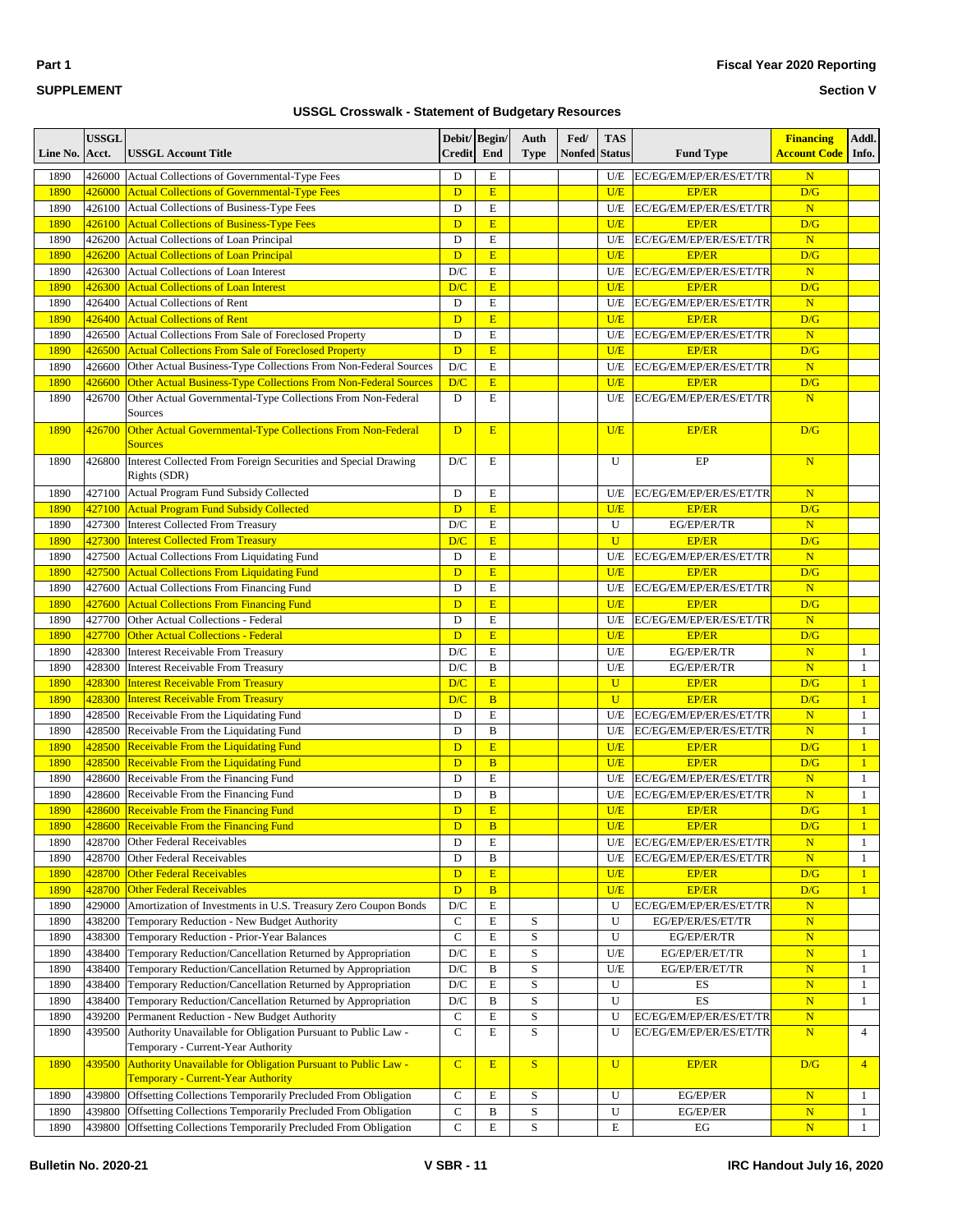| ٠ | ٧<br>$\sim$ |  |
|---|-------------|--|
|   |             |  |

#### **Fiscal Year 2020 Reporting**

#### **Section V**

| Line No.     | <b>USSGL</b><br>Acct. | <b>USSGL Account Title</b>                                                                          | Debit/ Begin/<br><b>Credit</b> | End                 | Auth<br><b>Type</b> | Fed/<br><b>Nonfed Status</b> | <b>TAS</b>            | <b>Fund Type</b>                        | <b>Financing</b><br><b>Account Code</b> Info. | Addl.                        |
|--------------|-----------------------|-----------------------------------------------------------------------------------------------------|--------------------------------|---------------------|---------------------|------------------------------|-----------------------|-----------------------------------------|-----------------------------------------------|------------------------------|
| 1890         |                       | 426000 Actual Collections of Governmental-Type Fees                                                 | D                              | $\mathbf E$         |                     |                              | U/E                   | EC/EG/EM/EP/ER/ES/ET/TR                 | $\mathbf N$                                   |                              |
| 1890         |                       | 426000 Actual Collections of Governmental-Type Fees                                                 | D                              | E                   |                     |                              | U/E                   | <b>EP/ER</b>                            | D/G                                           |                              |
| 1890         | 426100                | Actual Collections of Business-Type Fees                                                            | D                              | $\mathbf E$         |                     |                              | U/E                   | EC/EG/EM/EP/ER/ES/ET/TR                 | $\mathbf N$                                   |                              |
| 1890         |                       | 426100 Actual Collections of Business-Type Fees                                                     | $\mathbf{D}$                   | E                   |                     |                              | U/E                   | <b>EP/ER</b>                            | D/G                                           |                              |
| 1890         | 426200                | Actual Collections of Loan Principal                                                                | D                              | $\mathbf E$         |                     |                              | U/E                   | EC/EG/EM/EP/ER/ES/ET/TR                 | $\overline{\mathbf{N}}$                       |                              |
| 1890         | 426200                | <b>Actual Collections of Loan Principal</b>                                                         | D                              | E                   |                     |                              | U/E                   | <b>EP/ER</b>                            | D/G                                           |                              |
| 1890         | 426300                | Actual Collections of Loan Interest                                                                 | D/C                            | $\mathbf E$         |                     |                              | U/E                   | EC/EG/EM/EP/ER/ES/ET/TR                 | $\mathbf N$                                   |                              |
| 1890         | 426300                | <b>Actual Collections of Loan Interest</b>                                                          | D/C                            | E                   |                     |                              | U/E                   | <b>EP/ER</b>                            | D/G                                           |                              |
| 1890         | 426400                | <b>Actual Collections of Rent</b><br><b>Actual Collections of Rent</b>                              | D                              | $\mathbf E$         |                     |                              | U/E                   | EC/EG/EM/EP/ER/ES/ET/TR                 | $\overline{\mathbf{N}}$                       |                              |
| 1890<br>1890 | 426400<br>426500      | Actual Collections From Sale of Foreclosed Property                                                 | D<br>D                         | E<br>$\mathbf E$    |                     |                              | U/E<br>U/E            | <b>EP/ER</b><br>EC/EG/EM/EP/ER/ES/ET/TR | D/G<br>$\mathbf N$                            |                              |
| 1890         | 426500                | <b>Actual Collections From Sale of Foreclosed Property</b>                                          | D                              | E                   |                     |                              | U/E                   | <b>EP/ER</b>                            | D/G                                           |                              |
| 1890         | 426600                | Other Actual Business-Type Collections From Non-Federal Sources                                     | D/C                            | $\mathbf E$         |                     |                              | U/E                   | EC/EG/EM/EP/ER/ES/ET/TR                 | $\mathbf N$                                   |                              |
| 1890         | 426600                | Other Actual Business-Type Collections From Non-Federal Sources                                     | D/C                            | $\overline{E}$      |                     |                              | U/E                   | <b>EP/ER</b>                            | D/G                                           |                              |
| 1890         | 426700                | Other Actual Governmental-Type Collections From Non-Federal                                         | D                              | $\mathbf E$         |                     |                              | U/E                   | EC/EG/EM/EP/ER/ES/ET/TR                 | $\overline{\mathbf{N}}$                       |                              |
|              |                       | Sources                                                                                             |                                |                     |                     |                              |                       |                                         |                                               |                              |
| 1890         | 426700                | Other Actual Governmental-Type Collections From Non-Federal<br><b>Sources</b>                       | D                              | E                   |                     |                              | U/E                   | <b>EP/ER</b>                            | D/G                                           |                              |
| 1890         | 426800                | Interest Collected From Foreign Securities and Special Drawing                                      | D/C                            | $\mathbf E$         |                     |                              | U                     | EP                                      | N                                             |                              |
|              |                       | Rights (SDR)                                                                                        |                                |                     |                     |                              |                       |                                         |                                               |                              |
| 1890         | 427100                | Actual Program Fund Subsidy Collected                                                               | D                              | E                   |                     |                              | U/E                   | EC/EG/EM/EP/ER/ES/ET/TR                 | $\mathbf N$                                   |                              |
| 1890         | 427100                | Actual Program Fund Subsidy Collected                                                               | D                              | E                   |                     |                              | U/E                   | <b>EP/ER</b>                            | D/G                                           |                              |
| 1890         | 427300                | <b>Interest Collected From Treasury</b>                                                             | D/C                            | $\mathbf E$         |                     |                              | U                     | EG/EP/ER/TR                             | $\mathbf N$                                   |                              |
| 1890<br>1890 | 427300<br>427500      | <b>Interest Collected From Treasury</b><br>Actual Collections From Liquidating Fund                 | D/C<br>D                       | E<br>${\bf E}$      |                     |                              | $\overline{U}$<br>U/E | <b>EP/ER</b><br>EC/EG/EM/EP/ER/ES/ET/TR | D/G<br>$\mathbf N$                            |                              |
| 1890         | 427500                | <b>Actual Collections From Liquidating Fund</b>                                                     | D                              | E                   |                     |                              | U/E                   | <b>EP/ER</b>                            | D/G                                           |                              |
| 1890         | 427600                | Actual Collections From Financing Fund                                                              | $\mathbf D$                    | $\mathbf E$         |                     |                              | U/E                   | EC/EG/EM/EP/ER/ES/ET/TR                 | $\overline{\mathbf{N}}$                       |                              |
| 1890         | 427600                | <b>Actual Collections From Financing Fund</b>                                                       | D                              | E                   |                     |                              | U/E                   | <b>EP/ER</b>                            | D/G                                           |                              |
| 1890         | 427700                | Other Actual Collections - Federal                                                                  | D                              | $\mathbf E$         |                     |                              | U/E                   | EC/EG/EM/EP/ER/ES/ET/TR                 | $\overline{\mathbf{N}}$                       |                              |
| 1890         | 427700                | <b>Other Actual Collections - Federal</b>                                                           | D                              | E                   |                     |                              | U/E                   | <b>EP/ER</b>                            | D/G                                           |                              |
| 1890         | 428300                | <b>Interest Receivable From Treasury</b>                                                            | D/C                            | $\mathbf E$         |                     |                              | U/E                   | EG/EP/ER/TR                             | $\mathbf N$                                   | $\mathbf{1}$                 |
| 1890         | 428300                | <b>Interest Receivable From Treasury</b>                                                            | D/C                            | $\, {\bf B}$        |                     |                              | U/E                   | EG/EP/ER/TR                             | N                                             | $\mathbf{1}$                 |
| 1890         | 428300                | <b>Interest Receivable From Treasury</b>                                                            | D/C                            | E                   |                     |                              | $\mathbf U$           | <b>EP/ER</b>                            | D/G                                           | $\mathbf{1}$                 |
| 1890         | 428300                | <b>Interest Receivable From Treasury</b>                                                            | D/C                            | $\overline{B}$      |                     |                              | $\overline{U}$        | <b>EP/ER</b>                            | D/G                                           | $\overline{1}$               |
| 1890         | 428500                | Receivable From the Liquidating Fund                                                                | D                              | $\mathbf E$         |                     |                              | U/E                   | EC/EG/EM/EP/ER/ES/ET/TR                 | $\overline{\mathbf{N}}$                       | $\mathbf{1}$                 |
| 1890         | 428500                | Receivable From the Liquidating Fund                                                                | D                              | $\mathbf B$         |                     |                              | U/E                   | EC/EG/EM/EP/ER/ES/ET/TR                 | $\overline{\mathbf{N}}$                       | $\mathbf{1}$                 |
| 1890         |                       | 428500 Receivable From the Liquidating Fund                                                         | D                              | E                   |                     |                              | U/E                   | EP/ER                                   | D/G                                           | $\mathbf{1}$                 |
| 1890         |                       | 428500 Receivable From the Liquidating Fund                                                         | D                              | $\overline{B}$      |                     |                              | U/E                   | EP/ER                                   | D/G                                           | $\mathbf{1}$                 |
| 1890         | 428600                | Receivable From the Financing Fund                                                                  | D                              | $\mathbf E$         |                     |                              | U/E                   | EC/EG/EM/EP/ER/ES/ET/TR                 | $\overline{\mathbf{N}}$                       | $\mathbf{1}$                 |
| 1890         | 428600                | Receivable From the Financing Fund                                                                  | D                              | $\, {\bf B}$        |                     |                              | U/E                   | EC/EG/EM/EP/ER/ES/ET/TR                 | $\mathbf N$                                   | $\mathbf{1}$                 |
| 1890         |                       | 428600 Receivable From the Financing Fund                                                           | D<br>D                         | E<br>$\overline{B}$ |                     |                              | U/E                   | EP/ER                                   | D/G                                           | $\mathbf{1}$                 |
| 1890<br>1890 | 428700                | 428600 Receivable From the Financing Fund<br>Other Federal Receivables                              | $\mathbf D$                    | $\mathbf E$         |                     |                              | U/E<br>U/E            | <b>EP/ER</b><br>EC/EG/EM/EP/ER/ES/ET/TR | D/G<br>$\mathbf N$                            | $\mathbf{1}$<br>$\mathbf{1}$ |
| 1890         | 428700                | Other Federal Receivables                                                                           | D                              | B                   |                     |                              | U/E                   | EC/EG/EM/EP/ER/ES/ET/TR                 | $\overline{\mathbf{N}}$                       | $\mathbf{1}$                 |
| 1890         | 428700                | <b>Other Federal Receivables</b>                                                                    | D                              | E                   |                     |                              | U/E                   | <b>EP/ER</b>                            | D/G                                           | $\mathbf{1}$                 |
| 1890         | 428700                | Other Federal Receivables                                                                           | D                              | $\overline{B}$      |                     |                              | U/E                   | <b>EP/ER</b>                            | D/G                                           | $\mathbf{1}$                 |
| 1890         | 429000                | Amortization of Investments in U.S. Treasury Zero Coupon Bonds                                      | $\mathbf{D}/\mathbf{C}$        | E                   |                     |                              | U                     | EC/EG/EM/EP/ER/ES/ET/TR                 | ${\bf N}$                                     |                              |
| 1890         | 438200                | Temporary Reduction - New Budget Authority                                                          | $\mathsf{C}$                   | E                   | S                   |                              | U                     | EG/EP/ER/ES/ET/TR                       | $\overline{\mathbf{N}}$                       |                              |
| 1890         | 438300                | Temporary Reduction - Prior-Year Balances                                                           | $\mathbf C$                    | ${\bf E}$           | $\mathbf S$         |                              | U                     | EG/EP/ER/TR                             | ${\bf N}$                                     |                              |
| 1890         | 438400                | Temporary Reduction/Cancellation Returned by Appropriation                                          | D/C                            | E                   | $\,$ S              |                              | U/E                   | EG/EP/ER/ET/TR                          | $\mathbf N$                                   | $\mathbf{1}$                 |
| 1890         | 438400                | Temporary Reduction/Cancellation Returned by Appropriation                                          | $\mathbf{D}/\mathbf{C}$        | B                   | $\mathbf S$         |                              | U/E                   | EG/EP/ER/ET/TR                          | ${\bf N}$                                     | $\mathbf{1}$                 |
| 1890         | 438400                | Temporary Reduction/Cancellation Returned by Appropriation                                          | D/C                            | E                   | $\mathbf S$         |                              | U                     | ES                                      | $\overline{\mathbf{N}}$                       | $\mathbf{1}$                 |
| 1890         | 438400                | Temporary Reduction/Cancellation Returned by Appropriation                                          | D/C                            | B                   | $\mathbf S$         |                              | U                     | ES                                      | $\mathbf N$                                   | $\mathbf{1}$                 |
| 1890         | 439200                | Permanent Reduction - New Budget Authority                                                          | $\mathbf C$                    | ${\bf E}$           | $\mathbf S$         |                              | U                     | EC/EG/EM/EP/ER/ES/ET/TR                 | ${\bf N}$                                     |                              |
| 1890         | 439500                | Authority Unavailable for Obligation Pursuant to Public Law -<br>Temporary - Current-Year Authority | $\mathbf C$                    | E                   | $\mathbf S$         |                              | U                     | EC/EG/EM/EP/ER/ES/ET/TR                 | $\overline{\mathbf{N}}$                       | $\overline{4}$               |
| 1890         | 439500                | Authority Unavailable for Obligation Pursuant to Public Law -                                       | $\overline{C}$                 | E                   | S                   |                              | U                     | <b>EP/ER</b>                            | D/G                                           | $\overline{4}$               |
|              |                       | <b>Temporary - Current-Year Authority</b>                                                           |                                |                     |                     |                              |                       |                                         |                                               |                              |
| 1890         | 439800                | Offsetting Collections Temporarily Precluded From Obligation                                        | $\mathbf C$                    | Ε                   | S                   |                              | U                     | EG/EP/ER                                | $\mathbf N$                                   | $\mathbf{1}$                 |
| 1890         | 439800                | Offsetting Collections Temporarily Precluded From Obligation                                        | $\mathbf C$                    | B                   | ${\bf S}$           |                              | U                     | EG/EP/ER                                | $\mathbf N$                                   | $\mathbf{1}$                 |
| 1890         | 439800                | Offsetting Collections Temporarily Precluded From Obligation                                        | $\mathbf C$                    | $\mathbf E$         | $\mathbf S$         |                              | E                     | EG                                      | $\overline{\mathbf{N}}$                       | $\mathbf{1}$                 |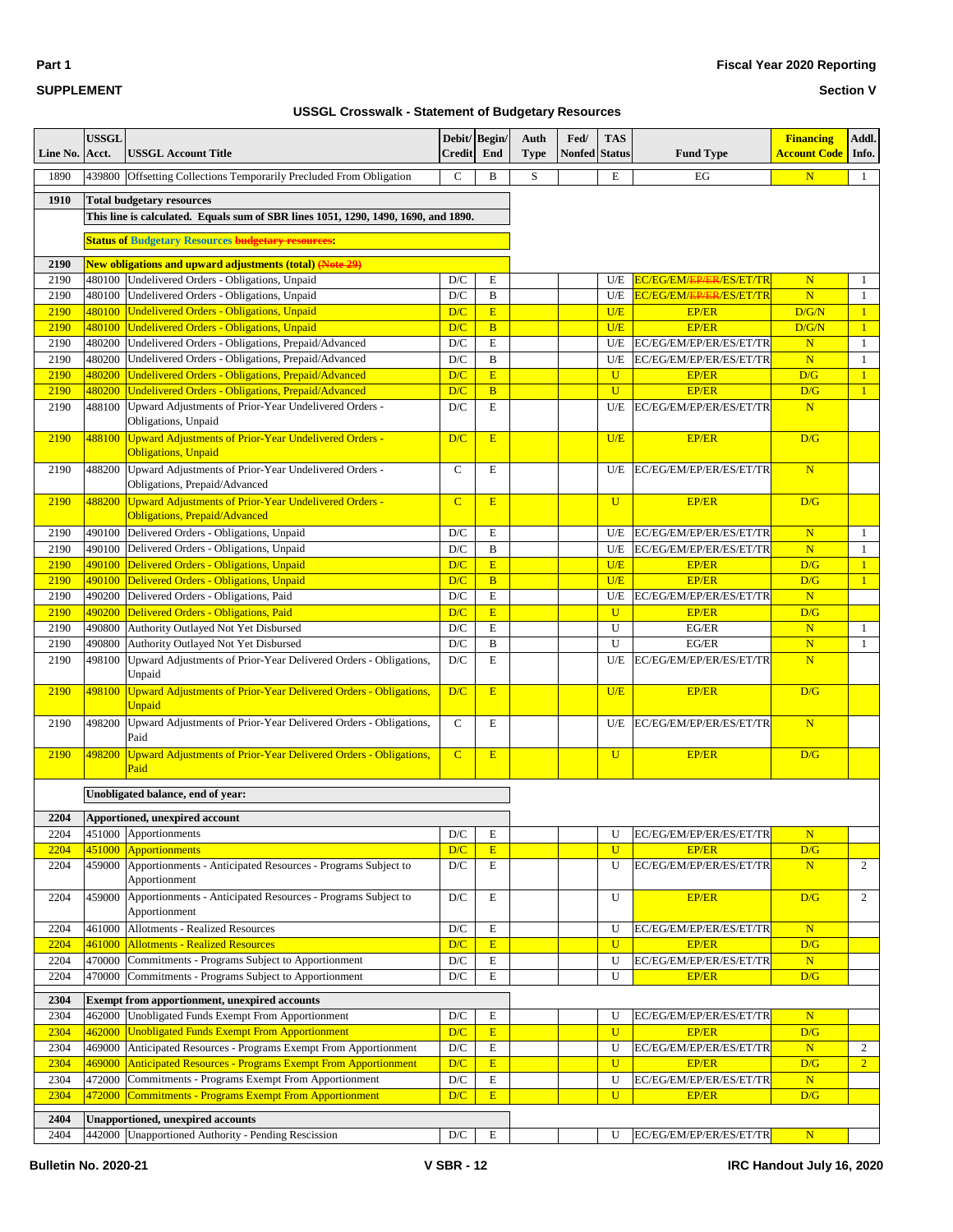### **Section V**

| Line No.     | <b>USSGL</b><br>Acct. | <b>USSGL Account Title</b>                                                                           | Debit/Begin/<br><b>Credit</b>  | End                 | Auth<br><b>Type</b> | Fed/<br>Nonfed | <b>TAS</b><br><b>Status</b> | <b>Fund Type</b>                        | <b>Financing</b><br>Account Code | Addl.<br>Info.               |
|--------------|-----------------------|------------------------------------------------------------------------------------------------------|--------------------------------|---------------------|---------------------|----------------|-----------------------------|-----------------------------------------|----------------------------------|------------------------------|
| 1890         | 439800                | Offsetting Collections Temporarily Precluded From Obligation                                         | $\mathbf C$                    | $\, {\bf B}$        | $\mathbf S$         |                | E                           | EG                                      | $\mathbf N$                      | $\mathbf{1}$                 |
| 1910         |                       | <b>Total budgetary resources</b>                                                                     |                                |                     |                     |                |                             |                                         |                                  |                              |
|              |                       | This line is calculated. Equals sum of SBR lines 1051, 1290, 1490, 1690, and 1890.                   |                                |                     |                     |                |                             |                                         |                                  |                              |
|              |                       |                                                                                                      |                                |                     |                     |                |                             |                                         |                                  |                              |
|              |                       | <b>Status of Budgetary Resources budgetary resources:</b>                                            |                                |                     |                     |                |                             |                                         |                                  |                              |
| 2190         |                       | <b>New obligations and upward adjustments (total) (Note 29)</b>                                      |                                |                     |                     |                |                             |                                         |                                  |                              |
| 2190         | 480100                | Undelivered Orders - Obligations, Unpaid                                                             | D/C                            | E                   |                     |                | U/E                         | EC/EG/EM/EP/ER/ES/ET/TR                 | $\mathbf N$                      | 1                            |
| 2190         | 480100                | Undelivered Orders - Obligations, Unpaid                                                             | D/C                            | B                   |                     |                | U/E                         | EC/EG/EM/ <del>EP/ER</del> /ES/ET/TR    | $\overline{\mathbf{N}}$          | $\mathbf{1}$                 |
| 2190<br>2190 |                       | 480100 Undelivered Orders - Obligations, Unpaid<br>480100 Undelivered Orders - Obligations, Unpaid   | D/C<br>D/C                     | E<br>$\overline{B}$ |                     |                | U/E<br>U/E                  | <b>EP/ER</b><br><b>EP/ER</b>            | D/G/N<br>D/G/N                   | $\mathbf{1}$<br>$\mathbf{1}$ |
| 2190         | 480200                | Undelivered Orders - Obligations, Prepaid/Advanced                                                   | D/C                            | E                   |                     |                | U/E                         | EC/EG/EM/EP/ER/ES/ET/TR                 | N                                | $\mathbf{1}$                 |
| 2190         | 480200                | Undelivered Orders - Obligations, Prepaid/Advanced                                                   | D/C                            | B                   |                     |                | U/E                         | EC/EG/EM/EP/ER/ES/ET/TR                 | $\mathbf N$                      | $\mathbf{1}$                 |
| 2190         | 480200                | Undelivered Orders - Obligations, Prepaid/Advanced                                                   | D/C                            | E                   |                     |                | $\mathbf{U}$                | <b>EP/ER</b>                            | D/G                              | $\mathbf{1}$                 |
| 2190         | 480200                | Undelivered Orders - Obligations, Prepaid/Advanced                                                   | D/C                            | $\overline{B}$      |                     |                | $\overline{U}$              | <b>EP/ER</b>                            | D/G                              | $\mathbf{1}$                 |
| 2190         | 488100                | Upward Adjustments of Prior-Year Undelivered Orders -                                                | D/C                            | E                   |                     |                | U/E                         | EC/EG/EM/EP/ER/ES/ET/TR                 | N                                |                              |
|              |                       | Obligations, Unpaid                                                                                  |                                |                     |                     |                |                             |                                         |                                  |                              |
| 2190         | 488100                | <b>Upward Adjustments of Prior-Year Undelivered Orders -</b><br><b>Obligations</b> , Unpaid          | D/C                            | E                   |                     |                | U/E                         | <b>EP/ER</b>                            | D/G                              |                              |
| 2190         | 488200                | Upward Adjustments of Prior-Year Undelivered Orders -                                                | $\mathbf C$                    | E                   |                     |                | U/E                         | EC/EG/EM/EP/ER/ES/ET/TR                 | $\mathbf N$                      |                              |
|              |                       | Obligations, Prepaid/Advanced                                                                        |                                |                     |                     |                |                             |                                         |                                  |                              |
| 2190         | 488200                | <b>Upward Adjustments of Prior-Year Undelivered Orders -</b><br><b>Obligations, Prepaid/Advanced</b> | $\overline{C}$                 | E                   |                     |                | $\mathbf U$                 | <b>EP/ER</b>                            | D/G                              |                              |
| 2190         | 490100                | Delivered Orders - Obligations, Unpaid                                                               | D/C                            | E                   |                     |                | U/E                         | EC/EG/EM/EP/ER/ES/ET/TR                 | N                                | $\mathbf{1}$                 |
| 2190         | 490100                | Delivered Orders - Obligations, Unpaid                                                               | D/C                            | B                   |                     |                | U/E                         | EC/EG/EM/EP/ER/ES/ET/TR                 | $\mathbf N$                      | $\mathbf{1}$                 |
| 2190         | 490100                | Delivered Orders - Obligations, Unpaid                                                               | D/C                            | E                   |                     |                | U/E                         | <b>EP/ER</b>                            | D/G                              | $\mathbf{1}$                 |
| 2190         |                       | 490100 Delivered Orders - Obligations, Unpaid                                                        | D/C                            | $\, {\bf B}$        |                     |                | U/E                         | <b>EP/ER</b>                            | D/G                              | $\mathbf{1}$                 |
| 2190         | 490200                | Delivered Orders - Obligations, Paid                                                                 | D/C                            | ${\bf E}$           |                     |                | U/E                         | EC/EG/EM/EP/ER/ES/ET/TR                 | N                                |                              |
| 2190         | 490200                | Delivered Orders - Obligations, Paid                                                                 | D/C                            | E                   |                     |                | $\mathbf U$                 | <b>EP/ER</b>                            | D/G                              |                              |
| 2190         | 490800                | Authority Outlayed Not Yet Disbursed                                                                 | D/C                            | $\mathbf E$         |                     |                | U                           | EG/ER                                   | N                                | $\mathbf{1}$                 |
| 2190         | 490800                | Authority Outlayed Not Yet Disbursed                                                                 | D/C                            | B                   |                     |                | U                           | EG/ER                                   | $\mathbf N$                      | $\mathbf{1}$                 |
| 2190         | 498100                | Upward Adjustments of Prior-Year Delivered Orders - Obligations,<br>Unpaid                           | D/C                            | E                   |                     |                | U/E                         | EC/EG/EM/EP/ER/ES/ET/TR                 | $\mathbf N$                      |                              |
| 2190         | 498100                | <b>Upward Adjustments of Prior-Year Delivered Orders - Obligations,</b><br><b>Unpaid</b>             | D/C                            | E                   |                     |                | U/E                         | <b>EP/ER</b>                            | D/G                              |                              |
| 2190         | 498200                | Upward Adjustments of Prior-Year Delivered Orders - Obligations,<br>Paid                             | $\mathbf C$                    | E                   |                     |                | U/E                         | EC/EG/EM/EP/ER/ES/ET/TR                 | $\mathbf N$                      |                              |
| 2190         | 498200                | Upward Adjustments of Prior-Year Delivered Orders - Obligations,<br>Paid                             | $\overline{C}$                 | E                   |                     |                | $\mathbf U$                 | <b>EP/ER</b>                            | D/G                              |                              |
|              |                       | Unobligated balance, end of year:                                                                    |                                |                     |                     |                |                             |                                         |                                  |                              |
|              |                       |                                                                                                      |                                |                     |                     |                |                             |                                         |                                  |                              |
| 2204         |                       | Apportioned, unexpired account                                                                       |                                |                     |                     |                |                             |                                         |                                  |                              |
| 2204         |                       | 451000 Apportionments                                                                                | $\mathbf{D}/\mathbf{C}$        | E                   |                     |                | U                           | EC/EG/EM/EP/ER/ES/ET/TR                 | N                                |                              |
| 2204<br>2204 | 451000                | Apportionments<br>Apportionments - Anticipated Resources - Programs Subject to                       | D/C<br>$\mathbf{D}/\mathbf{C}$ | E<br>E              |                     |                | $\mathbf{U}$<br>U           | <b>EP/ER</b><br>EC/EG/EM/EP/ER/ES/ET/TR | D/G<br>N                         | $\overline{c}$               |
|              | 459000                | Apportionment                                                                                        |                                |                     |                     |                |                             |                                         |                                  |                              |
| 2204         | 459000                | Apportionments - Anticipated Resources - Programs Subject to<br>Apportionment                        | D/C                            | E                   |                     |                | U                           | <b>EP/ER</b>                            | D/G                              | $\overline{c}$               |
| 2204         | 461000                | Allotments - Realized Resources                                                                      | D/C                            | E                   |                     |                | U                           | EC/EG/EM/EP/ER/ES/ET/TR                 | N                                |                              |
| 2204         | 461000                | <b>Allotments - Realized Resources</b>                                                               | D/C                            | E                   |                     |                | $\mathbf{U}$                | <b>EP/ER</b>                            | D/G                              |                              |
| 2204         | 470000                | Commitments - Programs Subject to Apportionment                                                      | $\mathbf{D}/\mathbf{C}$        | E                   |                     |                | U                           | EC/EG/EM/EP/ER/ES/ET/TR                 | N                                |                              |
| 2204         | 470000                | Commitments - Programs Subject to Apportionment                                                      | $\mathbf{D}/\mathbf{C}$        | Е                   |                     |                | U                           | <b>EP/ER</b>                            | D/G                              |                              |
| 2304         |                       | Exempt from apportionment, unexpired accounts                                                        |                                |                     |                     |                |                             |                                         |                                  |                              |
| 2304         | 462000                | Unobligated Funds Exempt From Apportionment                                                          | D/C                            | E                   |                     |                | U                           | EC/EG/EM/EP/ER/ES/ET/TR                 | N                                |                              |
| 2304         | 462000                | <b>Unobligated Funds Exempt From Apportionment</b>                                                   | D/C                            | E                   |                     |                | $\mathbf U$                 | <b>EP/ER</b>                            | D/G                              |                              |
| 2304         | 469000                | Anticipated Resources - Programs Exempt From Apportionment                                           | $\mathbf{D}/\mathbf{C}$        | $\mathbf E$         |                     |                | U                           | EC/EG/EM/EP/ER/ES/ET/TR                 | N                                | $\overline{c}$               |
| 2304         | 469000                | Anticipated Resources - Programs Exempt From Apportionment                                           | D/C                            | E                   |                     |                | $\mathbf U$                 | <b>EP/ER</b>                            | D/G                              | 2 <sup>1</sup>               |
| 2304         | 472000                | Commitments - Programs Exempt From Apportionment                                                     | $\mathbf{D}/\mathbf{C}$        | ${\bf E}$           |                     |                | U                           | EC/EG/EM/EP/ER/ES/ET/TR                 | N                                |                              |
| 2304         | 472000                | <b>Commitments - Programs Exempt From Apportionment</b>                                              | D/C                            | E                   |                     |                | $\mathbf{U}$                | <b>EP/ER</b>                            | D/G                              |                              |
| 2404         |                       | <b>Unapportioned, unexpired accounts</b>                                                             |                                |                     |                     |                |                             |                                         |                                  |                              |
| 2404         |                       | 442000 Unapportioned Authority - Pending Rescission                                                  | $\mathbf{D}/\mathbf{C}$        | $\mathbf E$         |                     |                | U                           | EC/EG/EM/EP/ER/ES/ET/TR                 | ${\bf N}$                        |                              |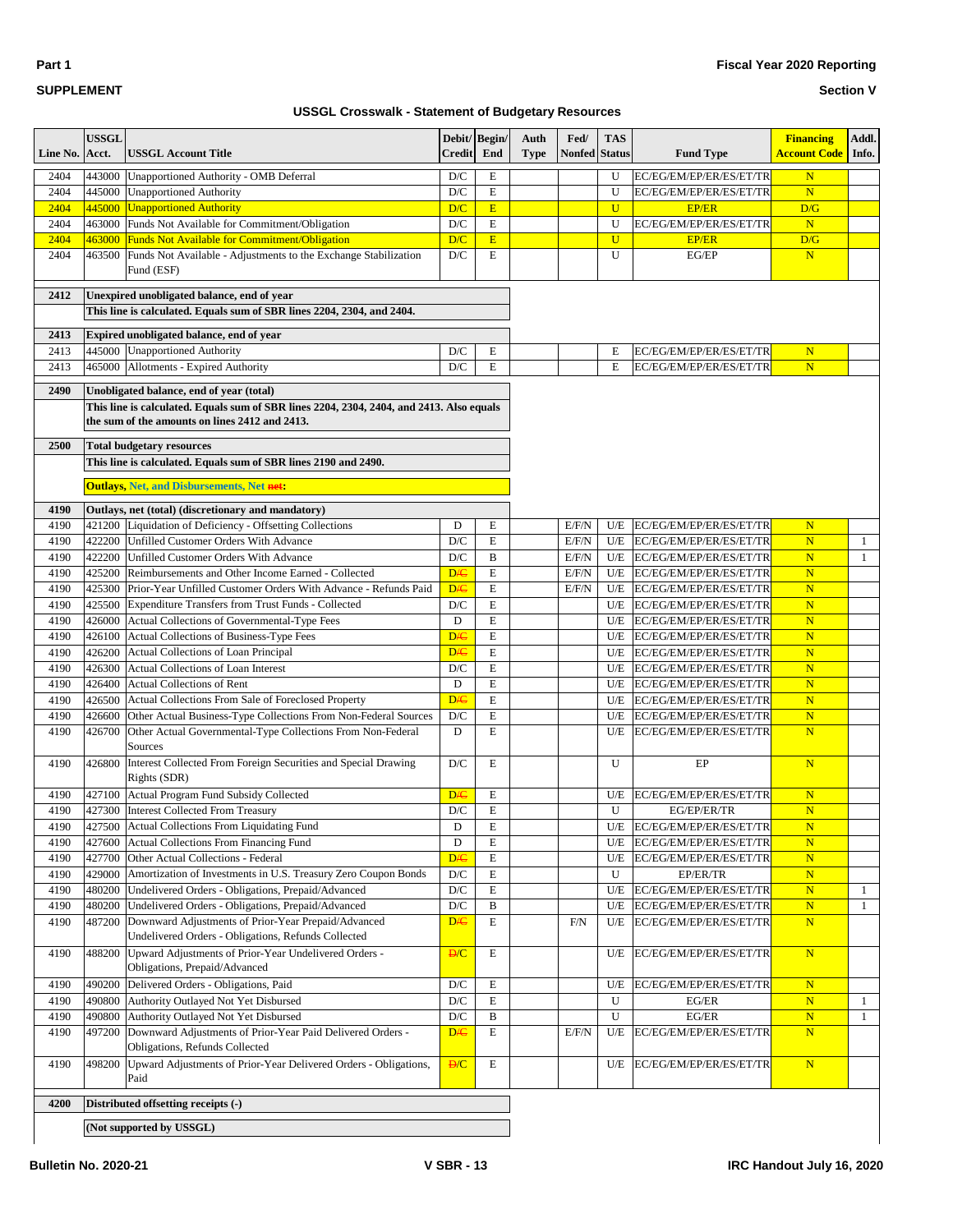| Line No. | <b>USSGL</b><br>Acct. | <b>USSGL Account Title</b>                                                                                           | <b>Credit</b>           | Debit/Begin/<br>End | Auth<br><b>Type</b> | Fed/<br><b>Nonfed</b> Status | <b>TAS</b>  | <b>Fund Type</b>              | <b>Financing</b><br><mark>Account Code  </mark> Info. | Addl.        |
|----------|-----------------------|----------------------------------------------------------------------------------------------------------------------|-------------------------|---------------------|---------------------|------------------------------|-------------|-------------------------------|-------------------------------------------------------|--------------|
| 2404     |                       | 443000 Unapportioned Authority - OMB Deferral                                                                        | D/C                     | E                   |                     |                              | U           | EC/EG/EM/EP/ER/ES/ET/TR       | $\mathbf N$                                           |              |
| 2404     |                       | 445000 Unapportioned Authority                                                                                       | D/C                     | E                   |                     |                              | U           | EC/EG/EM/EP/ER/ES/ET/TR       | $\mathbf N$                                           |              |
| 2404     | 445000                | <b>Unapportioned Authority</b>                                                                                       | D/C                     | E                   |                     |                              | $\mathbf U$ | <b>EP/ER</b>                  | D/G                                                   |              |
| 2404     | 463000                | Funds Not Available for Commitment/Obligation                                                                        | $\mathbf{D}/\mathbf{C}$ | ${\bf E}$           |                     |                              | U           | EC/EG/EM/EP/ER/ES/ET/TR       | $\mathbf N$                                           |              |
| 2404     | 463000                | <b>Funds Not Available for Commitment/Obligation</b>                                                                 | D/C                     | E                   |                     |                              | $\mathbf U$ | <b>EP/ER</b>                  | D/G                                                   |              |
| 2404     | 463500                | Funds Not Available - Adjustments to the Exchange Stabilization<br>Fund (ESF)                                        | $\mathbf{D}/\mathbf{C}$ | E                   |                     |                              | U           | EG/EP                         | $\mathbf N$                                           |              |
| 2412     |                       | Unexpired unobligated balance, end of year<br>This line is calculated. Equals sum of SBR lines 2204, 2304, and 2404. |                         |                     |                     |                              |             |                               |                                                       |              |
| 2413     |                       | Expired unobligated balance, end of year                                                                             |                         |                     |                     |                              |             |                               |                                                       |              |
| 2413     |                       | 445000 Unapportioned Authority                                                                                       | D/C                     | E                   |                     |                              | Е           | EC/EG/EM/EP/ER/ES/ET/TR       | $\mathbf N$                                           |              |
| 2413     | 465000                | Allotments - Expired Authority                                                                                       | D/C                     | E                   |                     |                              | E           | EC/EG/EM/EP/ER/ES/ET/TR       | $\mathbf N$                                           |              |
| 2490     |                       | Unobligated balance, end of year (total)                                                                             |                         |                     |                     |                              |             |                               |                                                       |              |
|          |                       | This line is calculated. Equals sum of SBR lines 2204, 2304, 2404, and 2413. Also equals                             |                         |                     |                     |                              |             |                               |                                                       |              |
|          |                       | the sum of the amounts on lines 2412 and 2413.                                                                       |                         |                     |                     |                              |             |                               |                                                       |              |
| 2500     |                       | <b>Total budgetary resources</b>                                                                                     |                         |                     |                     |                              |             |                               |                                                       |              |
|          |                       | This line is calculated. Equals sum of SBR lines 2190 and 2490.                                                      |                         |                     |                     |                              |             |                               |                                                       |              |
|          |                       | <b>Outlays, Net, and Disbursements, Net net:</b>                                                                     |                         |                     |                     |                              |             |                               |                                                       |              |
| 4190     |                       | Outlays, net (total) (discretionary and mandatory)                                                                   |                         |                     |                     |                              |             |                               |                                                       |              |
| 4190     |                       | 421200 Liquidation of Deficiency - Offsetting Collections                                                            | D                       | E                   |                     | E/F/N                        | U/E         | EC/EG/EM/EP/ER/ES/ET/TR       | $\mathbf N$                                           |              |
| 4190     |                       | 422200 Unfilled Customer Orders With Advance                                                                         | D/C                     | E                   |                     | E/F/N                        | U/E         | EC/EG/EM/EP/ER/ES/ET/TR       | $\overline{\mathbf{N}}$                               | -1           |
| 4190     | 422200                | Unfilled Customer Orders With Advance                                                                                | D/C                     | B                   |                     | E/F/N                        |             | U/E   EC/EG/EM/EP/ER/ES/ET/TR | $\mathbf N$                                           | $\mathbf{1}$ |
| 4190     | 425200                | Reimbursements and Other Income Earned - Collected                                                                   | <b>D/C</b>              | E                   |                     | E/F/N                        | U/E         | EC/EG/EM/EP/ER/ES/ET/TR       | $\mathbb N$                                           |              |
| 4190     | 425300                | Prior-Year Unfilled Customer Orders With Advance - Refunds Paid                                                      | <b>D/C</b>              | ${\bf E}$           |                     | E/F/N                        |             | U/E   EC/EG/EM/EP/ER/ES/ET/TR | $\mathbf N$                                           |              |
| 4190     | 425500                | Expenditure Transfers from Trust Funds - Collected                                                                   | D/C                     | E                   |                     |                              | U/E         | EC/EG/EM/EP/ER/ES/ET/TR       | $\mathbf N$                                           |              |
| 4190     | 426000                | Actual Collections of Governmental-Type Fees                                                                         | $\mathbf D$             | E                   |                     |                              | U/E         | EC/EG/EM/EP/ER/ES/ET/TR       | $\mathbf N$                                           |              |
| 4190     | 426100                | Actual Collections of Business-Type Fees                                                                             | D <sub>/C</sub>         | E                   |                     |                              | U/E         | EC/EG/EM/EP/ER/ES/ET/TR       | $\mathbf N$                                           |              |
| 4190     | 426200                | Actual Collections of Loan Principal                                                                                 | <b>D/C</b>              | E                   |                     |                              | U/E         | EC/EG/EM/EP/ER/ES/ET/TR       | $\mathbf N$                                           |              |
| 4190     | 426300                | Actual Collections of Loan Interest                                                                                  | D/C                     | E                   |                     |                              | U/E         | EC/EG/EM/EP/ER/ES/ET/TR       | $\mathbf N$                                           |              |
| 4190     | 426400                | <b>Actual Collections of Rent</b>                                                                                    | D                       | E                   |                     |                              | U/E         | EC/EG/EM/EP/ER/ES/ET/TR       | $\mathbf N$                                           |              |
| 4190     | 426500                | Actual Collections From Sale of Foreclosed Property                                                                  | <b>D/C</b>              | E                   |                     |                              | U/E         | EC/EG/EM/EP/ER/ES/ET/TR       | $\overline{\mathbf{N}}$                               |              |
| 4190     | 426600                | Other Actual Business-Type Collections From Non-Federal Sources                                                      | D/C                     | $\mathbf E$         |                     |                              | U/E         | EC/EG/EM/EP/ER/ES/ET/TR       | $\mathbf N$                                           |              |
| 4190     | 426700                | Other Actual Governmental-Type Collections From Non-Federal<br>Sources                                               | D                       | E                   |                     |                              | U/E         | EC/EG/EM/EP/ER/ES/ET/TR       | $\mathbf N$                                           |              |
| 4190     | 426800                | Interest Collected From Foreign Securities and Special Drawing<br>Rights (SDR)                                       | D/C                     | E                   |                     |                              | U           | EP                            | $\overline{\mathbf{N}}$                               |              |
| 4190     | 427100                | Actual Program Fund Subsidy Collected                                                                                | D/C                     | E                   |                     |                              | U/E         | EC/EG/EM/EP/ER/ES/ET/TR       | $\mathbb N$                                           |              |
| 4190     |                       | 427300 Interest Collected From Treasury                                                                              | $\mathbf{D}/\mathbf{C}$ | E                   |                     |                              | U           | EG/EP/ER/TR                   | $\mathbf N$                                           |              |
| 4190     | 427500                | Actual Collections From Liquidating Fund                                                                             | D                       | E                   |                     |                              | U/E         | EC/EG/EM/EP/ER/ES/ET/TR       | $\mathbf N$                                           |              |
| 4190     | 427600                | Actual Collections From Financing Fund                                                                               | $\mathbf D$             | E                   |                     |                              | U/E         | EC/EG/EM/EP/ER/ES/ET/TR       | $\mathbf N$                                           |              |
| 4190     | 427700                | Other Actual Collections - Federal                                                                                   | <b>D/C</b>              | ${\bf E}$           |                     |                              | U/E         | EC/EG/EM/EP/ER/ES/ET/TR       | $\mathbf N$                                           |              |
| 4190     | 429000                | Amortization of Investments in U.S. Treasury Zero Coupon Bonds                                                       | $\mathbf{D}/\mathbf{C}$ | E                   |                     |                              | U           | EP/ER/TR                      | $\mathbf N$                                           |              |
| 4190     | 480200                | Undelivered Orders - Obligations, Prepaid/Advanced                                                                   | D/C                     | E                   |                     |                              | U/E         | EC/EG/EM/EP/ER/ES/ET/TR       | $\mathbf N$                                           | $\mathbf{1}$ |
| 4190     | 480200                | Undelivered Orders - Obligations, Prepaid/Advanced                                                                   | $\mathbf{D}/\mathbf{C}$ | B                   |                     |                              | U/E         | EC/EG/EM/EP/ER/ES/ET/TR       | $\mathbf N$                                           | -1           |
| 4190     | 487200                | Downward Adjustments of Prior-Year Prepaid/Advanced<br>Undelivered Orders - Obligations, Refunds Collected           | <b>D/C</b>              | ${\bf E}$           |                     | F/N                          | U/E         | EC/EG/EM/EP/ER/ES/ET/TR       | $\overline{\mathbf{N}}$                               |              |
| 4190     | 488200                | Upward Adjustments of Prior-Year Undelivered Orders -<br>Obligations, Prepaid/Advanced                               | D/C                     | E                   |                     |                              | U/E         | EC/EG/EM/EP/ER/ES/ET/TR       | $\mathbf N$                                           |              |
| 4190     | 490200                | Delivered Orders - Obligations, Paid                                                                                 | D/C                     | ${\bf E}$           |                     |                              | U/E         | EC/EG/EM/EP/ER/ES/ET/TR       | $\mathbf N$                                           |              |
| 4190     | 490800                | Authority Outlayed Not Yet Disbursed                                                                                 | D/C                     | E                   |                     |                              | U           | EG/ER                         | $\mathbf N$                                           | $\mathbf{1}$ |
| 4190     | 490800                | Authority Outlayed Not Yet Disbursed                                                                                 | $\mathbf{D}/\mathbf{C}$ | B                   |                     |                              | U           | EG/ER                         | $\mathbf N$                                           | $\mathbf{1}$ |
| 4190     | 497200                | Downward Adjustments of Prior-Year Paid Delivered Orders -<br>Obligations, Refunds Collected                         | <b>D/C</b>              | E                   |                     | E/F/N                        | U/E         | EC/EG/EM/EP/ER/ES/ET/TR       | $\overline{\mathbf{N}}$                               |              |
| 4190     | 498200                | Upward Adjustments of Prior-Year Delivered Orders - Obligations,<br>Paid                                             | D/C                     | E                   |                     |                              | U/E         | EC/EG/EM/EP/ER/ES/ET/TR       | $\mathbf N$                                           |              |
| 4200     |                       | Distributed offsetting receipts (-)                                                                                  |                         |                     |                     |                              |             |                               |                                                       |              |
|          |                       | (Not supported by USSGL)                                                                                             |                         |                     |                     |                              |             |                               |                                                       |              |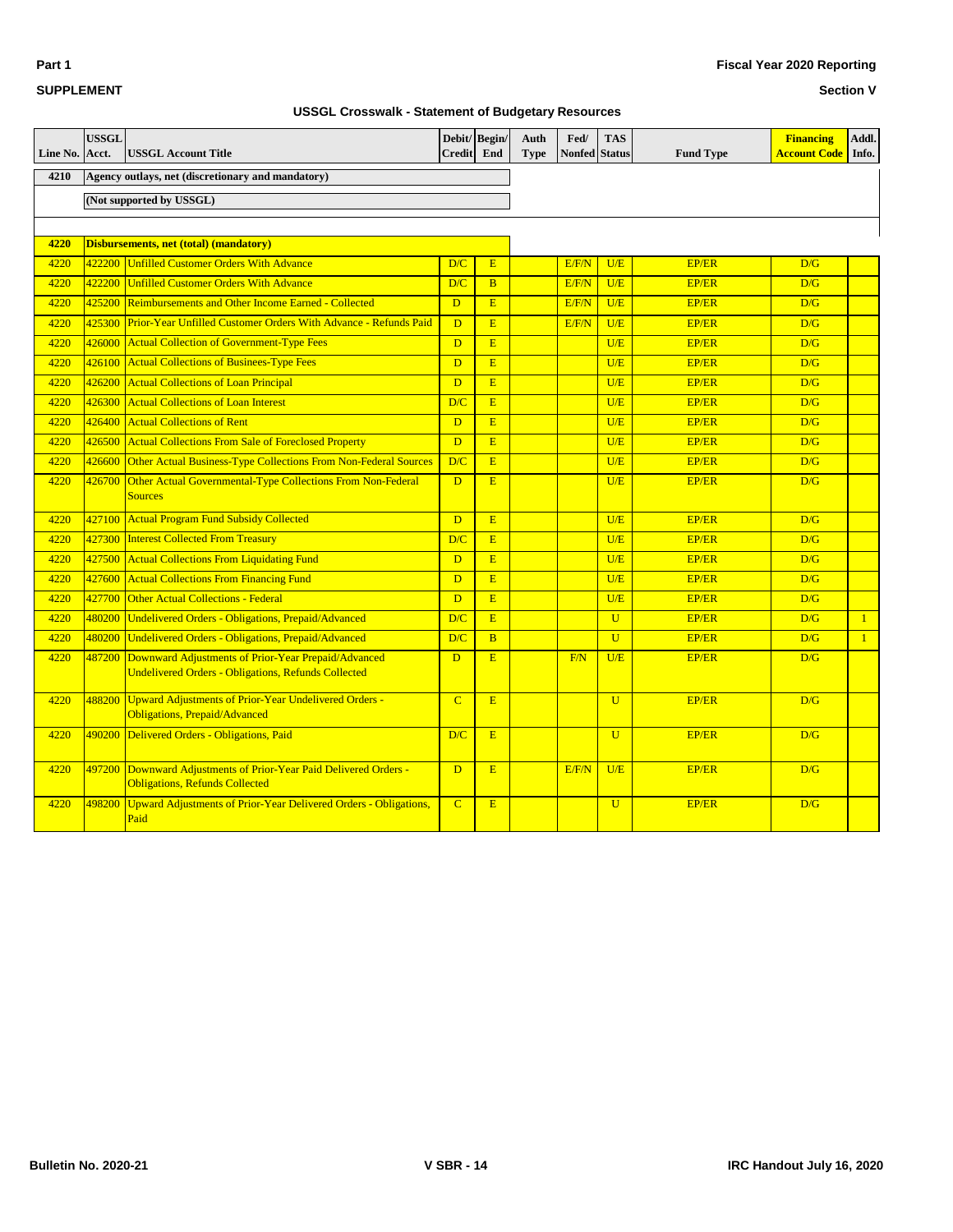| <b>SUPPLEMENT</b> |
|-------------------|
|                   |

**Part 1**

### **Section V**

| Line No. | <b>USSGL</b><br>Acct. | <b>USSGL Account Title</b>                                                                                        | Debit/ Begin/<br>Credit | End            | Auth<br><b>Type</b> | Fed/<br><b>Nonfed Status</b> | <b>TAS</b>     | <b>Fund Type</b> | <b>Financing</b><br><b>Account Code</b> | Addl.<br>Info. |
|----------|-----------------------|-------------------------------------------------------------------------------------------------------------------|-------------------------|----------------|---------------------|------------------------------|----------------|------------------|-----------------------------------------|----------------|
| 4210     |                       | Agency outlays, net (discretionary and mandatory)                                                                 |                         |                |                     |                              |                |                  |                                         |                |
|          |                       | (Not supported by USSGL)                                                                                          |                         |                |                     |                              |                |                  |                                         |                |
|          |                       |                                                                                                                   |                         |                |                     |                              |                |                  |                                         |                |
| 4220     |                       | <b>Disbursements, net (total) (mandatory)</b>                                                                     |                         |                |                     |                              |                |                  |                                         |                |
| 4220     | 422200                | <b>Unfilled Customer Orders With Advance</b>                                                                      | D/C                     | E              |                     | E/F/N                        | U/E            | <b>EP/ER</b>     | D/G                                     |                |
| 4220     | 422200                | <b>Unfilled Customer Orders With Advance</b>                                                                      | D/C                     | B              |                     | E/F/N                        | U/E            | EP/ER            | D/G                                     |                |
| 4220     | 425200                | Reimbursements and Other Income Earned - Collected                                                                | D                       | E              |                     | E/F/N                        | U/E            | <b>EP/ER</b>     | D/G                                     |                |
| 4220     | 425300                | Prior-Year Unfilled Customer Orders With Advance - Refunds Paid                                                   | $\mathbf{D}$            | E              |                     | E/F/N                        | U/E            | <b>EP/ER</b>     | D/G                                     |                |
| 4220     | 426000                | <b>Actual Collection of Government-Type Fees</b>                                                                  | D                       | E              |                     |                              | U/E            | <b>EP/ER</b>     | D/G                                     |                |
| 4220     | 426100                | <b>Actual Collections of Businees-Type Fees</b>                                                                   | D                       | E              |                     |                              | U/E            | EP/ER            | D/G                                     |                |
| 4220     | 426200                | <b>Actual Collections of Loan Principal</b>                                                                       | D                       | E              |                     |                              | U/E            | EP/ER            | D/G                                     |                |
| 4220     | 426300                | <b>Actual Collections of Loan Interest</b>                                                                        | D/C                     | E              |                     |                              | U/E            | EP/ER            | D/G                                     |                |
| 4220     | 426400                | <b>Actual Collections of Rent</b>                                                                                 | D                       | E              |                     |                              | U/E            | <b>EP/ER</b>     | D/G                                     |                |
| 4220     | 426500                | <b>Actual Collections From Sale of Foreclosed Property</b>                                                        | $\overline{D}$          | E              |                     |                              | U/E            | <b>EP/ER</b>     | D/G                                     |                |
| 4220     | 426600                | Other Actual Business-Type Collections From Non-Federal Sources                                                   | D/C                     | E              |                     |                              | U/E            | <b>EP/ER</b>     | D/G                                     |                |
| 4220     | 426700                | Other Actual Governmental-Type Collections From Non-Federal<br><b>Sources</b>                                     | D                       | E              |                     |                              | U/E            | <b>EP/ER</b>     | D/G                                     |                |
| 4220     | 427100                | <b>Actual Program Fund Subsidy Collected</b>                                                                      | D                       | E              |                     |                              | U/E            | <b>EP/ER</b>     | D/G                                     |                |
| 4220     | 427300                | <b>Interest Collected From Treasury</b>                                                                           | D/C                     | E              |                     |                              | U/E            | <b>EP/ER</b>     | D/G                                     |                |
| 4220     | 427500                | <b>Actual Collections From Liquidating Fund</b>                                                                   | D                       | E              |                     |                              | U/E            | EP/ER            | D/G                                     |                |
| 4220     | 427600                | <b>Actual Collections From Financing Fund</b>                                                                     | $\overline{D}$          | E              |                     |                              | U/E            | <b>EP/ER</b>     | D/G                                     |                |
| 4220     | 427700                | <b>Other Actual Collections - Federal</b>                                                                         | $\mathbf{D}$            | E              |                     |                              | U/E            | EP/ER            | D/G                                     |                |
| 4220     | 480200                | Undelivered Orders - Obligations, Prepaid/Advanced                                                                | D/C                     | E              |                     |                              | $\overline{U}$ | <b>EP/ER</b>     | D/G                                     | $\mathbf{1}$   |
| 4220     | 480200                | Undelivered Orders - Obligations, Prepaid/Advanced                                                                | D/C                     | $\overline{B}$ |                     |                              | $\overline{U}$ | <b>EP/ER</b>     | D/G                                     | $\mathbf{1}$   |
| 4220     | 487200                | Downward Adjustments of Prior-Year Prepaid/Advanced<br><b>Undelivered Orders - Obligations, Refunds Collected</b> | D                       | E              |                     | F/N                          | U/E            | <b>EP/ER</b>     | D/G                                     |                |
| 4220     | 488200                | <b>Upward Adjustments of Prior-Year Undelivered Orders -</b><br><b>Obligations, Prepaid/Advanced</b>              | $\overline{C}$          | E              |                     |                              | $\overline{U}$ | <b>EP/ER</b>     | D/G                                     |                |
| 4220     | 490200                | Delivered Orders - Obligations, Paid                                                                              | D/C                     | E              |                     |                              | $\overline{U}$ | <b>EP/ER</b>     | D/G                                     |                |
| 4220     | 497200                | Downward Adjustments of Prior-Year Paid Delivered Orders -<br><b>Obligations, Refunds Collected</b>               | D                       | E              |                     | E/F/N                        | U/E            | <b>EP/ER</b>     | D/G                                     |                |
| 4220     | 498200                | Upward Adjustments of Prior-Year Delivered Orders - Obligations,<br>Paid                                          | $\overline{C}$          | E              |                     |                              | $\overline{U}$ | <b>EP/ER</b>     | D/G                                     |                |